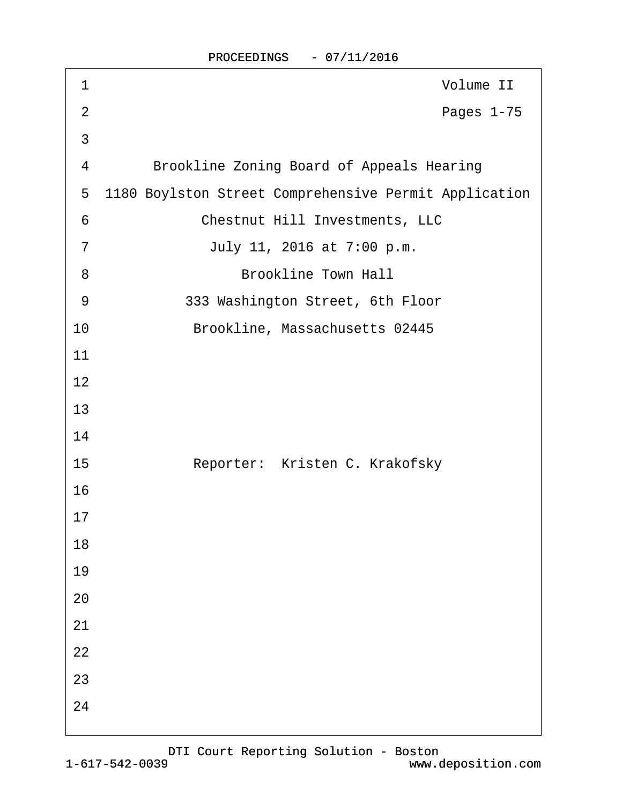| 1              | Volume II                                             |
|----------------|-------------------------------------------------------|
| $\overline{2}$ | Pages 1-75                                            |
| 3              |                                                       |
| 4              | <b>Brookline Zoning Board of Appeals Hearing</b>      |
| 5              | 1180 Boylston Street Comprehensive Permit Application |
| 6              | <b>Chestnut Hill Investments, LLC</b>                 |
| $\overline{7}$ | July 11, 2016 at 7:00 p.m.                            |
| 8              | <b>Brookline Town Hall</b>                            |
| 9              | 333 Washington Street, 6th Floor                      |
| 10             | Brookline, Massachusetts 02445                        |
| 11             |                                                       |
| 12             |                                                       |
| 13             |                                                       |
| 14             |                                                       |
| 15             | Reporter: Kristen C. Krakofsky                        |
| 16             |                                                       |
| 17             |                                                       |
| 18             |                                                       |
| 19             |                                                       |
| 20             |                                                       |
| 21             |                                                       |
| 22             |                                                       |
| 23             |                                                       |
| 24             |                                                       |
|                |                                                       |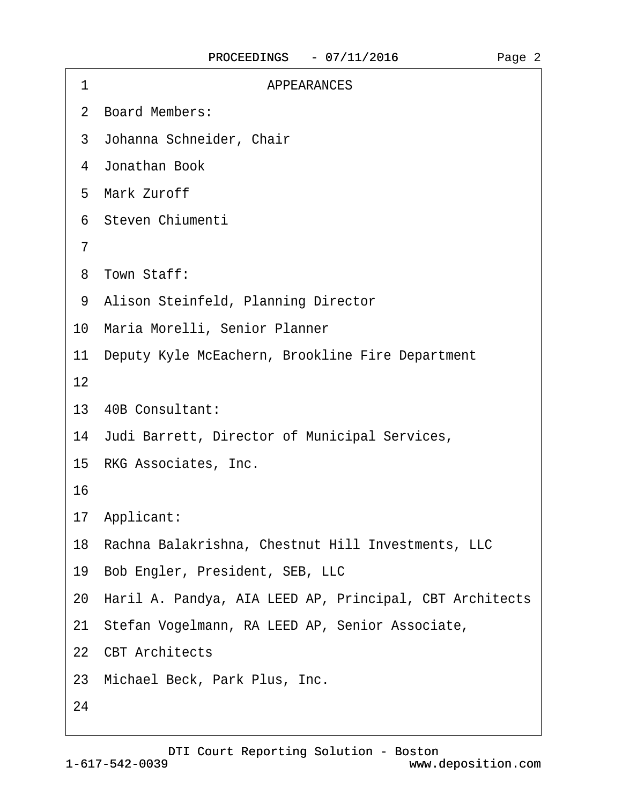| 1  | <b>APPEARANCES</b>                                         |
|----|------------------------------------------------------------|
|    | 2 Board Members:                                           |
|    | 3 Johanna Schneider, Chair                                 |
|    | 4 Jonathan Book                                            |
|    | 5 Mark Zuroff                                              |
|    | 6 Steven Chiumenti                                         |
| 7  |                                                            |
|    | 8 Town Staff:                                              |
|    | 9 Alison Steinfeld, Planning Director                      |
|    | 10 Maria Morelli, Senior Planner                           |
|    | 11 Deputy Kyle McEachern, Brookline Fire Department        |
| 12 |                                                            |
|    | 13 40B Consultant:                                         |
|    | 14 Judi Barrett, Director of Municipal Services,           |
|    | 15 RKG Associates, Inc.                                    |
| 16 |                                                            |
|    | 17 Applicant:                                              |
|    | 18 Rachna Balakrishna, Chestnut Hill Investments, LLC      |
|    | 19 Bob Engler, President, SEB, LLC                         |
|    | 20 Haril A. Pandya, AIA LEED AP, Principal, CBT Architects |
|    | 21 Stefan Vogelmann, RA LEED AP, Senior Associate,         |
|    | 22 CBT Architects                                          |
|    | 23 Michael Beck, Park Plus, Inc.                           |
| 24 |                                                            |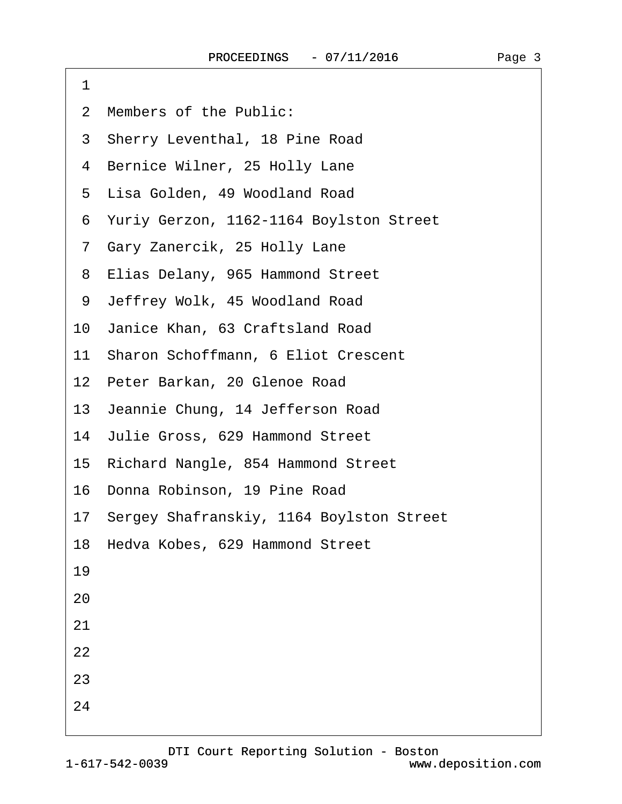·1

24

2 Members of the Public:

## 3 Sherry Leventhal, 18 Pine Road 4 Bernice Wilner, 25 Holly Lane 5 Lisa Golden, 49 Woodland Road ·6· Yuriy Gerzon, 1162-1164 Boylston Street 7 Gary Zanercik, 25 Holly Lane 8 Elias Delany, 965 Hammond Street 9 Jeffrey Wolk, 45 Woodland Road 10· Janice Khan, 63 Craftsland Road 11 Sharon Schoffmann, 6 Eliot Crescent 12 Peter Barkan, 20 Glenoe Road 13 Jeannie Chung, 14 Jefferson Road 14 Julie Gross, 629 Hammond Street 15· Richard Nangle, 854 Hammond Street 16· Donna Robinson, 19 Pine Road 17· Sergey Shafranskiy, 1164 Boylston Street 18 Hedva Kobes, 629 Hammond Street 19 20 21 22 23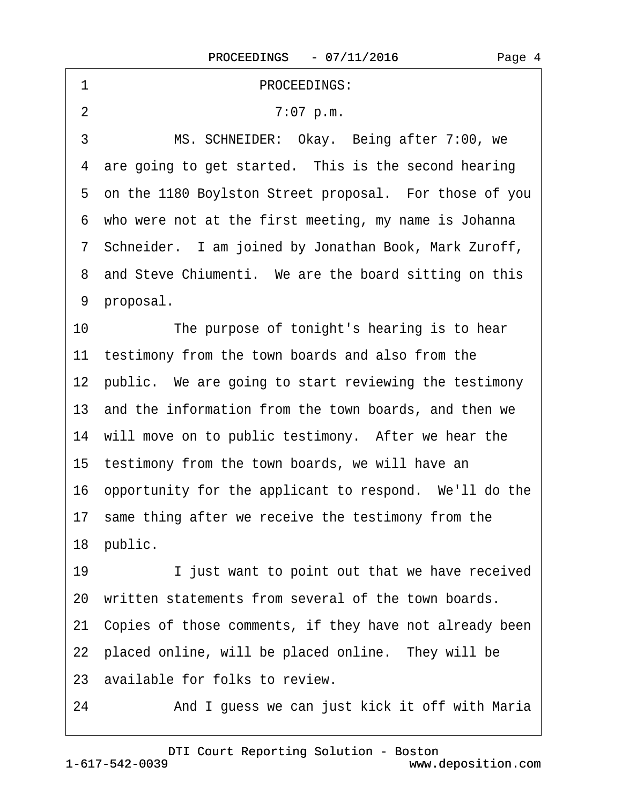## ·1· · · · · · · · · · · PROCEEDINGS:

2 7:07 p.m.

3 MS. SCHNEIDER: Okay. Being after 7:00, we 4 are going to get started. This is the second hearing 5 on the 1180 Boylston Street proposal. For those of you ·6· who were not at the first meeting, my name is Johanna ·7· Schneider.· I am joined by Jonathan Book, Mark Zuroff, 8 and Steve Chiumenti. We are the board sitting on this 9 proposal.

10 The purpose of tonight's hearing is to hear 11 testimony from the town boards and also from the 12 public. We are going to start reviewing the testimony 13 and the information from the town boards, and then we 14 will move on to public testimony. After we hear the 15 testimony from the town boards, we will have an 16 opportunity for the applicant to respond. We'll do the 17 same thing after we receive the testimony from the 18 public.

19 I just want to point out that we have received 20 written statements from several of the town boards. 21 Copies of those comments, if they have not already been 22 placed online, will be placed online. They will be 23 available for folks to review.

24 • **And I guess we can just kick it off with Maria** 

1-617-542-0039 [DTI Court Reporting Solution - Boston](http://www.deposition.com) www.deposition.com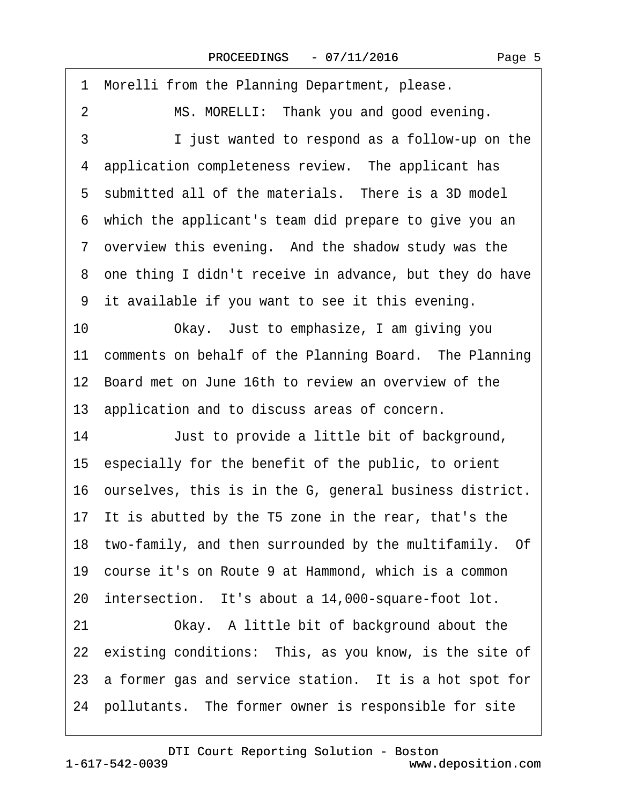1 Morelli from the Planning Department, please. 2 MS. MORELLI: Thank you and good evening. 3 I just wanted to respond as a follow-up on the 4 application completeness review. The applicant has 5 submitted all of the materials. There is a 3D model ·6· which the applicant's team did prepare to give you an 7 overview this evening. And the shadow study was the 8 one thing I didn't receive in advance, but they do have ·9· it available if you want to see it this evening. 10 Okay. Just to emphasize, I am giving you 11 comments on behalf of the Planning Board. The Planning 12 Board met on June 16th to review an overview of the 13· application and to discuss areas of concern. 14 Just to provide a little bit of background, 15· especially for the benefit of the public, to orient 16 ourselves, this is in the G, general business district. 17 It is abutted by the T5 zone in the rear, that's the 18 two-family, and then surrounded by the multifamily. Of 19· course it's on Route 9 at Hammond, which is a common 20 intersection. It's about a 14,000-square-foot lot. 21 Chay. A little bit of background about the 22 existing conditions: This, as you know, is the site of 23 a former gas and service station. It is a hot spot for 24 pollutants. The former owner is responsible for site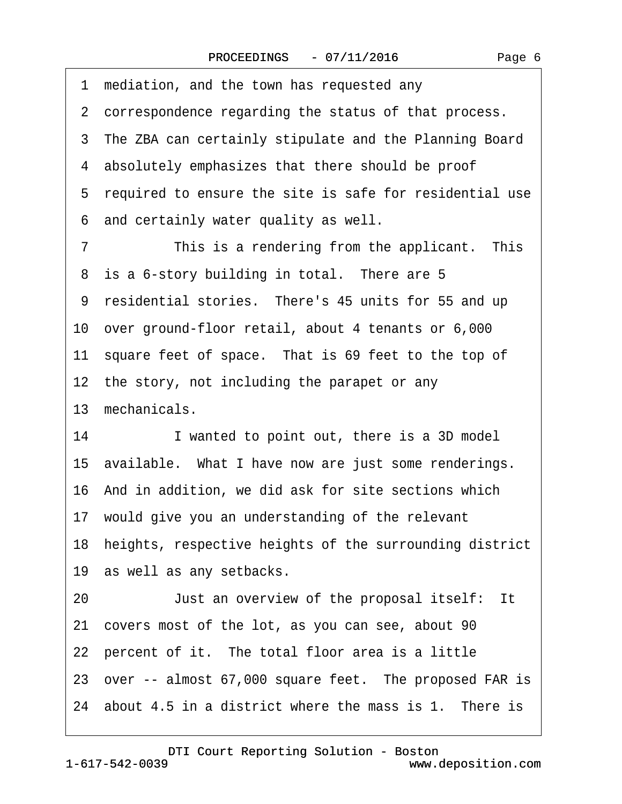| 1 mediation, and the town has requested any                |
|------------------------------------------------------------|
| 2 correspondence regarding the status of that process.     |
| 3 The ZBA can certainly stipulate and the Planning Board   |
| 4 absolutely emphasizes that there should be proof         |
| 5 required to ensure the site is safe for residential use  |
| 6 and certainly water quality as well.                     |
| This is a rendering from the applicant. This<br>7          |
| 8 is a 6-story building in total. There are 5              |
| 9 residential stories. There's 45 units for 55 and up      |
| 10 over ground-floor retail, about 4 tenants or 6,000      |
| 11 square feet of space. That is 69 feet to the top of     |
| 12 the story, not including the parapet or any             |
| 13 mechanicals.                                            |
| 14<br>I wanted to point out, there is a 3D model           |
| 15 available. What I have now are just some renderings.    |
| 16 And in addition, we did ask for site sections which     |
| 17 would give you an understanding of the relevant         |
| 18 heights, respective heights of the surrounding district |
| 19 as well as any setbacks.                                |
| Just an overview of the proposal itself: It<br>20          |
| 21 covers most of the lot, as you can see, about 90        |
| 22 percent of it. The total floor area is a little         |
| 23 over -- almost 67,000 square feet. The proposed FAR is  |
| 24 about 4.5 in a district where the mass is 1. There is   |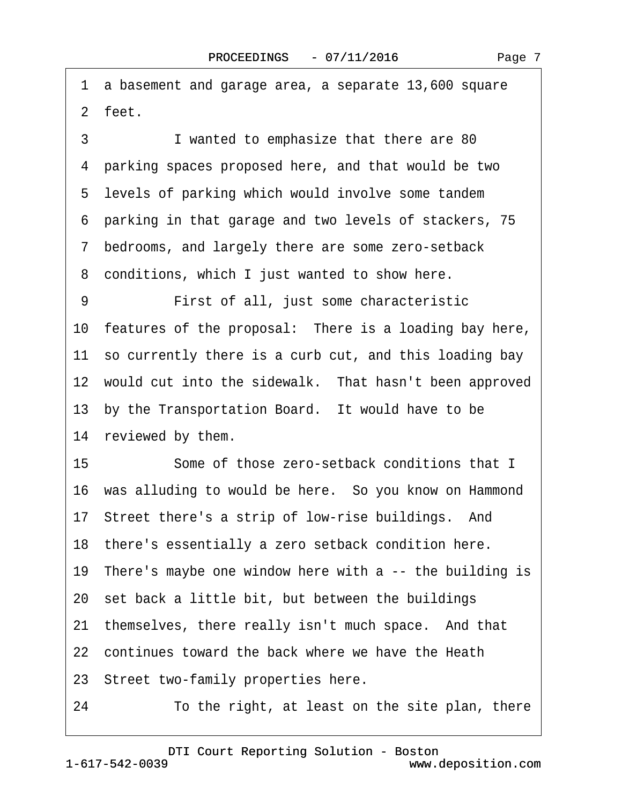·1· a basement and garage area, a separate 13,600 square 2 feet. 3 I wanted to emphasize that there are 80 ·4· parking spaces proposed here, and that would be two 5 levels of parking which would involve some tandem ·6· parking in that garage and two levels of stackers, 75 ·7· bedrooms, and largely there are some zero-setback 8 conditions, which I just wanted to show here. 9 **• • First of all, just some characteristic** 10 features of the proposal: There is a loading bay here, 11 so currently there is a curb cut, and this loading bay 12 would cut into the sidewalk. That hasn't been approved 13 by the Transportation Board. It would have to be 14 reviewed by them. 15 Some of those zero-setback conditions that I 16· was alluding to would be here.· So you know on Hammond 17 Street there's a strip of low-rise buildings. And 18 there's essentially a zero setback condition here. 19 There's maybe one window here with a -- the building is 20 set back a little bit, but between the buildings 21 themselves, there really isn't much space. And that 22 continues toward the back where we have the Heath 23· Street two-family properties here.

24 To the right, at least on the site plan, there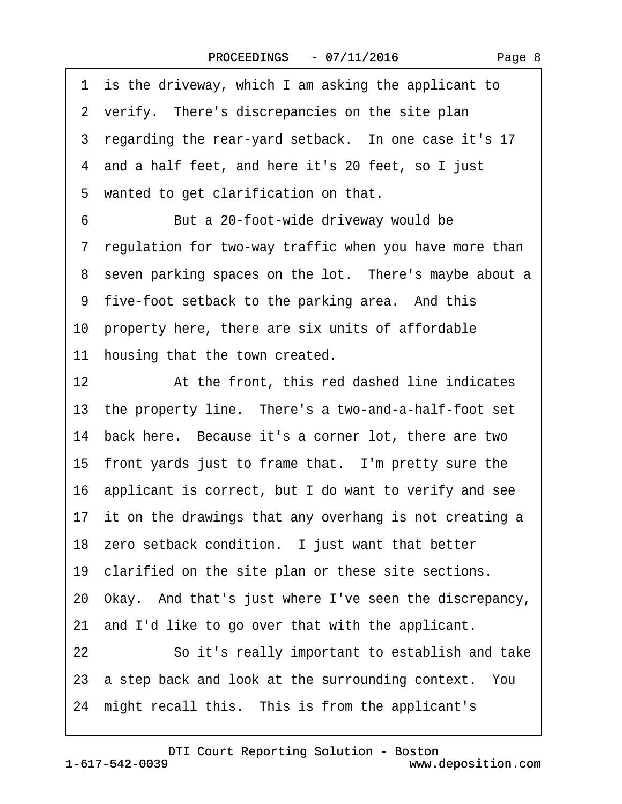1 is the driveway, which I am asking the applicant to 2 verify. There's discrepancies on the site plan 3 regarding the rear-yard setback. In one case it's 17 ·4· and a half feet, and here it's 20 feet, so I just 5 wanted to get clarification on that. 6 But a 20-foot-wide driveway would be 7 regulation for two-way traffic when you have more than 8 seven parking spaces on the lot. There's maybe about a 9 five-foot setback to the parking area. And this 10· property here, there are six units of affordable 11 housing that the town created. 12 **12** At the front, this red dashed line indicates 13 the property line. There's a two-and-a-half-foot set 14 back here. Because it's a corner lot, there are two 15 front yards just to frame that. I'm pretty sure the 16· applicant is correct, but I do want to verify and see 17 it on the drawings that any overhang is not creating a 18 zero setback condition. I just want that better 19 clarified on the site plan or these site sections. 20· Okay.· And that's just where I've seen the discrepancy, 21 and I'd like to go over that with the applicant. 22 **· · · · So it's really important to establish and take** 23 a step back and look at the surrounding context. You 24 might recall this. This is from the applicant's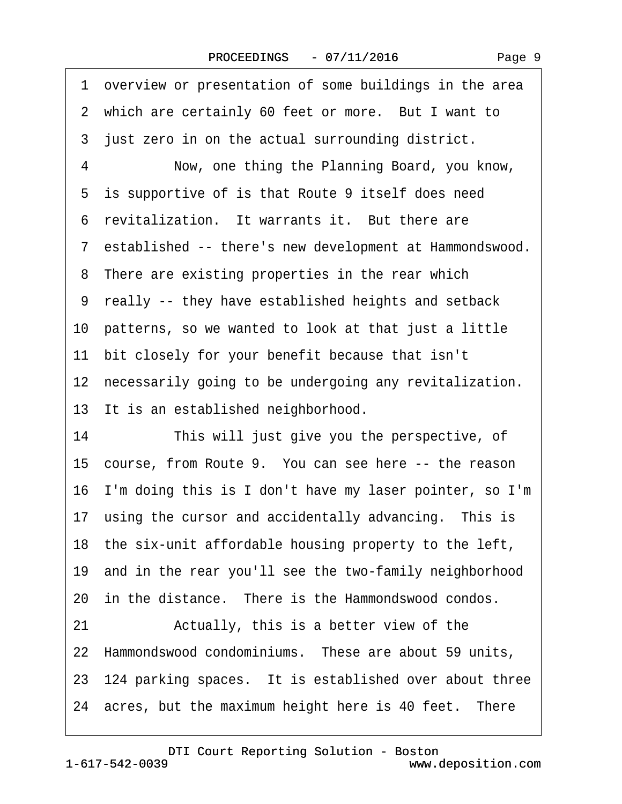| 1 overview or presentation of some buildings in the area   |
|------------------------------------------------------------|
| 2 which are certainly 60 feet or more. But I want to       |
| 3 just zero in on the actual surrounding district.         |
| Now, one thing the Planning Board, you know,<br>4          |
| 5 is supportive of is that Route 9 itself does need        |
| 6 revitalization. It warrants it. But there are            |
| 7 established -- there's new development at Hammondswood.  |
| 8 There are existing properties in the rear which          |
| 9 really -- they have established heights and setback      |
| 10 patterns, so we wanted to look at that just a little    |
| 11 bit closely for your benefit because that isn't         |
| 12 necessarily going to be undergoing any revitalization.  |
| 13 It is an established neighborhood.                      |
| This will just give you the perspective, of<br>14          |
| 15 course, from Route 9. You can see here -- the reason    |
| 16 I'm doing this is I don't have my laser pointer, so I'm |
| 17 using the cursor and accidentally advancing. This is    |
| 18 the six-unit affordable housing property to the left,   |
| 19 and in the rear you'll see the two-family neighborhood  |
| 20 in the distance. There is the Hammondswood condos.      |
| Actually, this is a better view of the<br>21               |
| 22 Hammondswood condominiums. These are about 59 units,    |
| 23 124 parking spaces. It is established over about three  |
| 24 acres, but the maximum height here is 40 feet. There    |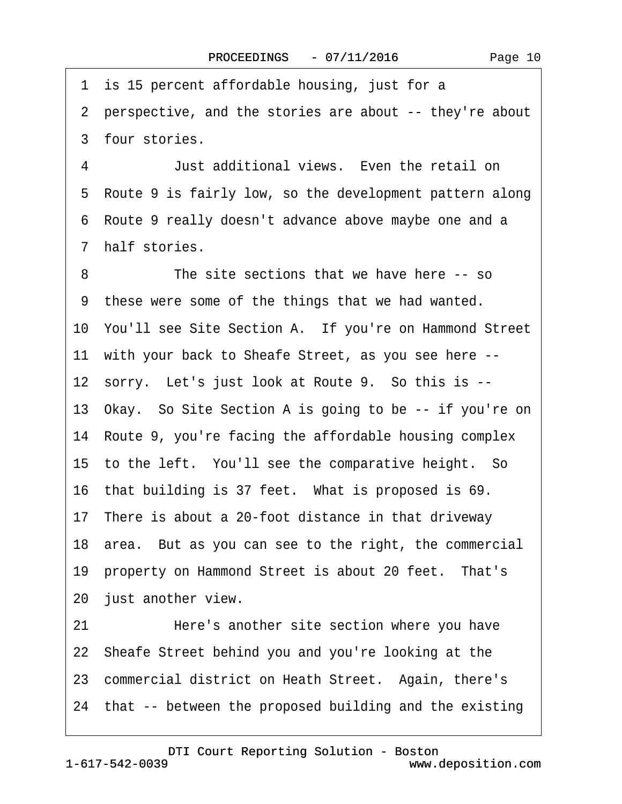1 is 15 percent affordable housing, just for a ·2· perspective, and the stories are about -- they're about 3 four stories. ·4· · · · · ·Just additional views.· Even the retail on 5 Route 9 is fairly low, so the development pattern along ·6· Route 9 really doesn't advance above maybe one and a 7 half stories. 8 The site sections that we have here -- so ·9· these were some of the things that we had wanted. 10· You'll see Site Section A.· If you're on Hammond Street 11 with your back to Sheafe Street, as you see here --12 sorry. Let's just look at Route 9. So this is --13· Okay.· So Site Section A is going to be -- if you're on 14 Route 9, you're facing the affordable housing complex 15 to the left. You'll see the comparative height. So 16 that building is 37 feet. What is proposed is 69. 17 There is about a 20-foot distance in that driveway 18· area.· But as you can see to the right, the commercial 19 property on Hammond Street is about 20 feet. That's 20 just another view. 21 • Here's another site section where you have 22· Sheafe Street behind you and you're looking at the 23 commercial district on Heath Street. Again, there's 24· that -- between the proposed building and the existing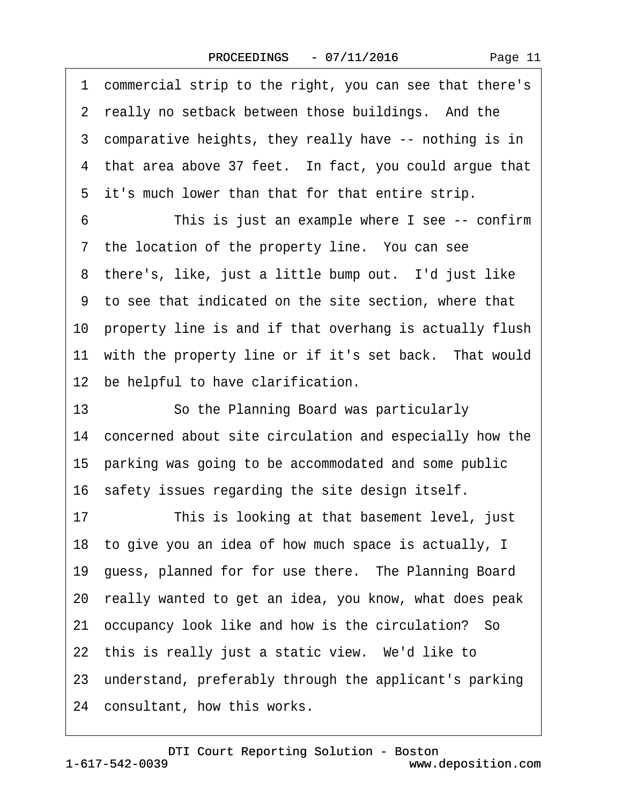·1· commercial strip to the right, you can see that there's 2 really no setback between those buildings. And the 3 comparative heights, they really have -- nothing is in 4 that area above 37 feet. In fact, you could argue that 5 it's much lower than that for that entire strip. 6 This is just an example where I see -- confirm 7 the location of the property line. You can see 8 there's, like, just a little bump out. I'd just like ·9· to see that indicated on the site section, where that 10 property line is and if that overhang is actually flush 11 with the property line or if it's set back. That would 12 be helpful to have clarification. 13 **· · · So the Planning Board was particularly** 14 concerned about site circulation and especially how the 15· parking was going to be accommodated and some public 16· safety issues regarding the site design itself. 17 This is looking at that basement level, just 18· to give you an idea of how much space is actually, I 19 guess, planned for for use there. The Planning Board 20· really wanted to get an idea, you know, what does peak 21 occupancy look like and how is the circulation? So 22 this is really just a static view. We'd like to 23· understand, preferably through the applicant's parking 24 consultant, how this works.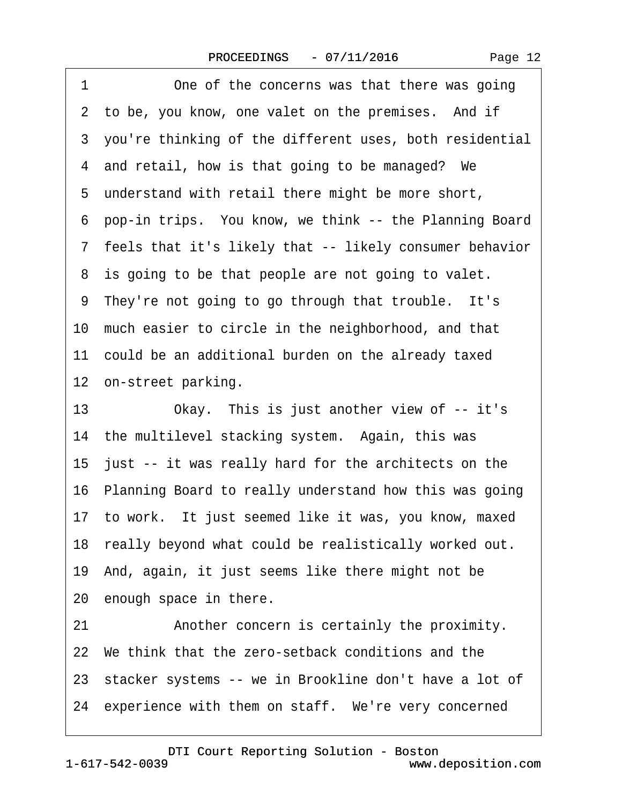1 One of the concerns was that there was going

|    | 2 to be, you know, one valet on the premises. And if      |
|----|-----------------------------------------------------------|
|    | 3 you're thinking of the different uses, both residential |
|    | 4 and retail, how is that going to be managed? We         |
|    | 5 understand with retail there might be more short,       |
|    | 6 pop-in trips. You know, we think -- the Planning Board  |
|    | 7 feels that it's likely that -- likely consumer behavior |
|    | 8 is going to be that people are not going to valet.      |
|    | 9 They're not going to go through that trouble. It's      |
|    | 10 much easier to circle in the neighborhood, and that    |
|    | 11 could be an additional burden on the already taxed     |
|    | 12 on-street parking.                                     |
| 13 | Okay. This is just another view of -- it's                |
|    | 14 the multilevel stacking system. Again, this was        |
|    | 15 just -- it was really hard for the architects on the   |
|    | 16 Planning Board to really understand how this was going |
|    | 17 to work. It just seemed like it was, you know, maxed   |
|    | 18 really beyond what could be realistically worked out.  |
|    | 19 And, again, it just seems like there might not be      |
|    | 20 enough space in there.                                 |
| 21 | Another concern is certainly the proximity.               |
|    | 22 We think that the zero-setback conditions and the      |
|    | 23 stacker systems -- we in Brookline don't have a lot of |

24 experience with them on staff. We're very concerned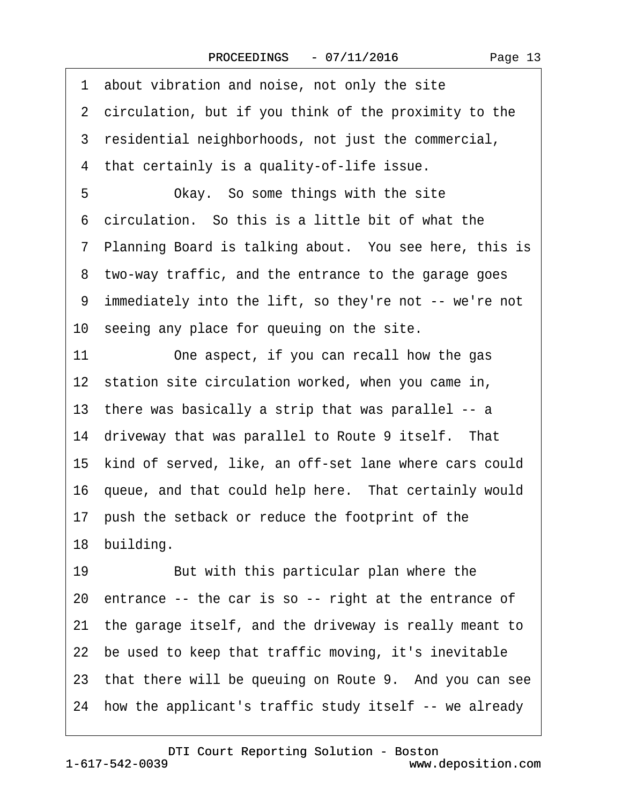1 about vibration and noise, not only the site 2 circulation, but if you think of the proximity to the 3 residential neighborhoods, not just the commercial, ·4· that certainly is a quality-of-life issue. 5 • Okay. So some things with the site ·6· circulation.· So this is a little bit of what the 7 Planning Board is talking about. You see here, this is 8 two-way traffic, and the entrance to the garage goes ·9· immediately into the lift, so they're not -- we're not 10 seeing any place for queuing on the site. 11 One aspect, if you can recall how the gas 12 station site circulation worked, when you came in, 13· there was basically a strip that was parallel -- a 14 driveway that was parallel to Route 9 itself. That 15· kind of served, like, an off-set lane where cars could 16 queue, and that could help here. That certainly would 17 push the setback or reduce the footprint of the 18 building. 19 **But with this particular plan where the** 20· entrance -- the car is so -- right at the entrance of 21· the garage itself, and the driveway is really meant to 22 be used to keep that traffic moving, it's inevitable 23 that there will be queuing on Route 9. And you can see 24· how the applicant's traffic study itself -- we already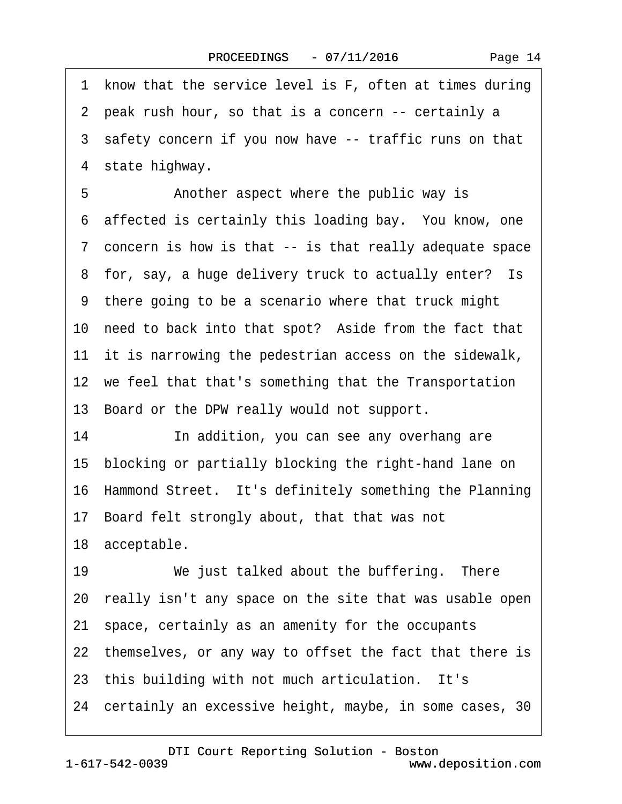Page 14

1 know that the service level is F, often at times during ·2· peak rush hour, so that is a concern -- certainly a 3 safety concern if you now have -- traffic runs on that 4 state highway. 5 • **Another aspect where the public way is** 6 affected is certainly this loading bay. You know, one ·7· concern is how is that -- is that really adequate space 8 for, say, a huge delivery truck to actually enter? Is ·9· there going to be a scenario where that truck might 10 need to back into that spot? Aside from the fact that 11 it is narrowing the pedestrian access on the sidewalk, 12 we feel that that's something that the Transportation 13 Board or the DPW really would not support. 14· · · · · ·In addition, you can see any overhang are 15· blocking or partially blocking the right-hand lane on 16 Hammond Street. It's definitely something the Planning 17· Board felt strongly about, that that was not 18 acceptable. 19 We just talked about the buffering. There 20· really isn't any space on the site that was usable open 21· space, certainly as an amenity for the occupants 22 themselves, or any way to offset the fact that there is 23 this building with not much articulation. It's 24 certainly an excessive height, maybe, in some cases, 30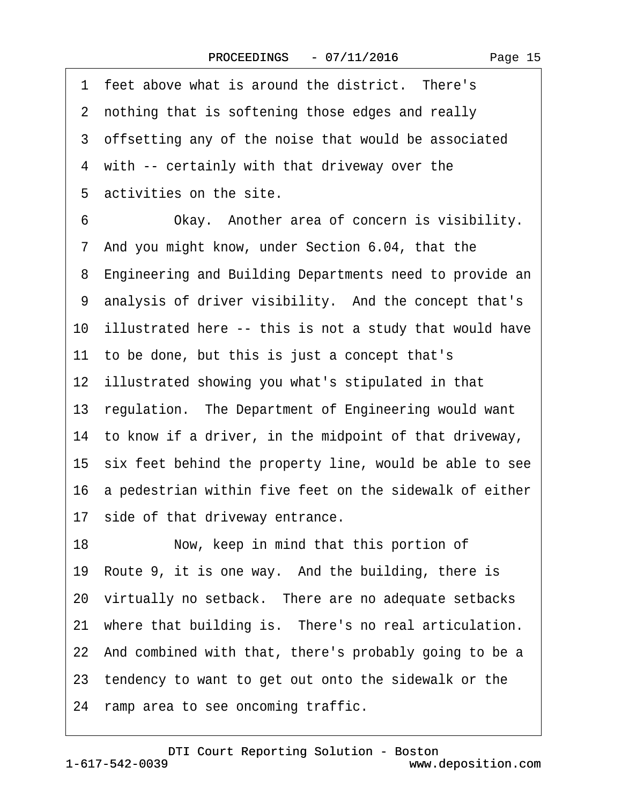|    | 1 feet above what is around the district. There's          |
|----|------------------------------------------------------------|
|    | 2 nothing that is softening those edges and really         |
|    | 3 offsetting any of the noise that would be associated     |
|    | 4 with -- certainly with that driveway over the            |
|    | 5 activities on the site.                                  |
| 6  | Okay. Another area of concern is visibility.               |
|    | 7 And you might know, under Section 6.04, that the         |
|    | 8 Engineering and Building Departments need to provide an  |
|    | 9 analysis of driver visibility. And the concept that's    |
|    | 10 illustrated here -- this is not a study that would have |
|    | 11 to be done, but this is just a concept that's           |
|    | 12 illustrated showing you what's stipulated in that       |
|    | 13 regulation. The Department of Engineering would want    |
|    | 14 to know if a driver, in the midpoint of that driveway,  |
|    | 15 six feet behind the property line, would be able to see |
|    | 16 a pedestrian within five feet on the sidewalk of either |
|    | 17 side of that driveway entrance.                         |
| 18 | Now, keep in mind that this portion of                     |
|    | 19 Route 9, it is one way. And the building, there is      |
|    | 20 virtually no setback. There are no adequate setbacks    |
|    | 21 where that building is. There's no real articulation.   |
|    | 22 And combined with that, there's probably going to be a  |
|    | 23 tendency to want to get out onto the sidewalk or the    |
|    |                                                            |

24 ramp area to see oncoming traffic.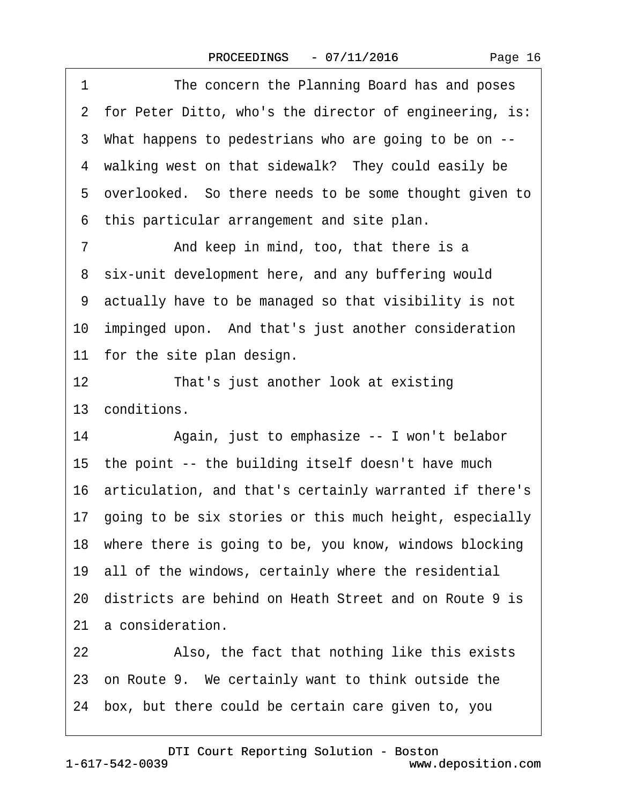|  | Page 16 |  |
|--|---------|--|
|--|---------|--|

1 The concern the Planning Board has and poses 2 for Peter Ditto, who's the director of engineering, is: ·3· What happens to pedestrians who are going to be on -- 4 walking west on that sidewalk? They could easily be 5 overlooked. So there needs to be some thought given to ·6· this particular arrangement and site plan. 7 **And keep in mind, too, that there is a** 8 six-unit development here, and any buffering would ·9· actually have to be managed so that visibility is not 10 impinged upon. And that's just another consideration 11 for the site plan design. 12 That's just another look at existing 13 conditions. 14 • Again, just to emphasize -- I won't belabor 15 the point -- the building itself doesn't have much 16· articulation, and that's certainly warranted if there's 17· going to be six stories or this much height, especially 18 where there is going to be, you know, windows blocking 19· all of the windows, certainly where the residential 20· districts are behind on Heath Street and on Route 9 is 21 a consideration. 22 Also, the fact that nothing like this exists 23 on Route 9. We certainly want to think outside the 24· box, but there could be certain care given to, you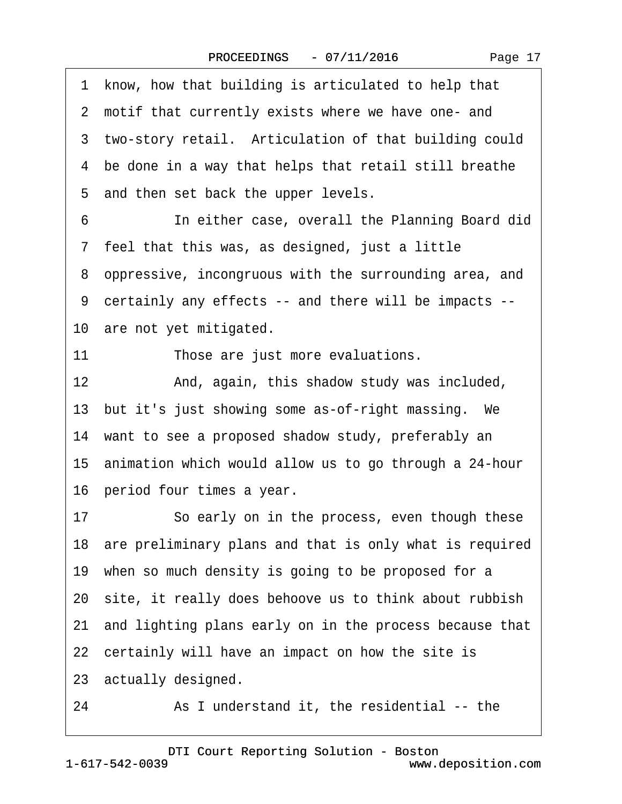·1· know, how that building is articulated to help that 2 motif that currently exists where we have one- and 3 two-story retail. Articulation of that building could 4 be done in a way that helps that retail still breathe 5 and then set back the upper levels. 6 **In either case, overall the Planning Board did** 7 feel that this was, as designed, just a little ·8· oppressive, incongruous with the surrounding area, and ·9· certainly any effects -- and there will be impacts -- 10 are not yet mitigated. 11 Those are just more evaluations. 12 • And, again, this shadow study was included, 13 but it's just showing some as-of-right massing. We 14 want to see a proposed shadow study, preferably an 15 animation which would allow us to go through a 24-hour 16 period four times a year. 17 · · So early on in the process, even though these 18 are preliminary plans and that is only what is required 19 when so much density is going to be proposed for a 20· site, it really does behoove us to think about rubbish 21· and lighting plans early on in the process because that 22 certainly will have an impact on how the site is 23· actually designed. 24 As I understand it, the residential -- the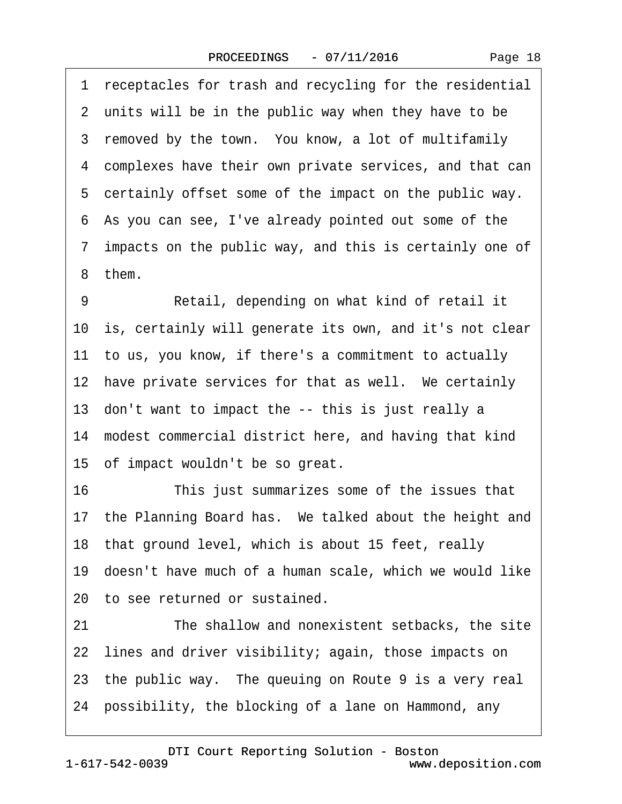|  | Page 18 |
|--|---------|
|--|---------|

1 receptacles for trash and recycling for the residential 2 units will be in the public way when they have to be 3 removed by the town. You know, a lot of multifamily ·4· complexes have their own private services, and that can 5 certainly offset some of the impact on the public way. ·6· As you can see, I've already pointed out some of the ·7· impacts on the public way, and this is certainly one of ·8· them. 9 Retail, depending on what kind of retail it 10· is, certainly will generate its own, and it's not clear 11 to us, you know, if there's a commitment to actually 12 have private services for that as well. We certainly 13· don't want to impact the -- this is just really a 14· modest commercial district here, and having that kind 15 of impact wouldn't be so great. 16 This just summarizes some of the issues that 17 the Planning Board has. We talked about the height and 18 that ground level, which is about 15 feet, really 19· doesn't have much of a human scale, which we would like 20 to see returned or sustained. 21 The shallow and nonexistent setbacks, the site 22 lines and driver visibility; again, those impacts on 23 the public way. The queuing on Route 9 is a very real 24· possibility, the blocking of a lane on Hammond, any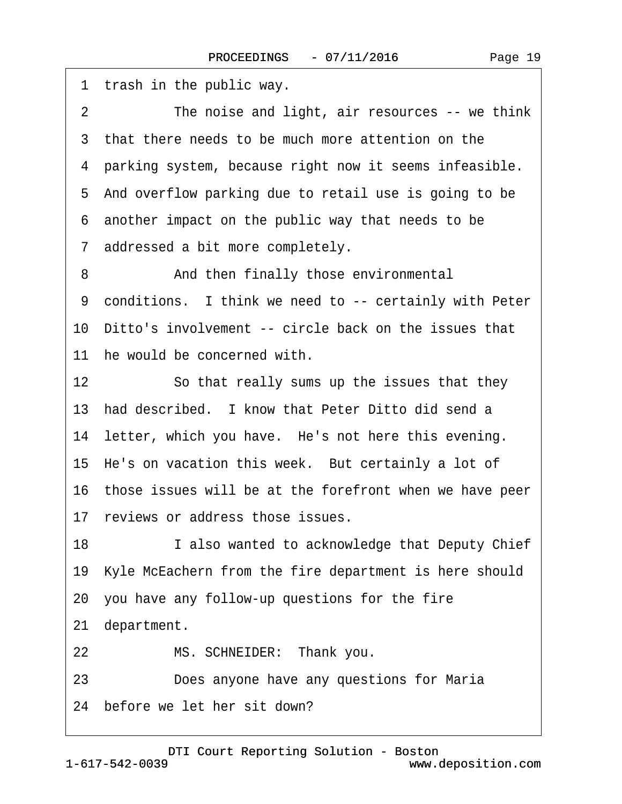1 trash in the public way. 2 The noise and light, air resources -- we think 3 that there needs to be much more attention on the ·4· parking system, because right now it seems infeasible. 5 And overflow parking due to retail use is going to be ·6· another impact on the public way that needs to be 7 addressed a bit more completely. 8 And then finally those environmental 9 conditions. I think we need to -- certainly with Peter 10 Ditto's involvement -- circle back on the issues that 11 he would be concerned with. 12 So that really sums up the issues that they 13 had described. I know that Peter Ditto did send a 14 letter, which you have. He's not here this evening. 15 He's on vacation this week. But certainly a lot of 16 those issues will be at the forefront when we have peer 17 reviews or address those issues. 18 I also wanted to acknowledge that Deputy Chief 19· Kyle McEachern from the fire department is here should 20· you have any follow-up questions for the fire 21 department. 22 MS. SCHNEIDER: Thank you. 23 **Does anyone have any questions for Maria** 

24 before we let her sit down?

1-617-542-0039 [DTI Court Reporting Solution - Boston](http://www.deposition.com) www.deposition.com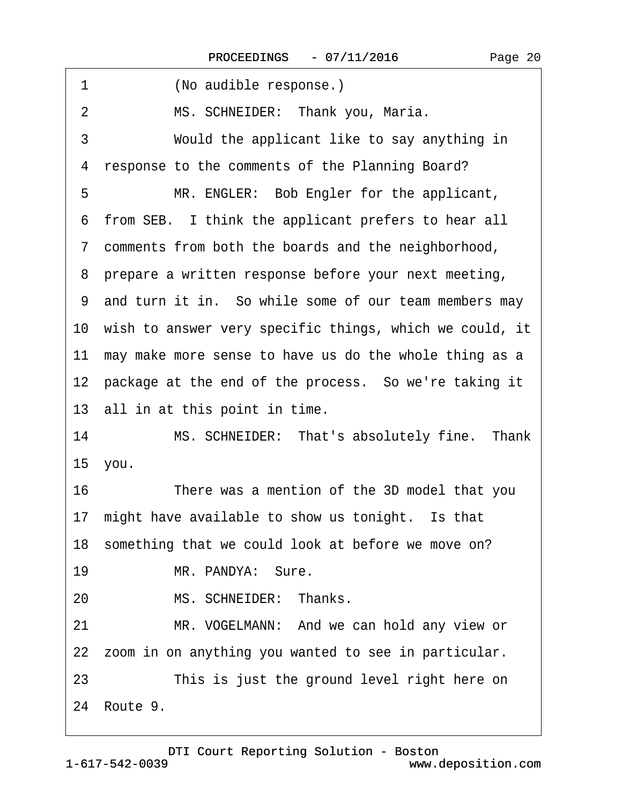| (No audible response.)<br>1                                |
|------------------------------------------------------------|
| $\overline{2}$<br>MS. SCHNEIDER: Thank you, Maria.         |
| 3<br>Would the applicant like to say anything in           |
| response to the comments of the Planning Board?<br>4       |
| MR. ENGLER: Bob Engler for the applicant,<br>5             |
| 6 from SEB. I think the applicant prefers to hear all      |
| 7 comments from both the boards and the neighborhood,      |
| 8 prepare a written response before your next meeting,     |
| 9 and turn it in. So while some of our team members may    |
| 10 wish to answer very specific things, which we could, it |
| 11 may make more sense to have us do the whole thing as a  |
| 12 package at the end of the process. So we're taking it   |
| 13 all in at this point in time.                           |
| MS. SCHNEIDER: That's absolutely fine. Thank<br>14         |
| 15 you.                                                    |
| 16<br>There was a mention of the 3D model that you         |
| 17 might have available to show us tonight. Is that        |
| 18 something that we could look at before we move on?      |
| 19<br>MR. PANDYA: Sure.                                    |
| MS. SCHNEIDER: Thanks.<br>20                               |
| MR. VOGELMANN: And we can hold any view or<br>21           |
| 22 zoom in on anything you wanted to see in particular.    |
| This is just the ground level right here on<br>23          |
| 24 Route 9.                                                |
|                                                            |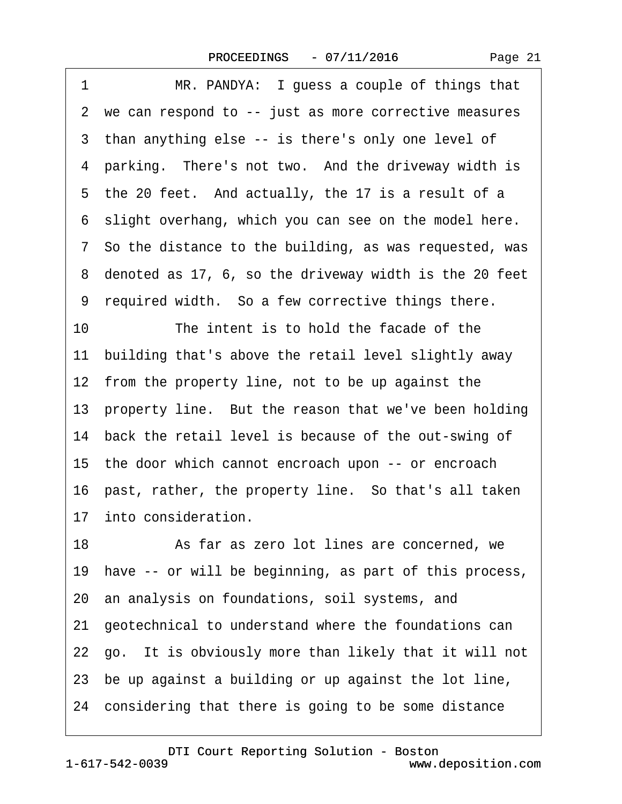| 1<br>MR. PANDYA: I guess a couple of things that          |
|-----------------------------------------------------------|
| 2 we can respond to -- just as more corrective measures   |
| 3 than anything else -- is there's only one level of      |
| 4 parking. There's not two. And the driveway width is     |
| 5 the 20 feet. And actually, the 17 is a result of a      |
| 6 slight overhang, which you can see on the model here.   |
| 7 So the distance to the building, as was requested, was  |
| 8 denoted as 17, 6, so the driveway width is the 20 feet  |
| 9 required width. So a few corrective things there.       |
| 10<br>The intent is to hold the facade of the             |
| 11 building that's above the retail level slightly away   |
| 12 from the property line, not to be up against the       |
| 13 property line. But the reason that we've been holding  |
| 14 back the retail level is because of the out-swing of   |
| 15 the door which cannot encroach upon -- or encroach     |
| 16 past, rather, the property line. So that's all taken   |
| 17 into consideration.                                    |
| 18<br>As far as zero lot lines are concerned, we          |
| 19 have -- or will be beginning, as part of this process, |
| 20 an analysis on foundations, soil systems, and          |
| 21 geotechnical to understand where the foundations can   |
| 22 go. It is obviously more than likely that it will not  |
| 23 be up against a building or up against the lot line,   |
| 24 considering that there is going to be some distance    |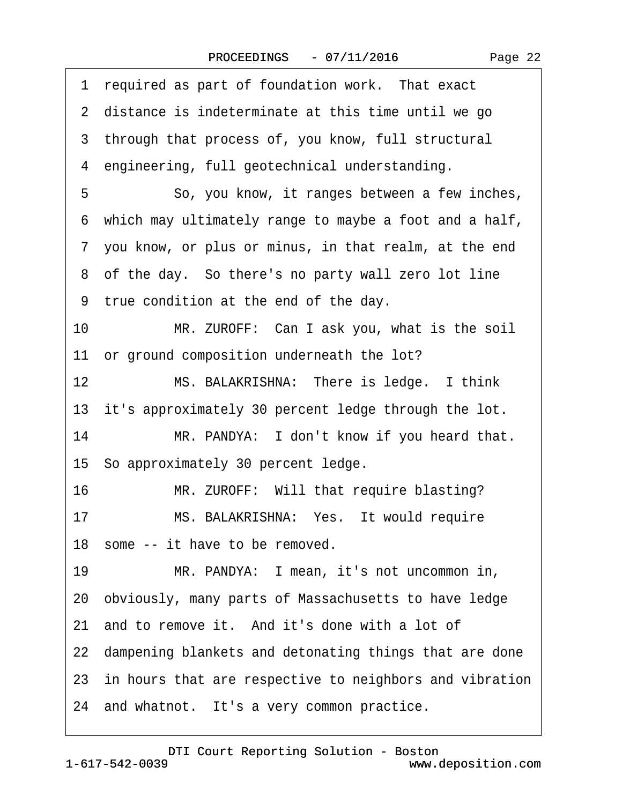| required as part of foundation work. That exact<br>1       |
|------------------------------------------------------------|
| 2 distance is indeterminate at this time until we go       |
| 3 through that process of, you know, full structural       |
| 4 engineering, full geotechnical understanding.            |
| 5<br>So, you know, it ranges between a few inches,         |
| 6 which may ultimately range to maybe a foot and a half,   |
| 7 you know, or plus or minus, in that realm, at the end    |
| 8 of the day. So there's no party wall zero lot line       |
| 9 true condition at the end of the day.                    |
| 10<br>MR. ZUROFF: Can I ask you, what is the soil          |
| 11 or ground composition underneath the lot?               |
| 12<br>MS. BALAKRISHNA: There is ledge. I think             |
| 13 it's approximately 30 percent ledge through the lot.    |
| 14<br>MR. PANDYA: I don't know if you heard that.          |
| 15 So approximately 30 percent ledge.                      |
| MR. ZUROFF: Will that require blasting?<br>16              |
| 17<br>MS. BALAKRISHNA: Yes. It would require               |
| 18 some -- it have to be removed.                          |
| MR. PANDYA: I mean, it's not uncommon in,<br>19            |
| 20 obviously, many parts of Massachusetts to have ledge    |
| 21 and to remove it. And it's done with a lot of           |
| 22 dampening blankets and detonating things that are done  |
| 23 in hours that are respective to neighbors and vibration |
| 24 and whatnot. It's a very common practice.               |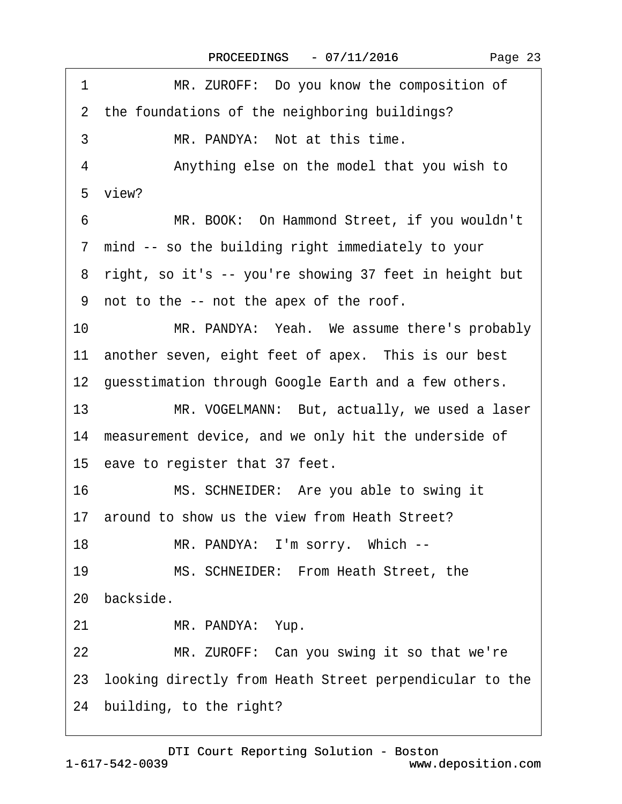| 1<br>MR. ZUROFF: Do you know the composition of            |
|------------------------------------------------------------|
| 2 the foundations of the neighboring buildings?            |
| MR. PANDYA: Not at this time.<br>3                         |
| 4<br>Anything else on the model that you wish to           |
| 5 view?                                                    |
| MR. BOOK: On Hammond Street, if you wouldn't<br>6          |
| 7 mind -- so the building right immediately to your        |
| 8 right, so it's -- you're showing 37 feet in height but   |
| 9 not to the -- not the apex of the roof.                  |
| 10<br>MR. PANDYA: Yeah. We assume there's probably         |
| 11 another seven, eight feet of apex. This is our best     |
| 12 guesstimation through Google Earth and a few others.    |
| 13<br>MR. VOGELMANN: But, actually, we used a laser        |
| 14 measurement device, and we only hit the underside of    |
| 15 eave to register that 37 feet.                          |
| 16<br>MS. SCHNEIDER: Are you able to swing it              |
| 17 around to show us the view from Heath Street?           |
| MR. PANDYA: I'm sorry. Which --<br>18                      |
| 19<br>MS. SCHNEIDER: From Heath Street, the                |
| 20 backside.                                               |
| 21<br>MR. PANDYA: Yup.                                     |
| 22<br>MR. ZUROFF: Can you swing it so that we're           |
| 23 looking directly from Heath Street perpendicular to the |
| 24 building, to the right?                                 |
|                                                            |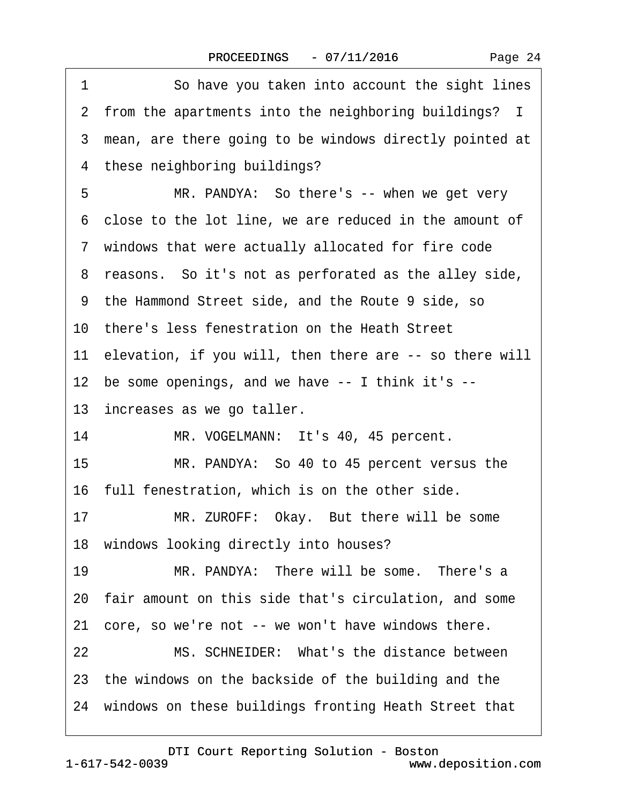|  | Page 24 |  |
|--|---------|--|
|--|---------|--|

| 1  | So have you taken into account the sight lines             |
|----|------------------------------------------------------------|
|    | 2 from the apartments into the neighboring buildings? I    |
|    | 3 mean, are there going to be windows directly pointed at  |
|    | 4 these neighboring buildings?                             |
| 5  | MR. PANDYA: So there's -- when we get very                 |
|    | 6 close to the lot line, we are reduced in the amount of   |
|    | 7 windows that were actually allocated for fire code       |
|    | 8 reasons. So it's not as perforated as the alley side,    |
|    | 9 the Hammond Street side, and the Route 9 side, so        |
|    | 10 there's less fenestration on the Heath Street           |
|    | 11 elevation, if you will, then there are -- so there will |
|    | 12 be some openings, and we have -- I think it's --        |
|    | 13 increases as we go taller.                              |
| 14 | MR. VOGELMANN: It's 40, 45 percent.                        |
| 15 | MR. PANDYA: So 40 to 45 percent versus the                 |
|    | 16 full fenestration, which is on the other side.          |
| 17 | MR. ZUROFF: Okay. But there will be some                   |
|    | 18 windows looking directly into houses?                   |
| 19 | MR. PANDYA: There will be some. There's a                  |
|    | 20 fair amount on this side that's circulation, and some   |
| 21 | core, so we're not -- we won't have windows there.         |
| 22 | MS. SCHNEIDER: What's the distance between                 |
|    | 23 the windows on the backside of the building and the     |
|    | 24 windows on these buildings fronting Heath Street that   |
|    |                                                            |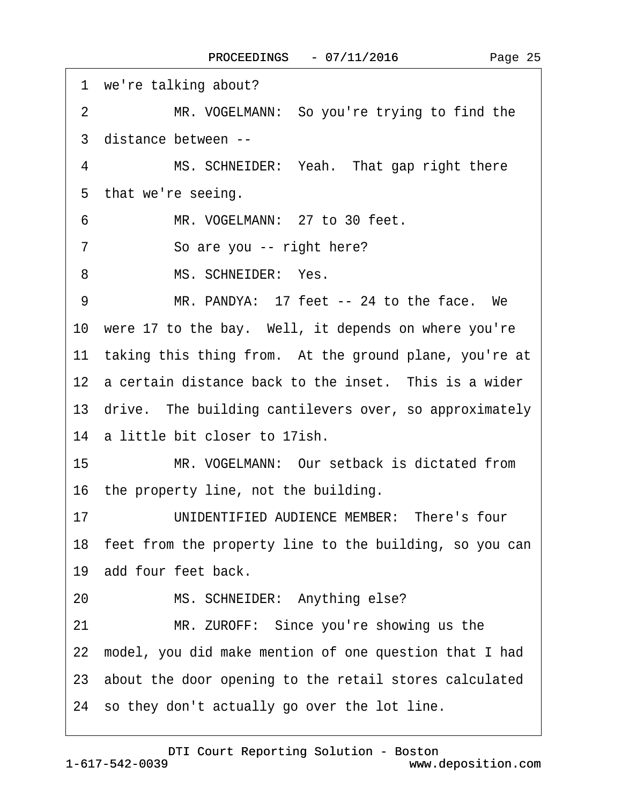1 we're talking about? 2 MR. VOGELMANN: So you're trying to find the ·3· distance between -- 4 MS. SCHNEIDER: Yeah. That gap right there 5 that we're seeing. 6 MR. VOGELMANN: 27 to 30 feet. 7 So are you -- right here? 8 MS. SCHNEIDER: Yes. 9 MR. PANDYA: 17 feet -- 24 to the face. We 10 were 17 to the bay. Well, it depends on where you're 11 taking this thing from. At the ground plane, you're at 12 a certain distance back to the inset. This is a wider 13 drive. The building cantilevers over, so approximately 14 a little bit closer to 17ish. 15 MR. VOGELMANN: Our setback is dictated from 16 the property line, not the building. 17 UNIDENTIFIED AUDIENCE MEMBER: There's four 18 feet from the property line to the building, so you can 19 add four feet back. 20 MS. SCHNEIDER: Anything else? 21 MR. ZUROFF: Since you're showing us the 22· model, you did make mention of one question that I had 23· about the door opening to the retail stores calculated 24· so they don't actually go over the lot line.

1-617-542-0039 [DTI Court Reporting Solution - Boston](http://www.deposition.com) www.deposition.com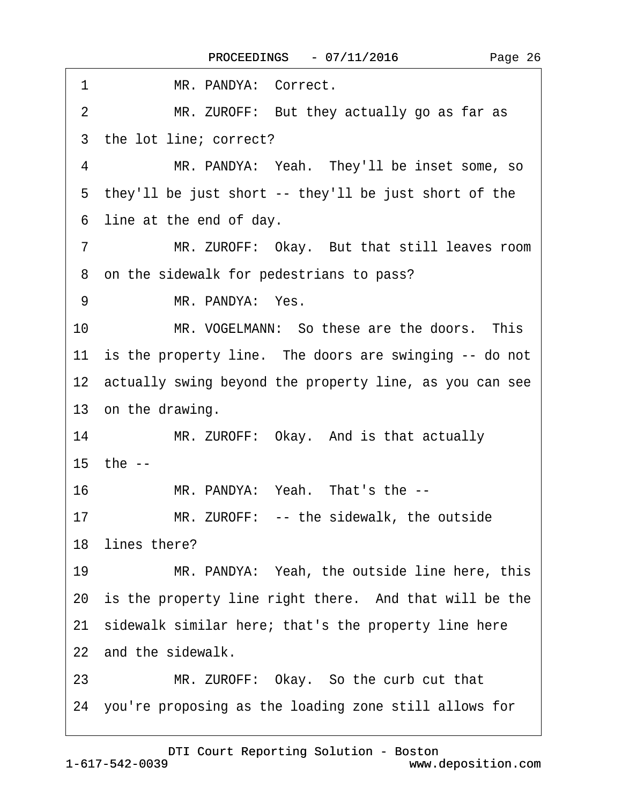| MR. PANDYA: Correct.<br>1                                      |
|----------------------------------------------------------------|
| MR. ZUROFF: But they actually go as far as<br>$\overline{2}$   |
| 3 the lot line; correct?                                       |
| MR. PANDYA: Yeah. They'll be inset some, so<br>4               |
| 5 they'll be just short -- they'll be just short of the        |
| line at the end of day.<br>6                                   |
| $\overline{7}$<br>MR. ZUROFF: Okay. But that still leaves room |
| 8 on the sidewalk for pedestrians to pass?                     |
| MR. PANDYA: Yes.<br>9                                          |
| MR. VOGELMANN: So these are the doors. This<br>10              |
| 11 is the property line. The doors are swinging -- do not      |
| 12 actually swing beyond the property line, as you can see     |
| 13 on the drawing.                                             |
| MR. ZUROFF: Okay. And is that actually<br>14                   |
| 15 the --                                                      |
| 16<br>MR. PANDYA: Yeah. That's the --                          |
| MR. ZUROFF: -- the sidewalk, the outside<br>17                 |
| 18 lines there?                                                |
| MR. PANDYA: Yeah, the outside line here, this<br>19            |
| 20 is the property line right there. And that will be the      |
| 21 sidewalk similar here; that's the property line here        |
| 22 and the sidewalk.                                           |
| MR. ZUROFF: Okay. So the curb cut that<br>23                   |
| 24 you're proposing as the loading zone still allows for       |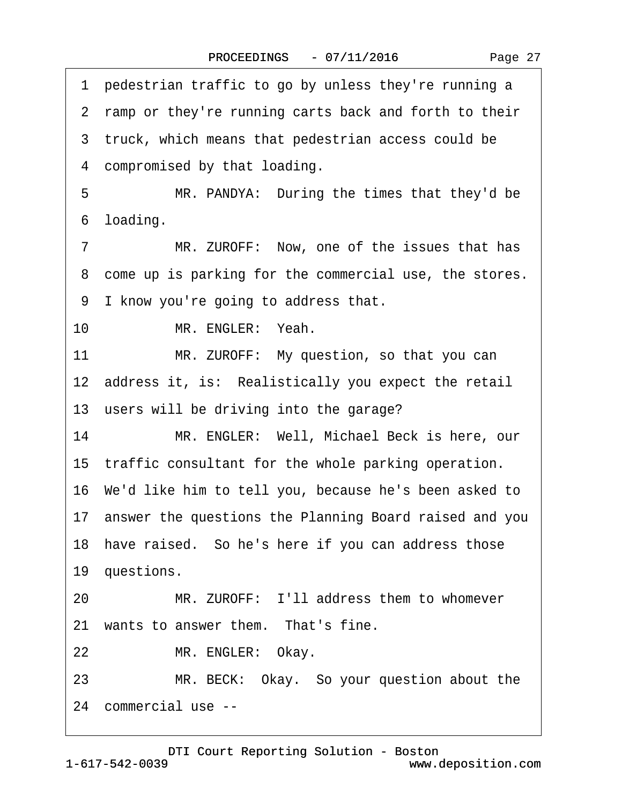1 pedestrian traffic to go by unless they're running a 2 ramp or they're running carts back and forth to their 3 truck, which means that pedestrian access could be 4 compromised by that loading. 5 MR. PANDYA: During the times that they'd be 6 loading. 7 MR. ZUROFF: Now, one of the issues that has 8 come up is parking for the commercial use, the stores. ·9· I know you're going to address that. 10 MR. ENGLER: Yeah. 11 MR. ZUROFF: My question, so that you can 12 address it, is: Realistically you expect the retail 13 users will be driving into the garage? 14 MR. ENGLER: Well, Michael Beck is here, our 15 traffic consultant for the whole parking operation. 16· We'd like him to tell you, because he's been asked to 17· answer the questions the Planning Board raised and you 18 have raised. So he's here if you can address those 19 questions. 20 MR. ZUROFF: I'll address them to whomever 21 wants to answer them. That's fine. 22 MR. ENGLER: Okay. 23 MR. BECK: Okay. So your question about the 24· commercial use --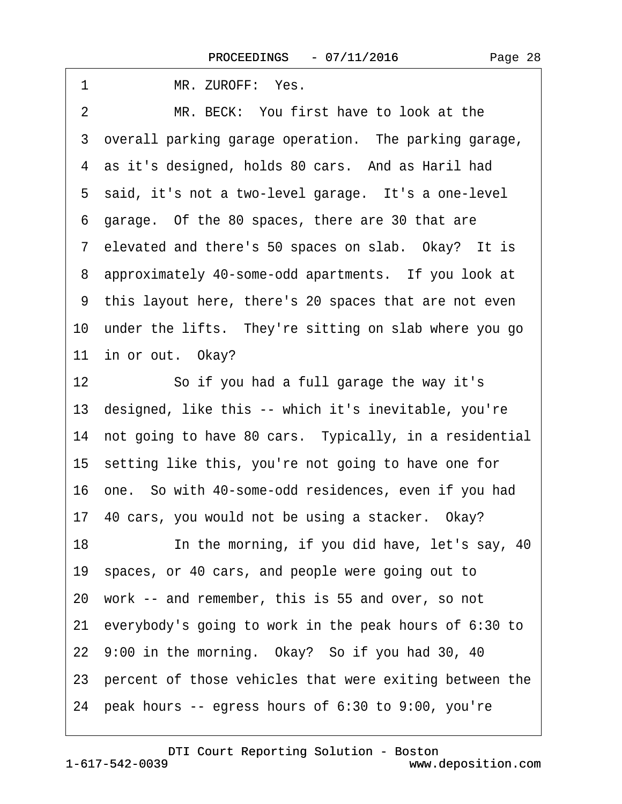| MR. ZUROFF: Yes.<br>1                                       |
|-------------------------------------------------------------|
| $\overline{2}$<br>MR. BECK: You first have to look at the   |
| 3 overall parking garage operation. The parking garage,     |
| 4 as it's designed, holds 80 cars. And as Haril had         |
| 5 said, it's not a two-level garage. It's a one-level       |
| 6 garage. Of the 80 spaces, there are 30 that are           |
| 7 elevated and there's 50 spaces on slab. Okay? It is       |
| 8 approximately 40-some-odd apartments. If you look at      |
| 9 this layout here, there's 20 spaces that are not even     |
| 10 under the lifts. They're sitting on slab where you go    |
| 11 in or out. Okay?                                         |
| So if you had a full garage the way it's<br>12 <sup>7</sup> |
| 13 designed, like this -- which it's inevitable, you're     |
| 14 not going to have 80 cars. Typically, in a residential   |
| 15 setting like this, you're not going to have one for      |
| 16 one. So with 40-some-odd residences, even if you had     |
| 17 40 cars, you would not be using a stacker. Okay?         |
| 18<br>In the morning, if you did have, let's say, 40        |
| 19 spaces, or 40 cars, and people were going out to         |
| 20 work -- and remember, this is 55 and over, so not        |
| 21 everybody's going to work in the peak hours of 6:30 to   |
| 22 9:00 in the morning. Okay? So if you had 30, 40          |
| 23 percent of those vehicles that were exiting between the  |
| 24 peak hours -- egress hours of 6:30 to 9:00, you're       |
|                                                             |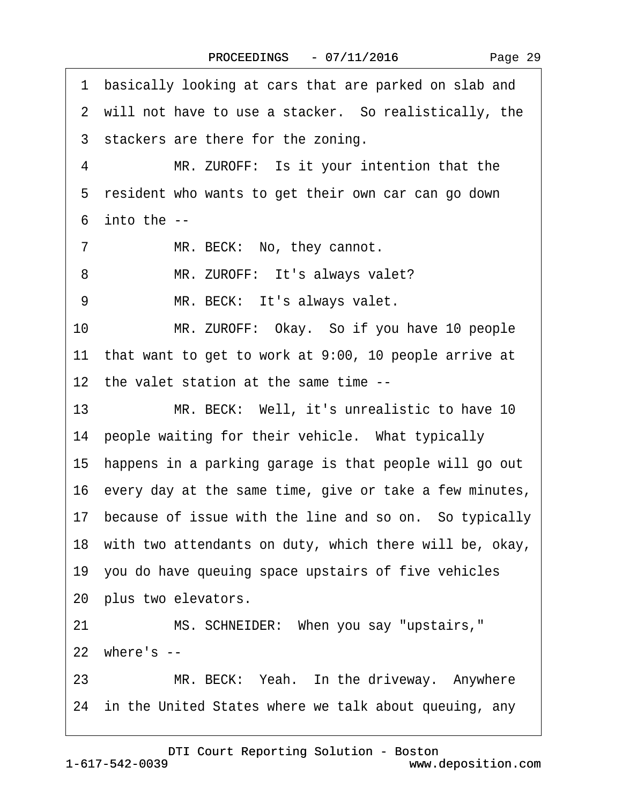| 1  | basically looking at cars that are parked on slab and      |
|----|------------------------------------------------------------|
|    | 2 will not have to use a stacker. So realistically, the    |
|    | 3 stackers are there for the zoning.                       |
| 4  | MR. ZUROFF: Is it your intention that the                  |
|    | 5 resident who wants to get their own car can go down      |
|    | $6$ into the $-$                                           |
| 7  | MR. BECK: No, they cannot.                                 |
| 8  | MR. ZUROFF: It's always valet?                             |
| 9  | MR. BECK: It's always valet.                               |
| 10 | MR. ZUROFF: Okay. So if you have 10 people                 |
|    | 11 that want to get to work at 9:00, 10 people arrive at   |
|    | 12 the valet station at the same time --                   |
| 13 | MR. BECK: Well, it's unrealistic to have 10                |
|    | 14 people waiting for their vehicle. What typically        |
|    | 15 happens in a parking garage is that people will go out  |
|    | 16 every day at the same time, give or take a few minutes, |
|    | 17 because of issue with the line and so on. So typically  |
|    | 18 with two attendants on duty, which there will be, okay, |
|    | 19 you do have queuing space upstairs of five vehicles     |
|    | 20 plus two elevators.                                     |
| 21 | MS. SCHNEIDER: When you say "upstairs,"                    |
|    | 22 where's --                                              |
| 23 | MR. BECK: Yeah. In the driveway. Anywhere                  |
|    | 24 in the United States where we talk about queuing, any   |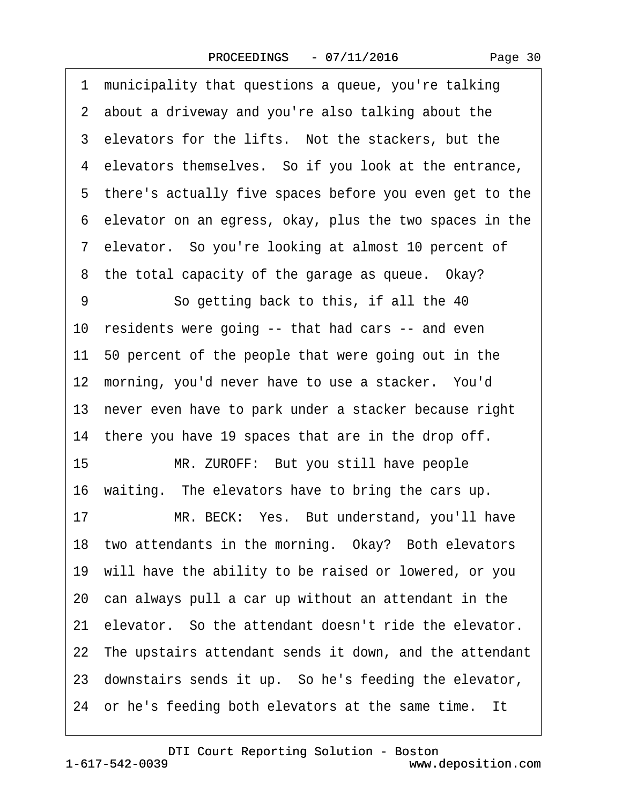| Page 30 |  |
|---------|--|
|---------|--|

·1· municipality that questions a queue, you're talking 2 about a driveway and you're also talking about the 3 elevators for the lifts. Not the stackers, but the 4 elevators themselves. So if you look at the entrance, 5 there's actually five spaces before you even get to the ·6· elevator on an egress, okay, plus the two spaces in the ·7· elevator.· So you're looking at almost 10 percent of 8 the total capacity of the garage as queue. Okay? 9 **So getting back to this, if all the 40** 10 residents were going -- that had cars -- and even 11· 50 percent of the people that were going out in the 12 morning, you'd never have to use a stacker. You'd 13 never even have to park under a stacker because right 14 there you have 19 spaces that are in the drop off. 15 MR. ZUROFF: But you still have people 16· waiting.· The elevators have to bring the cars up. 17 MR. BECK: Yes. But understand, you'll have 18 two attendants in the morning. Okay? Both elevators 19· will have the ability to be raised or lowered, or you 20· can always pull a car up without an attendant in the 21 elevator. So the attendant doesn't ride the elevator. 22 The upstairs attendant sends it down, and the attendant 23 downstairs sends it up. So he's feeding the elevator, 24 or he's feeding both elevators at the same time. It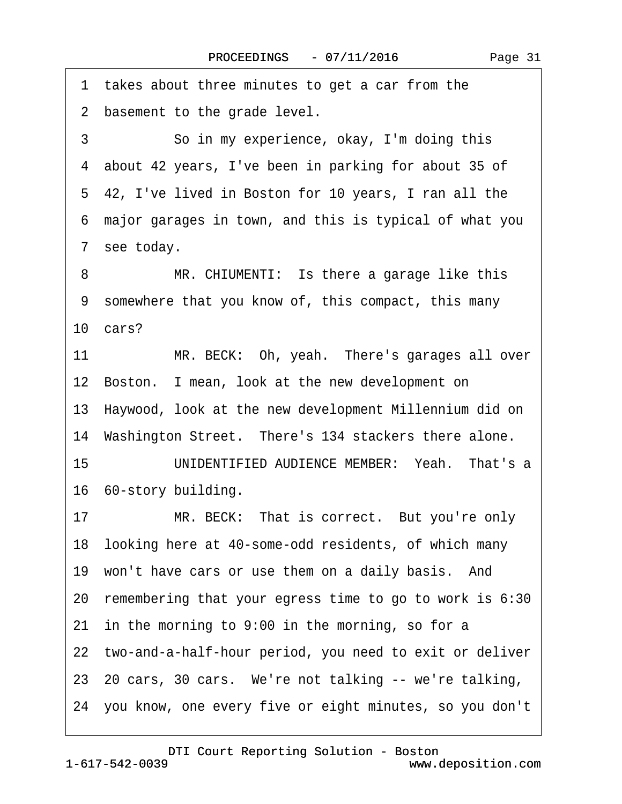1 takes about three minutes to get a car from the 2 basement to the grade level. 3 **So in my experience, okay, I'm doing this** ·4· about 42 years, I've been in parking for about 35 of ·5· 42, I've lived in Boston for 10 years, I ran all the ·6· major garages in town, and this is typical of what you 7 see today. 8 MR. CHIUMENTI: Is there a garage like this ·9· somewhere that you know of, this compact, this many 10 $cars?$ 11 MR. BECK: Oh, yeah. There's garages all over 12 Boston. I mean, look at the new development on 13· Haywood, look at the new development Millennium did on 14 Washington Street. There's 134 stackers there alone. 15 **IONIDENTIFIED AUDIENCE MEMBER:** Yeah. That's a 16 60-story building. 17 MR. BECK: That is correct. But you're only 18 looking here at 40-some-odd residents, of which many 19 won't have cars or use them on a daily basis. And 20· remembering that your egress time to go to work is 6:30 21 in the morning to 9:00 in the morning, so for a 22 two-and-a-half-hour period, you need to exit or deliver 23–20 cars, 30 cars. We're not talking -- we're talking, 24· you know, one every five or eight minutes, so you don't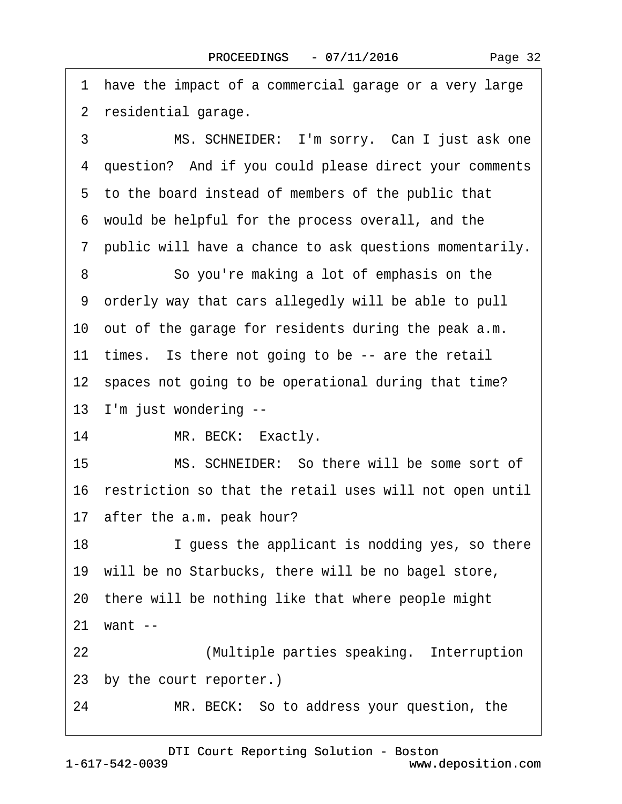1 have the impact of a commercial garage or a very large 2 residential garage. 3 MS. SCHNEIDER: I'm sorry. Can I just ask one 4 question? And if you could please direct your comments ·5· to the board instead of members of the public that ·6· would be helpful for the process overall, and the ·7· public will have a chance to ask questions momentarily. 8 **8** · · So you're making a lot of emphasis on the ·9· orderly way that cars allegedly will be able to pull 10 out of the garage for residents during the peak a.m. 11 times. Is there not going to be -- are the retail 12 spaces not going to be operational during that time? 13 I'm just wondering --14 MR. BECK: Exactly. 15· · · · · ·MS. SCHNEIDER:· So there will be some sort of 16 restriction so that the retail uses will not open until 17 after the a.m. peak hour? 18 I guess the applicant is nodding yes, so there 19 will be no Starbucks, there will be no bagel store, 20· there will be nothing like that where people might 21 want --22 **/** *Multiple parties speaking.* Interruption 23 by the court reporter.) 24 MR. BECK: So to address your question, the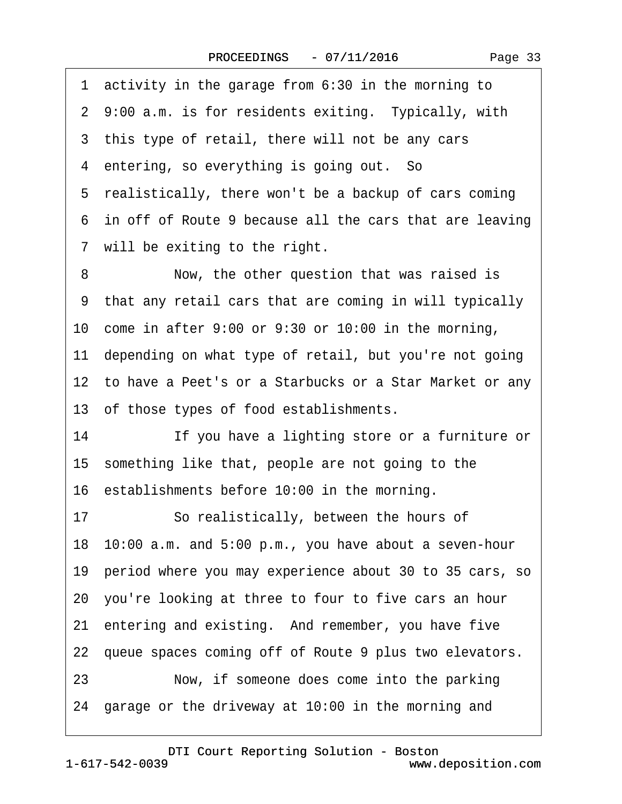| 1 activity in the garage from 6:30 in the morning to       |
|------------------------------------------------------------|
| 2 9:00 a.m. is for residents exiting. Typically, with      |
| 3 this type of retail, there will not be any cars          |
| 4 entering, so everything is going out. So                 |
| 5 realistically, there won't be a backup of cars coming    |
| 6 in off of Route 9 because all the cars that are leaving  |
| 7 will be exiting to the right.                            |
| 8<br>Now, the other question that was raised is            |
| 9 that any retail cars that are coming in will typically   |
| 10 come in after 9:00 or 9:30 or 10:00 in the morning,     |
| 11 depending on what type of retail, but you're not going  |
| 12 to have a Peet's or a Starbucks or a Star Market or any |
| 13 of those types of food establishments.                  |
| 14<br>If you have a lighting store or a furniture or       |
| 15 something like that, people are not going to the        |
| 16 establishments before 10:00 in the morning.             |
| 17<br>So realistically, between the hours of               |
| 18 10:00 a.m. and 5:00 p.m., you have about a seven-hour   |
| 19 period where you may experience about 30 to 35 cars, so |
| 20 you're looking at three to four to five cars an hour    |
| 21 entering and existing. And remember, you have five      |
| 22 queue spaces coming off of Route 9 plus two elevators.  |
| Now, if someone does come into the parking<br>23           |
| 24 garage or the driveway at 10:00 in the morning and      |
|                                                            |

 $\sqrt{ }$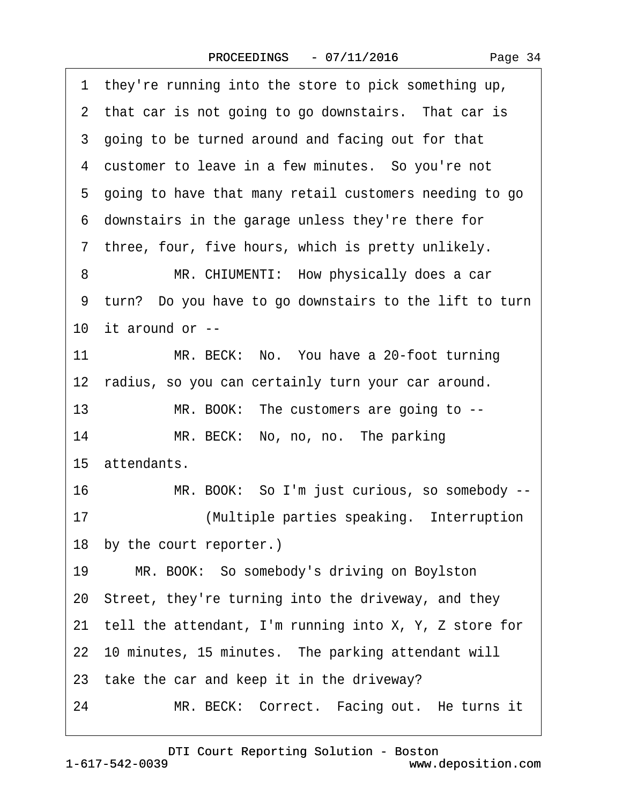·1· they're running into the store to pick something up, 2 that car is not going to go downstairs. That car is 3 going to be turned around and facing out for that 4 customer to leave in a few minutes. So you're not ·5· going to have that many retail customers needing to go ·6· downstairs in the garage unless they're there for 7 three, four, five hours, which is pretty unlikely. 8 MR. CHIUMENTI: How physically does a car 9 turn? Do you have to go downstairs to the lift to turn 10 it around or  $-$ 11 MR. BECK: No. You have a 20-foot turning 12 radius, so you can certainly turn your car around. 13 MR. BOOK: The customers are going to --14 MR. BECK: No, no, no. The parking 15 attendants. 16 MR. BOOK: So I'm just curious, so somebody --17· · · · · · · ·(Multiple parties speaking.· Interruption 18 by the court reporter.) 19 MR. BOOK: So somebody's driving on Boylston 20· Street, they're turning into the driveway, and they 21 tell the attendant, I'm running into  $X$ , Y, Z store for 22 10 minutes, 15 minutes. The parking attendant will 23 take the car and keep it in the driveway? 24 MR. BECK: Correct. Facing out. He turns it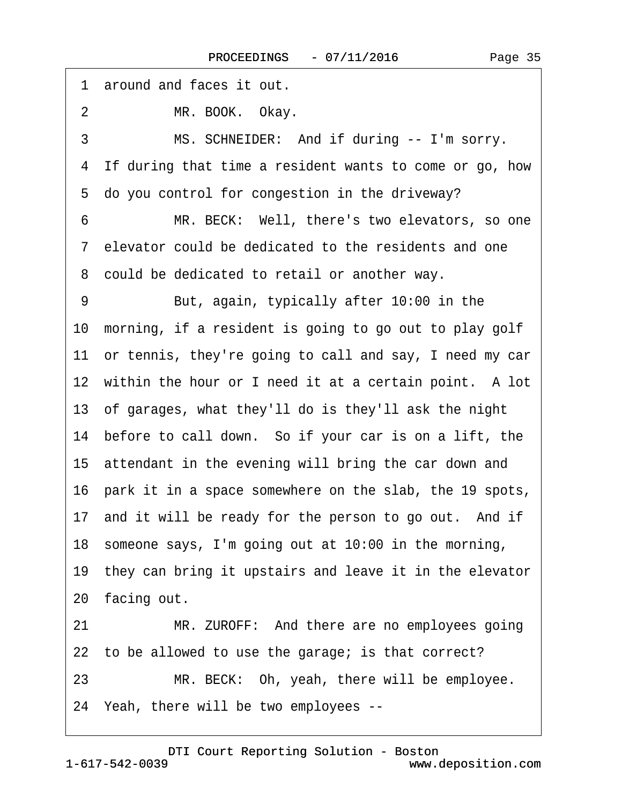| 1 around and faces it out.                                 |
|------------------------------------------------------------|
| MR. BOOK. Okay.<br>$\overline{2}$                          |
| MS. SCHNEIDER: And if during -- I'm sorry.<br>3            |
| 4 If during that time a resident wants to come or go, how  |
| 5 do you control for congestion in the driveway?           |
| MR. BECK: Well, there's two elevators, so one<br>6         |
| 7 elevator could be dedicated to the residents and one     |
| 8 could be dedicated to retail or another way.             |
| But, again, typically after 10:00 in the<br>9              |
| 10 morning, if a resident is going to go out to play golf  |
| 11 or tennis, they're going to call and say, I need my car |
| 12 within the hour or I need it at a certain point. A lot  |
| 13 of garages, what they'll do is they'll ask the night    |
| 14 before to call down. So if your car is on a lift, the   |
| 15 attendant in the evening will bring the car down and    |
| 16 park it in a space somewhere on the slab, the 19 spots, |
| 17 and it will be ready for the person to go out. And if   |
| 18 someone says, I'm going out at 10:00 in the morning,    |
| 19 they can bring it upstairs and leave it in the elevator |
| 20 facing out.                                             |
| 21<br>MR. ZUROFF: And there are no employees going         |
| 22 to be allowed to use the garage; is that correct?       |
| MR. BECK: Oh, yeah, there will be employee.<br>23          |
| 24 Yeah, there will be two employees --                    |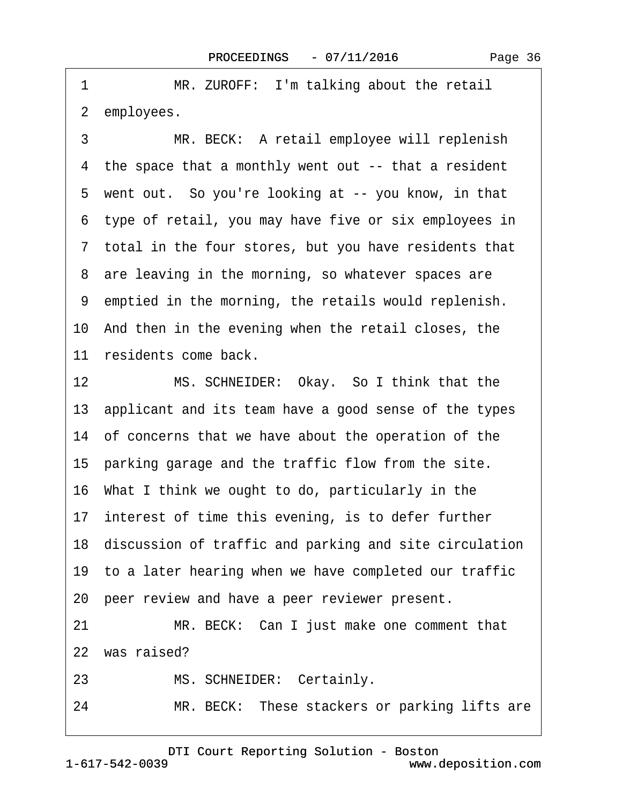1 MR. ZUROFF: I'm talking about the retail 2 employees.

3 MR. BECK: A retail employee will replenish 4 the space that a monthly went out -- that a resident 5 went out. So you're looking at -- you know, in that ·6· type of retail, you may have five or six employees in ·7· total in the four stores, but you have residents that 8 are leaving in the morning, so whatever spaces are ·9· emptied in the morning, the retails would replenish. 10 And then in the evening when the retail closes, the 11 residents come back.

12 MS. SCHNEIDER: Okay. So I think that the 13· applicant and its team have a good sense of the types 14· of concerns that we have about the operation of the 15 parking garage and the traffic flow from the site. 16· What I think we ought to do, particularly in the 17 interest of time this evening, is to defer further 18· discussion of traffic and parking and site circulation 19· to a later hearing when we have completed our traffic 20 peer review and have a peer reviewer present. 21 MR. BECK: Can I just make one comment that 22 was raised? 23 MS. SCHNEIDER: Certainly.

24 MR. BECK: These stackers or parking lifts are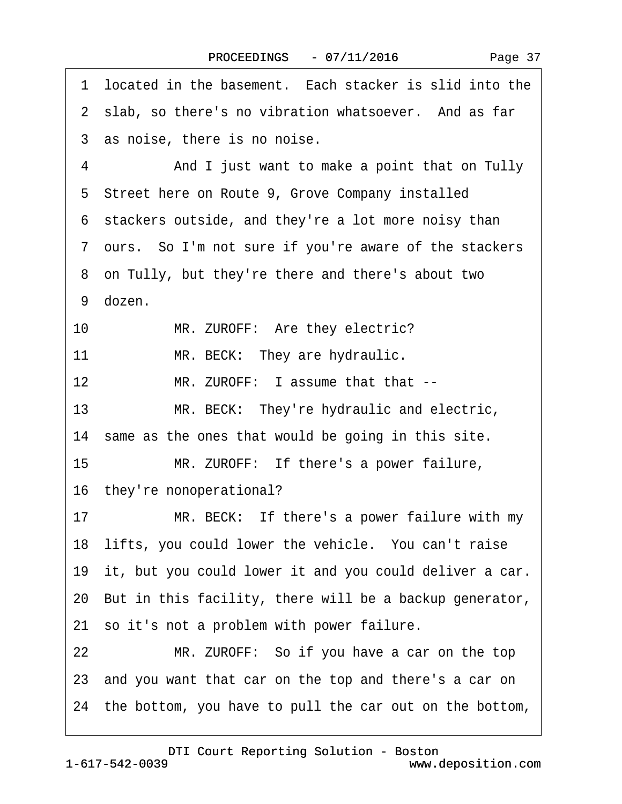| Page 37 |  |
|---------|--|
|---------|--|

1 located in the basement. Each stacker is slid into the 2 slab, so there's no vibration whatsoever. And as far 3 as noise, there is no noise. 4 And I just want to make a point that on Tully 5 Street here on Route 9, Grove Company installed ·6· stackers outside, and they're a lot more noisy than ·7· ours.· So I'm not sure if you're aware of the stackers ·8· on Tully, but they're there and there's about two 9 dozen. 10 MR. ZUROFF: Are they electric? 11 MR. BECK: They are hydraulic. 12 MR. ZUROFF: I assume that that --13 MR. BECK: They're hydraulic and electric, 14 same as the ones that would be going in this site. 15 MR. ZUROFF: If there's a power failure, 16 they're nonoperational? 17 MR. BECK: If there's a power failure with my 18 lifts, you could lower the vehicle. You can't raise 19 it, but you could lower it and you could deliver a car. 20· But in this facility, there will be a backup generator, 21 so it's not a problem with power failure. 22 MR. ZUROFF: So if you have a car on the top 23· and you want that car on the top and there's a car on 24· the bottom, you have to pull the car out on the bottom,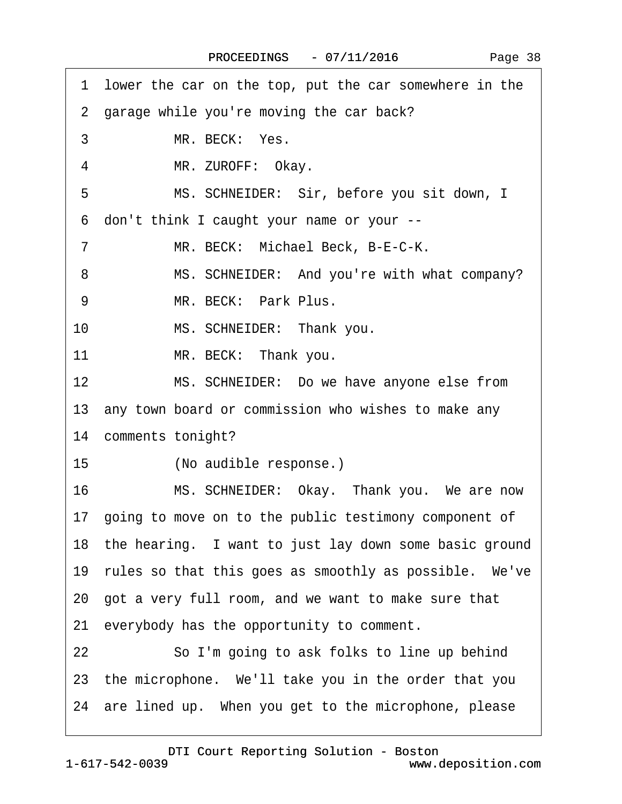|    | 1 lower the car on the top, put the car somewhere in the  |
|----|-----------------------------------------------------------|
|    | 2 garage while you're moving the car back?                |
| 3  | MR. BECK: Yes.                                            |
| 4  | MR. ZUROFF: Okay.                                         |
| 5  | MS. SCHNEIDER: Sir, before you sit down, I                |
|    | 6 don't think I caught your name or your --               |
| 7  | MR. BECK: Michael Beck, B-E-C-K.                          |
| 8  | MS. SCHNEIDER: And you're with what company?              |
| 9  | MR. BECK: Park Plus.                                      |
| 10 | MS. SCHNEIDER: Thank you.                                 |
| 11 | MR. BECK: Thank you.                                      |
| 12 | MS. SCHNEIDER: Do we have anyone else from                |
|    | 13 any town board or commission who wishes to make any    |
|    | 14 comments tonight?                                      |
| 15 | (No audible response.)                                    |
| 16 | MS. SCHNEIDER: Okay. Thank you. We are now                |
|    | 17 going to move on to the public testimony component of  |
|    | 18 the hearing. I want to just lay down some basic ground |
|    | 19 rules so that this goes as smoothly as possible. We've |
|    | 20 got a very full room, and we want to make sure that    |
|    | 21 everybody has the opportunity to comment.              |
| 22 | So I'm going to ask folks to line up behind               |
|    | 23 the microphone. We'll take you in the order that you   |
|    | 24 are lined up. When you get to the microphone, please   |
|    |                                                           |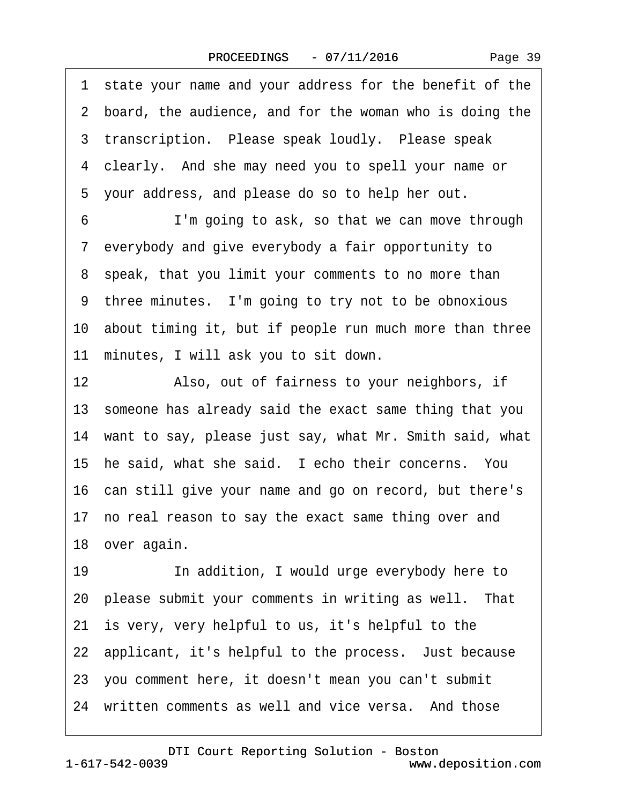·1· state your name and your address for the benefit of the 2 board, the audience, and for the woman who is doing the 3 transcription. Please speak loudly. Please speak 4 clearly. And she may need you to spell your name or 5 your address, and please do so to help her out.

6 **I'm going to ask, so that we can move through** ·7· everybody and give everybody a fair opportunity to 8 speak, that you limit your comments to no more than 9 three minutes. I'm going to try not to be obnoxious 10· about timing it, but if people run much more than three 11 minutes, I will ask you to sit down.

12 • Also, out of fairness to your neighbors, if 13· someone has already said the exact same thing that you 14· want to say, please just say, what Mr. Smith said, what 15 he said, what she said. I echo their concerns. You 16· can still give your name and go on record, but there's 17 no real reason to say the exact same thing over and 18 over again.

19 **· · · · · · · · · · · ·** In addition, I would urge everybody here to 20 please submit your comments in writing as well. That 21 is very, very helpful to us, it's helpful to the 22 applicant, it's helpful to the process. Just because 23· you comment here, it doesn't mean you can't submit 24 written comments as well and vice versa. And those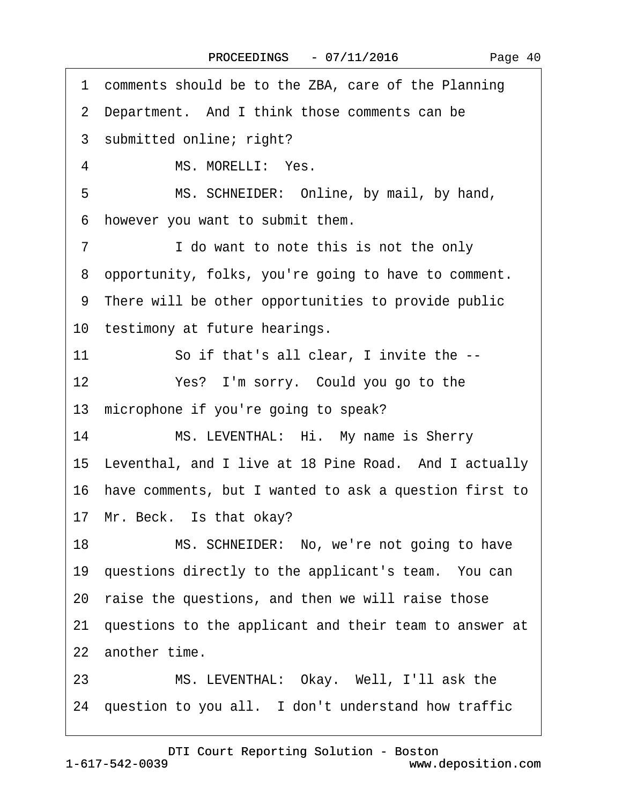·1· comments should be to the ZBA, care of the Planning 2 Department. And I think those comments can be 3 submitted online; right? 4 MS. MORELLI: Yes. 5 MS. SCHNEIDER: Online, by mail, by hand, ·6· however you want to submit them. 7 I do want to note this is not the only ·8· opportunity, folks, you're going to have to comment. ·9· There will be other opportunities to provide public 10 testimony at future hearings. 11 So if that's all clear, I invite the --12 Yes? I'm sorry. Could you go to the 13 microphone if you're going to speak? 14 MS. LEVENTHAL: Hi. My name is Sherry 15 Leventhal, and I live at 18 Pine Road. And I actually 16· have comments, but I wanted to ask a question first to 17 Mr. Beck. Is that okay? 18 MS. SCHNEIDER: No, we're not going to have 19 questions directly to the applicant's team. You can 20 raise the questions, and then we will raise those 21· questions to the applicant and their team to answer at 22 another time. 23 MS. LEVENTHAL: Okay. Well, I'll ask the 24 question to you all. I don't understand how traffic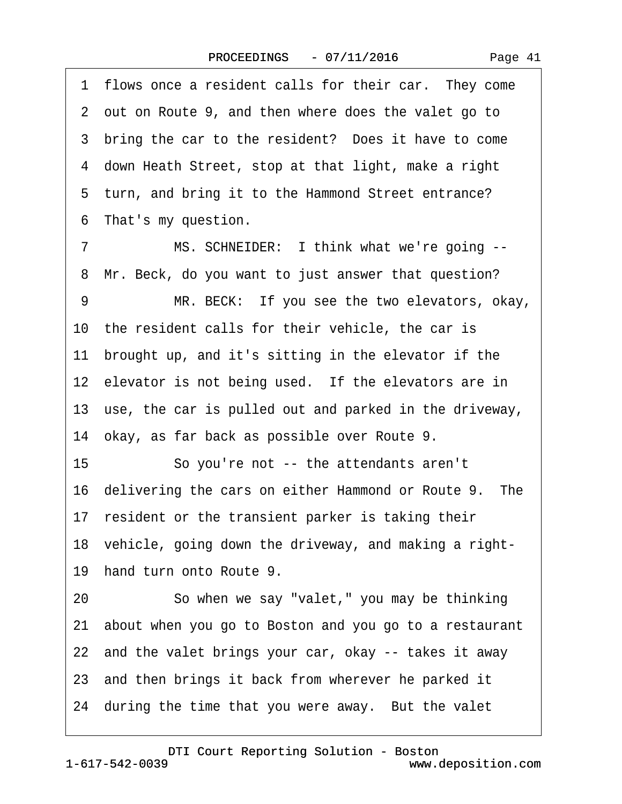1 flows once a resident calls for their car. They come ·2· out on Route 9, and then where does the valet go to 3 bring the car to the resident? Does it have to come ·4· down Heath Street, stop at that light, make a right 5 turn, and bring it to the Hammond Street entrance? 6 That's my question. 7 MS. SCHNEIDER: I think what we're going --8 Mr. Beck, do you want to just answer that question? 9 MR. BECK: If you see the two elevators, okay, 10 the resident calls for their vehicle, the car is 11 brought up, and it's sitting in the elevator if the 12 elevator is not being used. If the elevators are in

13 use, the car is pulled out and parked in the driveway,

14· okay, as far back as possible over Route 9.

15 **· · So you're not -- the attendants aren't** 

16 delivering the cars on either Hammond or Route 9. The

17 resident or the transient parker is taking their

18· vehicle, going down the driveway, and making a right-

19 hand turn onto Route 9.

20 · · So when we say "valet," you may be thinking

21· about when you go to Boston and you go to a restaurant

22 and the valet brings your car, okay -- takes it away

23 and then brings it back from wherever he parked it

24 during the time that you were away. But the valet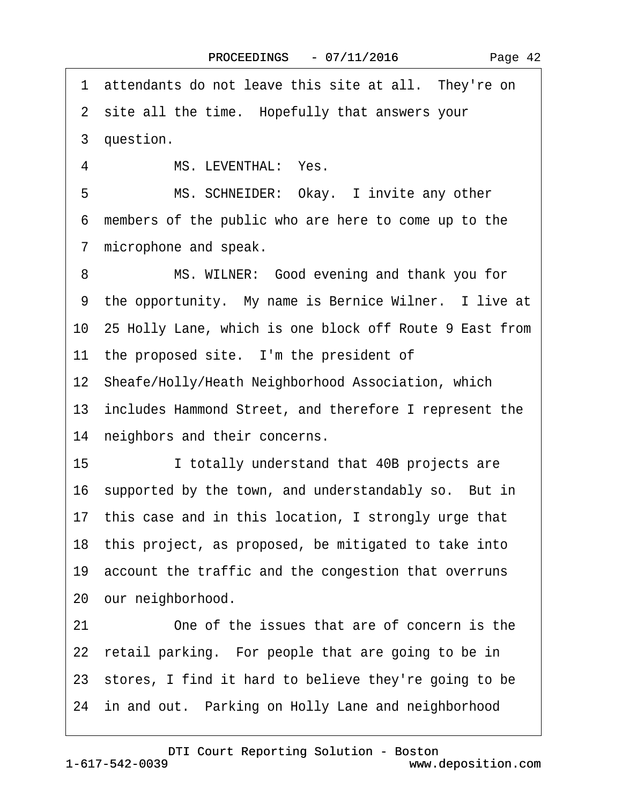1 attendants do not leave this site at all. They're on 2 site all the time. Hopefully that answers your 3 question. 4 MS. LEVENTHAL: Yes. 5 MS. SCHNEIDER: Okay. I invite any other ·6· members of the public who are here to come up to the 7 microphone and speak. 8 MS. WILNER: Good evening and thank you for 9 the opportunity. My name is Bernice Wilner. I live at 10· 25 Holly Lane, which is one block off Route 9 East from 11 the proposed site. I'm the president of 12 Sheafe/Holly/Heath Neighborhood Association, which 13· includes Hammond Street, and therefore I represent the 14 neighbors and their concerns. 15 **I totally understand that 40B projects are** 16 supported by the town, and understandably so. But in 17· this case and in this location, I strongly urge that 18· this project, as proposed, be mitigated to take into 19 account the traffic and the congestion that overruns 20 our neighborhood. 21 One of the issues that are of concern is the 22 retail parking. For people that are going to be in 23 stores, I find it hard to believe they're going to be 24 in and out. Parking on Holly Lane and neighborhood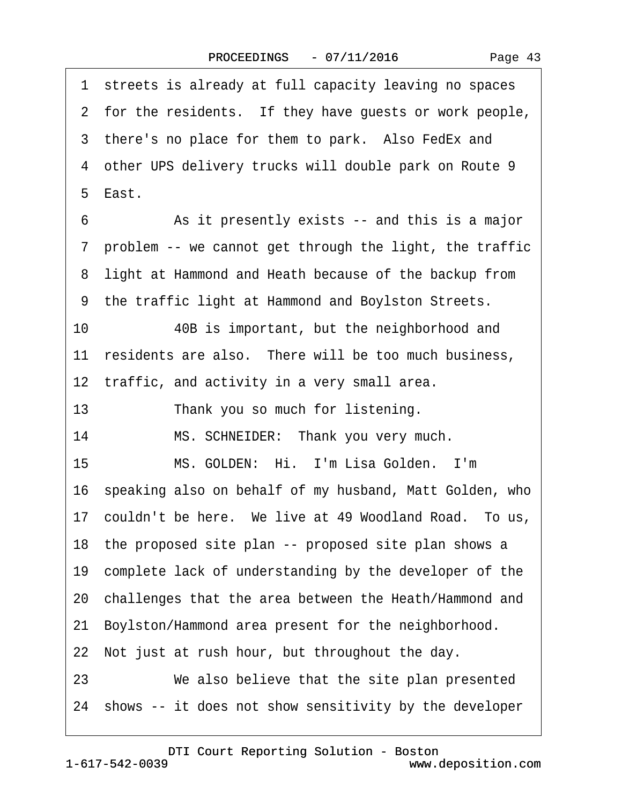| Page 43 |  |
|---------|--|
|---------|--|

|    | 1 streets is already at full capacity leaving no spaces    |
|----|------------------------------------------------------------|
|    | 2 for the residents. If they have guests or work people,   |
|    | 3 there's no place for them to park. Also FedEx and        |
|    | 4 other UPS delivery trucks will double park on Route 9    |
|    | 5 East.                                                    |
| 6  | As it presently exists -- and this is a major              |
|    | 7 problem -- we cannot get through the light, the traffic  |
|    | 8 light at Hammond and Heath because of the backup from    |
|    | 9 the traffic light at Hammond and Boylston Streets.       |
| 10 | 40B is important, but the neighborhood and                 |
|    | 11 residents are also. There will be too much business,    |
|    | 12 traffic, and activity in a very small area.             |
| 13 | Thank you so much for listening.                           |
| 14 | MS. SCHNEIDER: Thank you very much.                        |
| 15 | MS. GOLDEN: Hi. I'm Lisa Golden. I'm                       |
|    | 16 speaking also on behalf of my husband, Matt Golden, who |
|    | 17 couldn't be here. We live at 49 Woodland Road. To us,   |
|    | 18 the proposed site plan -- proposed site plan shows a    |
|    | 19 complete lack of understanding by the developer of the  |
|    | 20 challenges that the area between the Heath/Hammond and  |
| 21 | Boylston/Hammond area present for the neighborhood.        |
|    | 22 Not just at rush hour, but throughout the day.          |
| 23 | We also believe that the site plan presented               |
|    | 24 shows -- it does not show sensitivity by the developer  |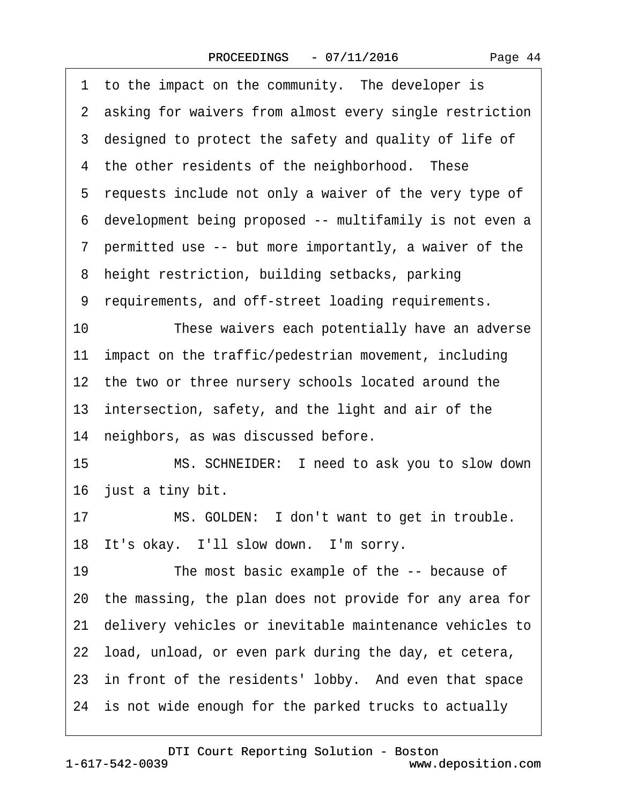|  | Page 44 |  |
|--|---------|--|
|--|---------|--|

|    | 1 to the impact on the community. The developer is         |
|----|------------------------------------------------------------|
|    | 2 asking for waivers from almost every single restriction  |
|    | 3 designed to protect the safety and quality of life of    |
|    | 4 the other residents of the neighborhood. These           |
|    | 5 requests include not only a waiver of the very type of   |
|    | 6 development being proposed -- multifamily is not even a  |
|    | 7 permitted use -- but more importantly, a waiver of the   |
|    | 8 height restriction, building setbacks, parking           |
|    | 9 requirements, and off-street loading requirements.       |
| 10 | These waivers each potentially have an adverse             |
|    | 11 impact on the traffic/pedestrian movement, including    |
|    | 12 the two or three nursery schools located around the     |
|    | 13 intersection, safety, and the light and air of the      |
|    | 14 neighbors, as was discussed before.                     |
| 15 | MS. SCHNEIDER: I need to ask you to slow down              |
|    | 16 just a tiny bit.                                        |
| 17 | MS. GOLDEN: I don't want to get in trouble.                |
|    | 18 It's okay. I'll slow down. I'm sorry.                   |
| 19 | The most basic example of the -- because of                |
|    | 20 the massing, the plan does not provide for any area for |
| 21 | delivery vehicles or inevitable maintenance vehicles to    |
|    | 22 load, unload, or even park during the day, et cetera,   |
|    | 23 in front of the residents' lobby. And even that space   |
|    | 24 is not wide enough for the parked trucks to actually    |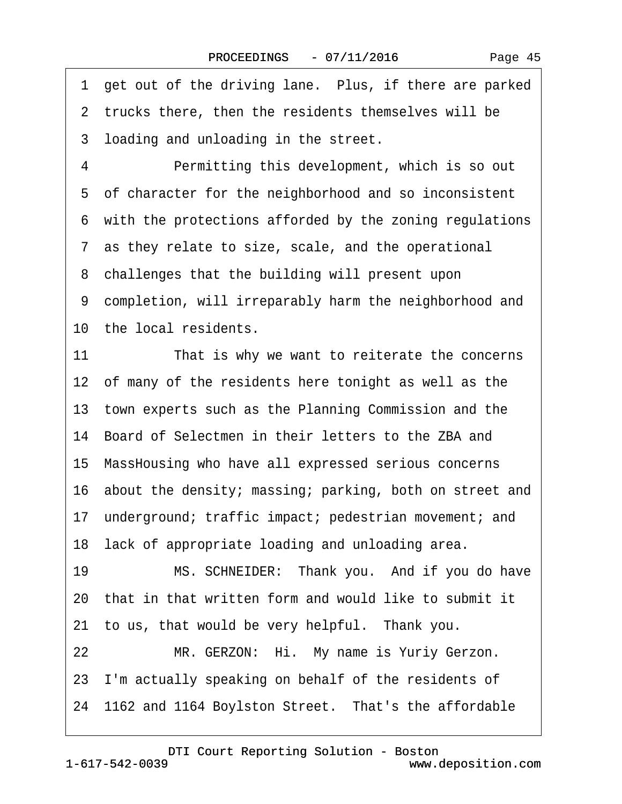1 get out of the driving lane. Plus, if there are parked 2 trucks there, then the residents themselves will be 3 loading and unloading in the street. 4 Permitting this development, which is so out 5 of character for the neighborhood and so inconsistent 6 with the protections afforded by the zoning regulations ·7· as they relate to size, scale, and the operational 8 challenges that the building will present upon 9 completion, will irreparably harm the neighborhood and 10 the local residents. 11 That is why we want to reiterate the concerns 12 of many of the residents here tonight as well as the 13· town experts such as the Planning Commission and the 14· Board of Selectmen in their letters to the ZBA and 15· MassHousing who have all expressed serious concerns 16· about the density; massing; parking, both on street and 17 underground; traffic impact; pedestrian movement; and 18 lack of appropriate loading and unloading area. 19 MS. SCHNEIDER: Thank you. And if you do have 20· that in that written form and would like to submit it 21 to us, that would be very helpful. Thank you. 22 MR. GERZON: Hi. My name is Yuriy Gerzon. 23 I'm actually speaking on behalf of the residents of 24 1162 and 1164 Boylston Street. That's the affordable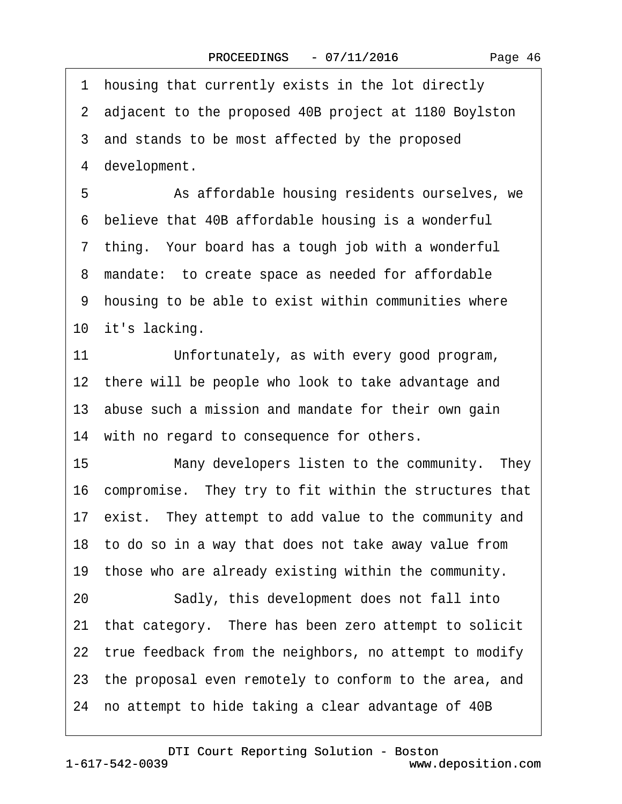1 housing that currently exists in the lot directly 2 adiacent to the proposed 40B project at 1180 Boylston

3 and stands to be most affected by the proposed

4 development.

5 **• • • As affordable housing residents ourselves, we** ·6· believe that 40B affordable housing is a wonderful 7 thing. Your board has a tough job with a wonderful 8 mandate: to create space as needed for affordable 9 housing to be able to exist within communities where 10 it's lacking.

11 Unfortunately, as with every good program, 12 there will be people who look to take advantage and 13 abuse such a mission and mandate for their own gain 14 with no regard to consequence for others.

15 Many developers listen to the community. They 16· compromise.· They try to fit within the structures that 17 exist. They attempt to add value to the community and 18· to do so in a way that does not take away value from 19 those who are already existing within the community. 20 Sadly, this development does not fall into 21· that category.· There has been zero attempt to solicit

22 true feedback from the neighbors, no attempt to modify

23· the proposal even remotely to conform to the area, and

24· no attempt to hide taking a clear advantage of 40B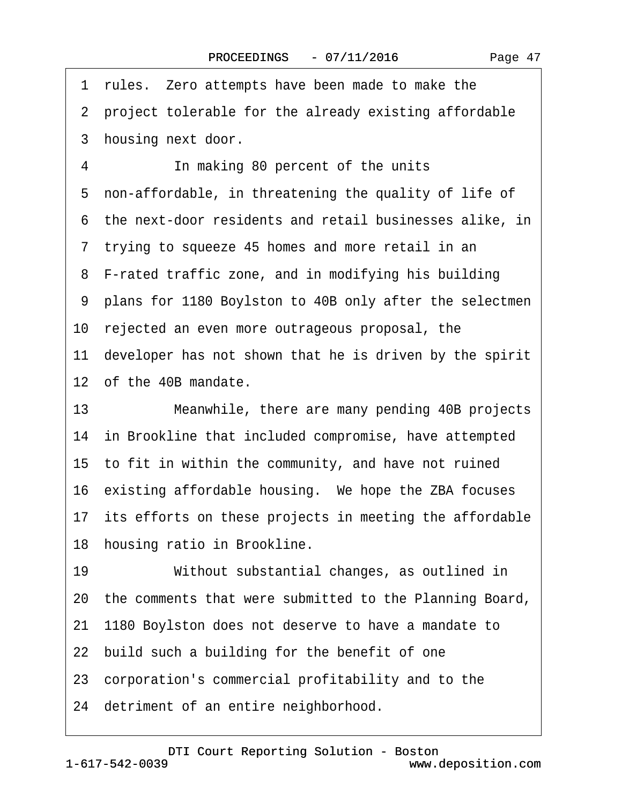·1· rules.· Zero attempts have been made to make the 2 project tolerable for the already existing affordable 3 housing next door. 4 **In making 80 percent of the units** 5 non-affordable, in threatening the quality of life of ·6· the next-door residents and retail businesses alike, in 7 trying to squeeze 45 homes and more retail in an 8 F-rated traffic zone, and in modifying his building ·9· plans for 1180 Boylston to 40B only after the selectmen 10 rejected an even more outrageous proposal, the 11 developer has not shown that he is driven by the spirit 12· of the 40B mandate. 13 Meanwhile, there are many pending 40B projects 14 in Brookline that included compromise, have attempted 15· to fit in within the community, and have not ruined 16 existing affordable housing. We hope the ZBA focuses 17 its efforts on these projects in meeting the affordable 18 housing ratio in Brookline. 19 • Vithout substantial changes, as outlined in 20· the comments that were submitted to the Planning Board, 21· 1180 Boylston does not deserve to have a mandate to 22 build such a building for the benefit of one 23· corporation's commercial profitability and to the 24 detriment of an entire neighborhood.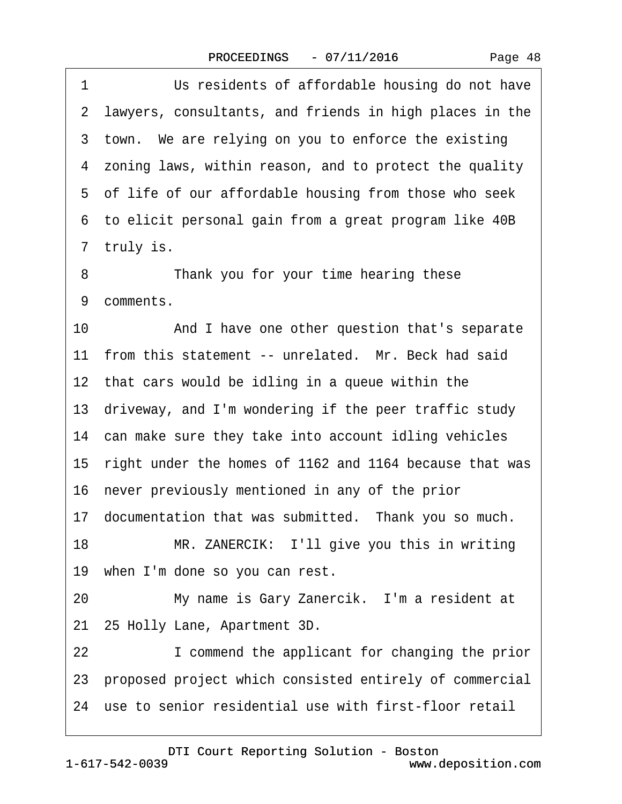1 **In the Studients of affordable housing do not have** 2 lawyers, consultants, and friends in high places in the 3 town. We are relying on you to enforce the existing ·4· zoning laws, within reason, and to protect the quality 5 of life of our affordable housing from those who seek ·6· to elicit personal gain from a great program like 40B 7 truly is.

8 Thank you for your time hearing these 9 comments.

10 And I have one other question that's separate 11 from this statement -- unrelated. Mr. Beck had said

12 that cars would be idling in a queue within the

13 driveway, and I'm wondering if the peer traffic study

14 can make sure they take into account idling vehicles

15· right under the homes of 1162 and 1164 because that was

16· never previously mentioned in any of the prior

17 documentation that was submitted. Thank you so much.

18 MR. ZANERCIK: I'll give you this in writing

19 when I'm done so you can rest.

20 My name is Gary Zanercik. I'm a resident at

21· 25 Holly Lane, Apartment 3D.

22 **I** commend the applicant for changing the prior

23· proposed project which consisted entirely of commercial

24 use to senior residential use with first-floor retail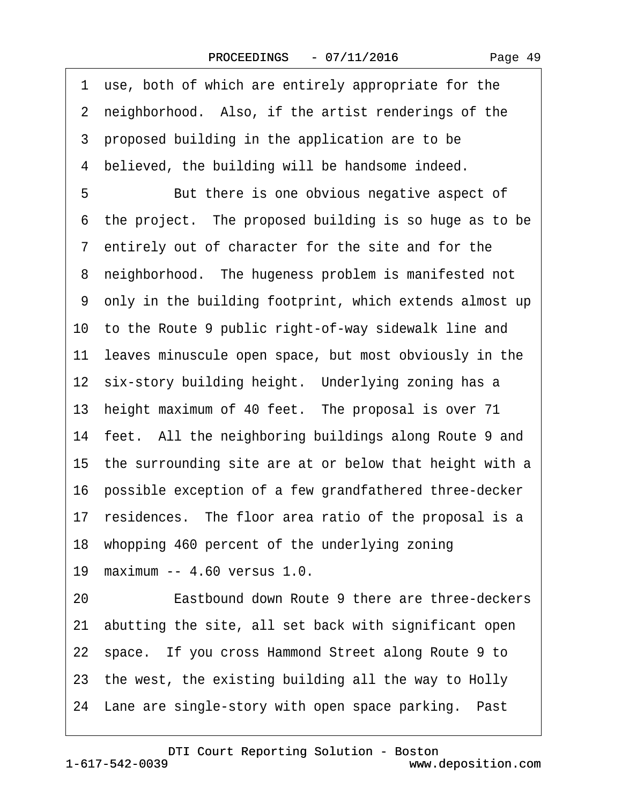·1· use, both of which are entirely appropriate for the 2 neighborhood. Also, if the artist renderings of the 3 proposed building in the application are to be 4 believed, the building will be handsome indeed. 5 **But there is one obvious negative aspect of** 6 the project. The proposed building is so huge as to be 7 entirely out of character for the site and for the 8 neighborhood. The hugeness problem is manifested not 9 only in the building footprint, which extends almost up 10 to the Route 9 public right-of-way sidewalk line and 11 leaves minuscule open space, but most obviously in the 12 six-story building height. Underlying zoning has a 13 height maximum of 40 feet. The proposal is over 71 14 feet. All the neighboring buildings along Route 9 and 15· the surrounding site are at or below that height with a 16· possible exception of a few grandfathered three-decker 17 residences. The floor area ratio of the proposal is a 18 whopping 460 percent of the underlying zoning 19· maximum -- 4.60 versus 1.0. 20 **Eastbound down Route 9 there are three-deckers** 21· abutting the site, all set back with significant open 22 space. If you cross Hammond Street along Route 9 to 23· the west, the existing building all the way to Holly 24 Lane are single-story with open space parking. Past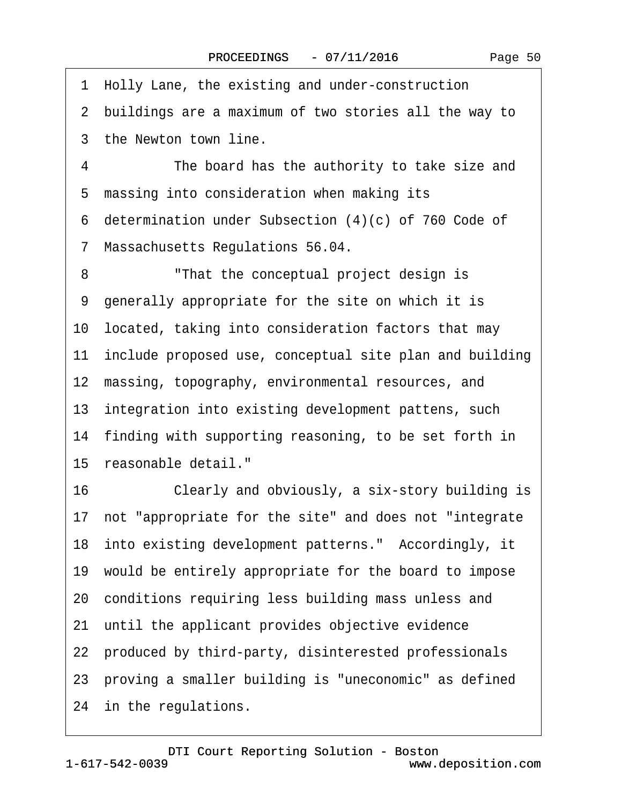1 Holly Lane, the existing and under-construction ·2· buildings are a maximum of two stories all the way to 3 the Newton town line. 4 The board has the authority to take size and 5 massing into consideration when making its ·6· determination under Subsection (4)(c) of 760 Code of ·7· Massachusetts Regulations 56.04. 8 That the conceptual project design is ·9· generally appropriate for the site on which it is 10· located, taking into consideration factors that may 11 include proposed use, conceptual site plan and building 12 massing, topography, environmental resources, and 13 integration into existing development pattens, such 14 finding with supporting reasoning, to be set forth in 15 reasonable detail." 16 Clearly and obviously, a six-story building is 17· not "appropriate for the site" and does not "integrate 18 into existing development patterns." Accordingly, it 19· would be entirely appropriate for the board to impose 20· conditions requiring less building mass unless and 21 until the applicant provides objective evidence 22 produced by third-party, disinterested professionals 23 proving a smaller building is "uneconomic" as defined 24 in the regulations.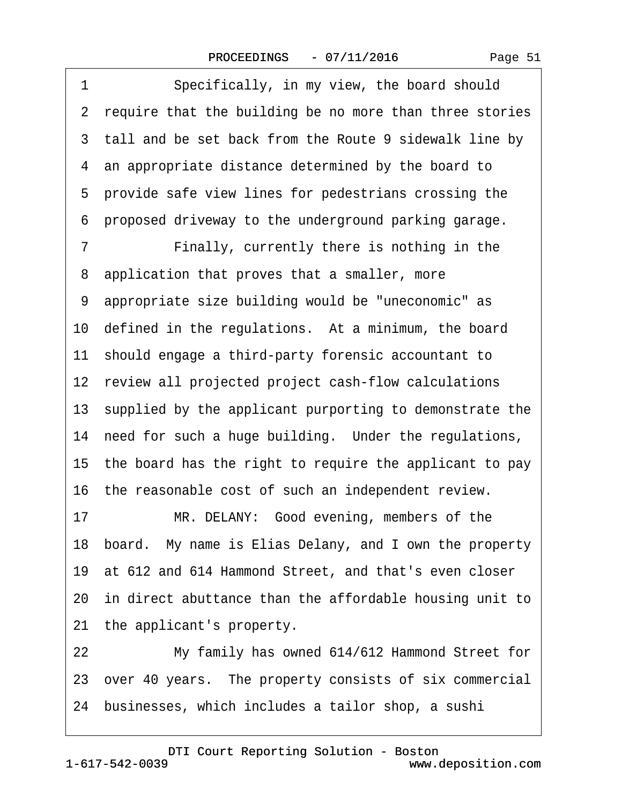1 Specifically, in my view, the board should 2 require that the building be no more than three stories 3 tall and be set back from the Route 9 sidewalk line by 4 an appropriate distance determined by the board to 5 provide safe view lines for pedestrians crossing the ·6· proposed driveway to the underground parking garage. 7 • Finally, currently there is nothing in the 8 application that proves that a smaller, more ·9· appropriate size building would be "uneconomic" as 10 defined in the regulations. At a minimum, the board 11· should engage a third-party forensic accountant to 12 review all projected project cash-flow calculations 13· supplied by the applicant purporting to demonstrate the 14 need for such a huge building. Under the regulations, 15· the board has the right to require the applicant to pay 16 the reasonable cost of such an independent review. 17 MR. DELANY: Good evening, members of the 18· board.· My name is Elias Delany, and I own the property 19· at 612 and 614 Hammond Street, and that's even closer 20· in direct abuttance than the affordable housing unit to 21 the applicant's property. 22 My family has owned 614/612 Hammond Street for

23· over 40 years.· The property consists of six commercial

24· businesses, which includes a tailor shop, a sushi

www.deposition.com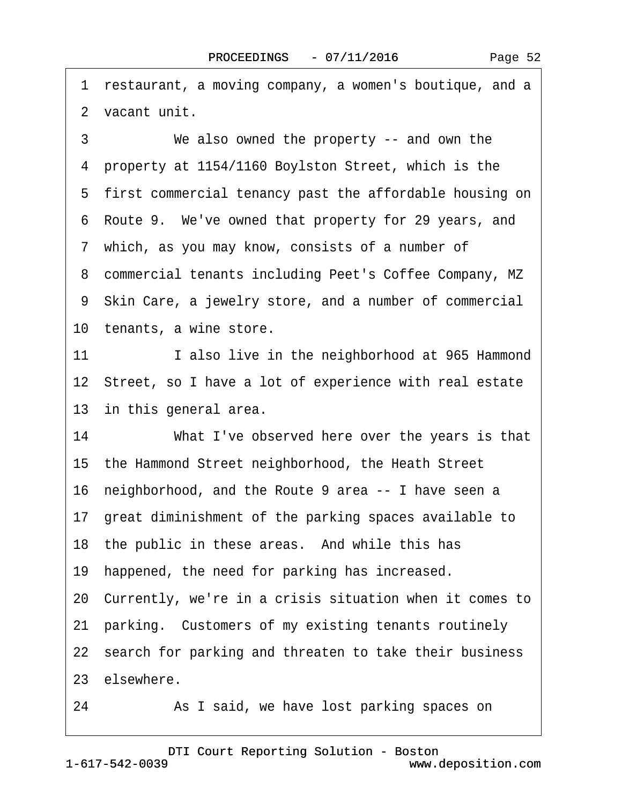1 restaurant, a moving company, a women's boutique, and a ·2· vacant unit.

3 We also owned the property -- and own the ·4· property at 1154/1160 Boylston Street, which is the 5 first commercial tenancy past the affordable housing on ·6· Route 9.· We've owned that property for 29 years, and 7 which, as you may know, consists of a number of ·8· commercial tenants including Peet's Coffee Company, MZ ·9· Skin Care, a jewelry store, and a number of commercial 10 tenants, a wine store. 11 I also live in the neighborhood at 965 Hammond

12 Street, so I have a lot of experience with real estate 13 in this general area.

14 What I've observed here over the years is that 15· the Hammond Street neighborhood, the Heath Street 16· neighborhood, and the Route 9 area -- I have seen a 17· great diminishment of the parking spaces available to 18 the public in these areas. And while this has 19 happened, the need for parking has increased. 20· Currently, we're in a crisis situation when it comes to 21 parking. Customers of my existing tenants routinely 22 search for parking and threaten to take their business 23 elsewhere.

24 • As I said, we have lost parking spaces on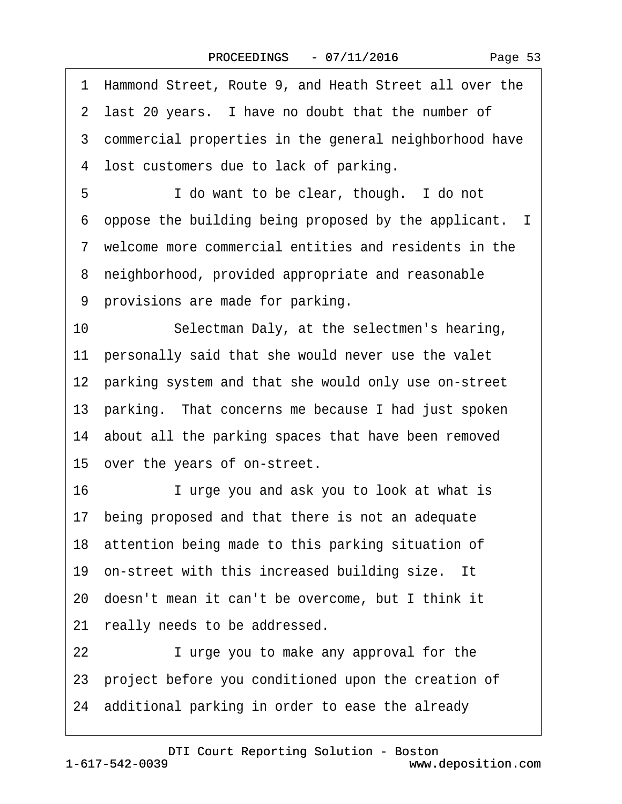|  | Page 53 |  |
|--|---------|--|
|--|---------|--|

| 1  | Hammond Street, Route 9, and Heath Street all over the   |
|----|----------------------------------------------------------|
|    | 2 last 20 years. I have no doubt that the number of      |
|    | 3 commercial properties in the general neighborhood have |
|    | 4 lost customers due to lack of parking.                 |
| 5  | I do want to be clear, though. I do not                  |
|    | 6 oppose the building being proposed by the applicant. I |
|    | 7 welcome more commercial entities and residents in the  |
|    | 8 neighborhood, provided appropriate and reasonable      |
|    | 9 provisions are made for parking.                       |
| 10 | Selectman Daly, at the selectmen's hearing,              |
|    | 11 personally said that she would never use the valet    |
|    | 12 parking system and that she would only use on-street  |
|    | 13 parking. That concerns me because I had just spoken   |
|    | 14 about all the parking spaces that have been removed   |
|    | 15 over the years of on-street.                          |
| 16 | I urge you and ask you to look at what is                |
|    | 17 being proposed and that there is not an adequate      |
|    | 18 attention being made to this parking situation of     |
|    | 19 on-street with this increased building size. It       |
|    | 20 doesn't mean it can't be overcome, but I think it     |
| 21 | really needs to be addressed.                            |
| 22 | I urge you to make any approval for the                  |
|    | 23 project before you conditioned upon the creation of   |
|    | 24 additional parking in order to ease the already       |
|    |                                                          |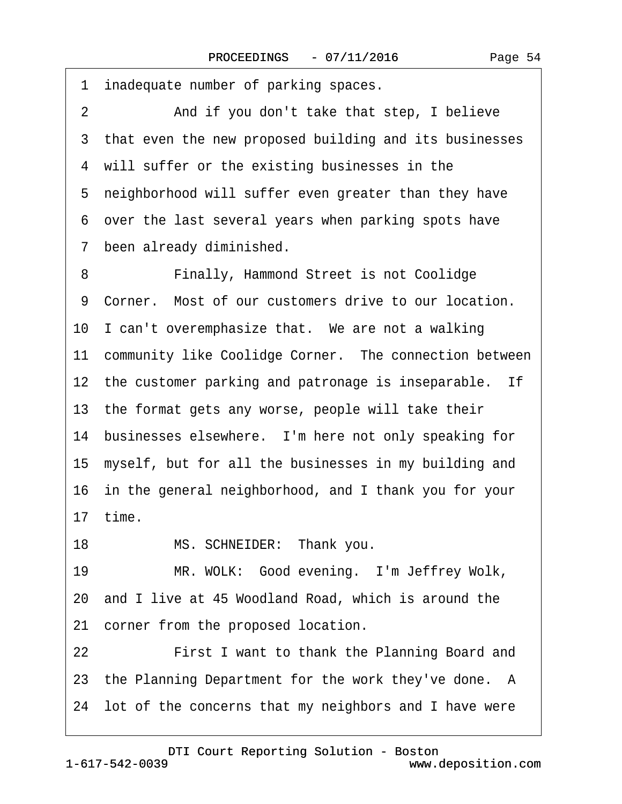| inadequate number of parking spaces.<br>1                 |
|-----------------------------------------------------------|
| And if you don't take that step, I believe<br>2           |
| 3 that even the new proposed building and its businesses  |
| 4 will suffer or the existing businesses in the           |
| 5 neighborhood will suffer even greater than they have    |
| 6 over the last several years when parking spots have     |
| 7 been already diminished.                                |
| 8<br>Finally, Hammond Street is not Coolidge              |
| 9 Corner. Most of our customers drive to our location.    |
| 10 I can't overemphasize that. We are not a walking       |
| 11 community like Coolidge Corner. The connection between |
| 12 the customer parking and patronage is inseparable. If  |
| 13 the format gets any worse, people will take their      |
| 14 businesses elsewhere. I'm here not only speaking for   |
| 15 myself, but for all the businesses in my building and  |
| 16 in the general neighborhood, and I thank you for your  |
| 17 time.                                                  |
| MS. SCHNEIDER: Thank you.<br>18                           |
| MR. WOLK: Good evening. I'm Jeffrey Wolk,<br>19           |
| 20 and I live at 45 Woodland Road, which is around the    |
| corner from the proposed location.<br>21                  |
| First I want to thank the Planning Board and<br>22        |
| 23 the Planning Department for the work they've done. A   |
| 24 lot of the concerns that my neighbors and I have were  |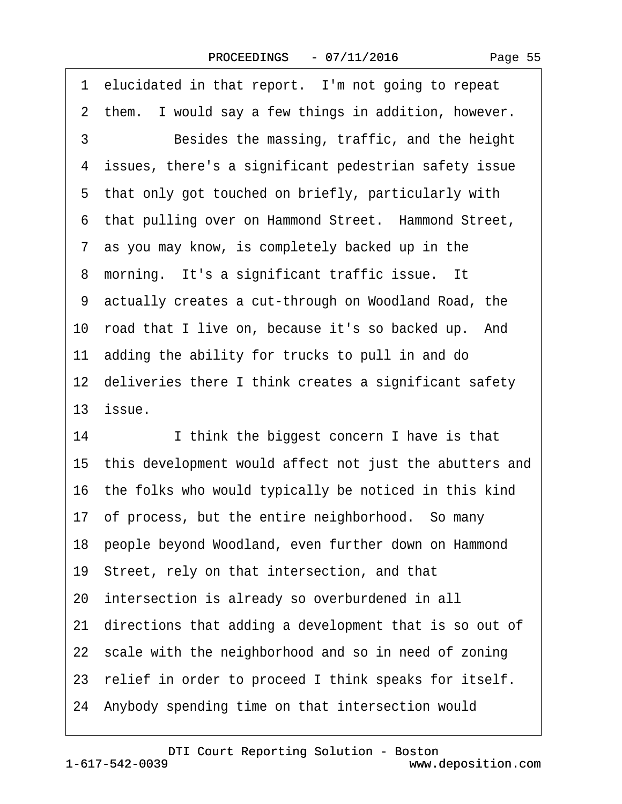| 1 elucidated in that report. I'm not going to repeat         |
|--------------------------------------------------------------|
| 2 them. I would say a few things in addition, however.       |
| 3<br>Besides the massing, traffic, and the height            |
| 4 issues, there's a significant pedestrian safety issue      |
| 5 that only got touched on briefly, particularly with        |
| 6 that pulling over on Hammond Street. Hammond Street,       |
| 7 as you may know, is completely backed up in the            |
| 8 morning. It's a significant traffic issue. It              |
| 9 actually creates a cut-through on Woodland Road, the       |
| 10 road that I live on, because it's so backed up. And       |
| 11 adding the ability for trucks to pull in and do           |
| 12 deliveries there I think creates a significant safety     |
| 13 issue.                                                    |
| 14<br>I think the biggest concern I have is that             |
| 15 this development would affect not just the abutters and   |
| 16 the folks who would typically be noticed in this kind     |
| 17 of process, but the entire neighborhood. So many          |
| 18 people beyond Woodland, even further down on Hammond      |
| 19 Street, rely on that intersection, and that               |
| 20 intersection is already so overburdened in all            |
| directions that adding a development that is so out of<br>21 |
| 22 scale with the neighborhood and so in need of zoning      |
| 23 relief in order to proceed I think speaks for itself.     |
| 24 Anybody spending time on that intersection would          |
|                                                              |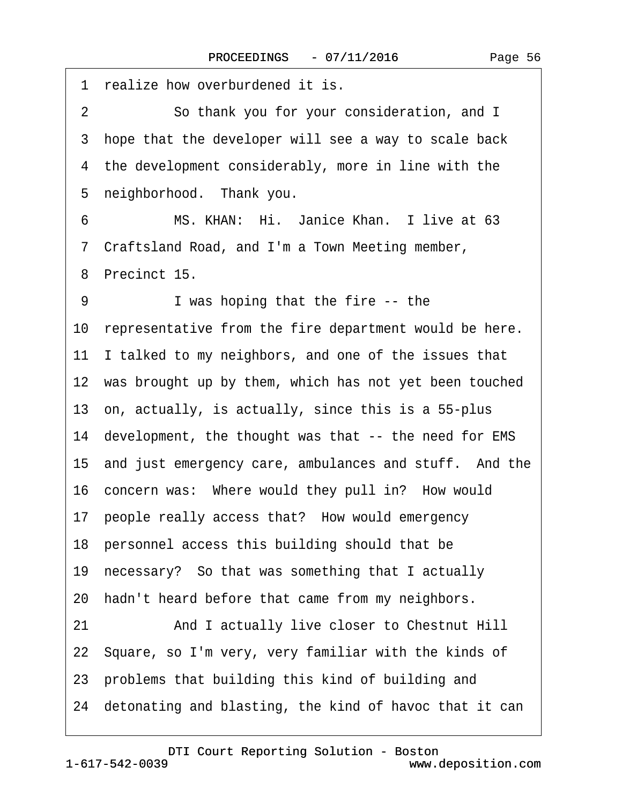| 1 realize how overburdened it is.                            |
|--------------------------------------------------------------|
| $\overline{2}$<br>So thank you for your consideration, and I |
| 3 hope that the developer will see a way to scale back       |
| 4 the development considerably, more in line with the        |
| 5 neighborhood. Thank you.                                   |
| MS. KHAN: Hi. Janice Khan. I live at 63<br>6                 |
| 7 Craftsland Road, and I'm a Town Meeting member,            |
| 8 Precinct 15.                                               |
| I was hoping that the fire -- the<br>9                       |
| 10 representative from the fire department would be here.    |
| 11 I talked to my neighbors, and one of the issues that      |
| 12 was brought up by them, which has not yet been touched    |
| 13 on, actually, is actually, since this is a 55-plus        |
| 14 development, the thought was that -- the need for EMS     |
| 15 and just emergency care, ambulances and stuff. And the    |
| 16 concern was: Where would they pull in? How would          |
| 17 people really access that? How would emergency            |
| 18 personnel access this building should that be             |
| 19 necessary? So that was something that I actually          |
| 20 hadn't heard before that came from my neighbors.          |
| 21<br>And I actually live closer to Chestnut Hill            |
| 22 Square, so I'm very, very familiar with the kinds of      |
| 23 problems that building this kind of building and          |
| 24 detonating and blasting, the kind of havoc that it can    |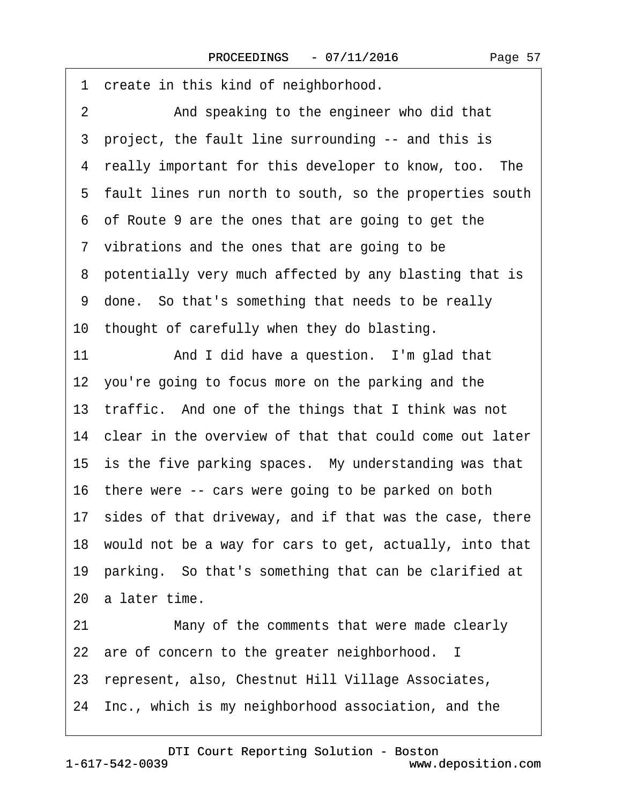1 create in this kind of neighborhood. 2 And speaking to the engineer who did that ·3· project, the fault line surrounding -- and this is 4 really important for this developer to know, too. The ·5· fault lines run north to south, so the properties south ·6· of Route 9 are the ones that are going to get the 7 vibrations and the ones that are going to be 8 potentially very much affected by any blasting that is ·9· done.· So that's something that needs to be really 10 thought of carefully when they do blasting. 11 And I did have a question. I'm glad that 12 you're going to focus more on the parking and the 13 traffic. And one of the things that I think was not 14 clear in the overview of that that could come out later 15 is the five parking spaces. My understanding was that 16 there were -- cars were going to be parked on both 17 sides of that driveway, and if that was the case, there 18· would not be a way for cars to get, actually, into that 19· parking.· So that's something that can be clarified at 20· a later time. 21 Many of the comments that were made clearly 22 are of concern to the greater neighborhood. I 23· represent, also, Chestnut Hill Village Associates, 24· Inc., which is my neighborhood association, and the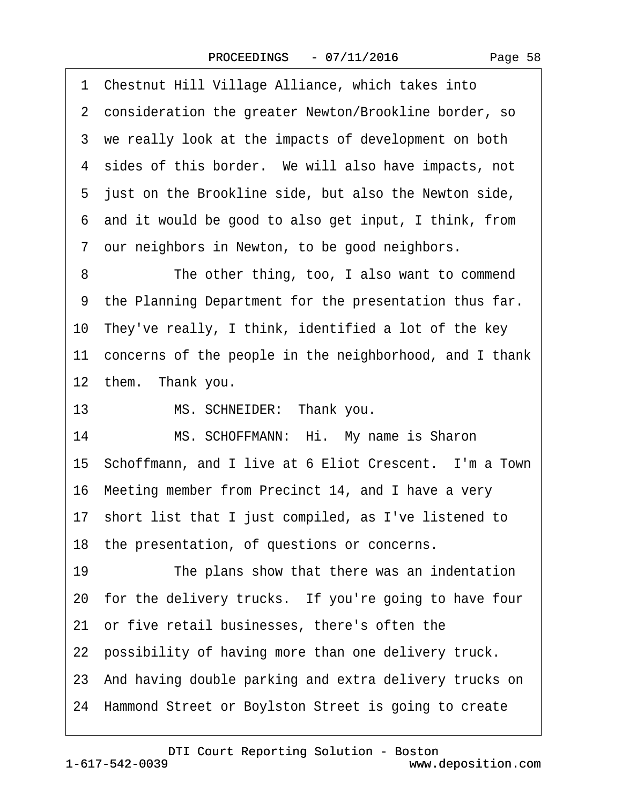·1· Chestnut Hill Village Alliance, which takes into 2 consideration the greater Newton/Brookline border, so 3 we really look at the impacts of development on both 4 sides of this border. We will also have impacts, not 5 just on the Brookline side, but also the Newton side, ·6· and it would be good to also get input, I think, from 7 our neighbors in Newton, to be good neighbors. 8 The other thing, too, I also want to commend 9 the Planning Department for the presentation thus far. 10 They've really, I think, identified a lot of the key 11 concerns of the people in the neighborhood, and I thank 12 them. Thank you. 13 MS. SCHNEIDER: Thank you. 14 MS. SCHOFFMANN: Hi. My name is Sharon 15 Schoffmann, and I live at 6 Eliot Crescent. I'm a Town 16· Meeting member from Precinct 14, and I have a very 17 short list that I just compiled, as I've listened to 18 the presentation, of questions or concerns. 19 The plans show that there was an indentation 20· for the delivery trucks.· If you're going to have four 21 or five retail businesses, there's often the 22 possibility of having more than one delivery truck. 23· And having double parking and extra delivery trucks on 24· Hammond Street or Boylston Street is going to create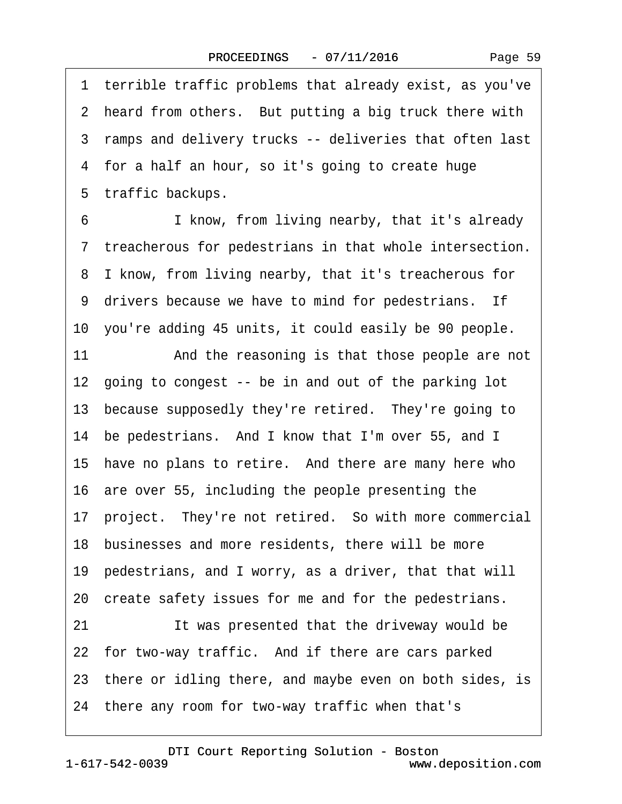·1· terrible traffic problems that already exist, as you've 2 heard from others. But putting a big truck there with 3 ramps and delivery trucks -- deliveries that often last 4 for a half an hour, so it's going to create huge 5 traffic backups.

6 I know, from living nearby, that it's already ·7· treacherous for pedestrians in that whole intersection. 8 I know, from living nearby, that it's treacherous for 9 drivers because we have to mind for pedestrians. If 10 you're adding 45 units, it could easily be 90 people.

11 And the reasoning is that those people are not 12 going to congest -- be in and out of the parking lot 13 because supposedly they're retired. They're going to 14 be pedestrians. And I know that I'm over 55, and I 15 have no plans to retire. And there are many here who 16· are over 55, including the people presenting the 17· project.· They're not retired.· So with more commercial 18 businesses and more residents, there will be more 19· pedestrians, and I worry, as a driver, that that will 20 create safety issues for me and for the pedestrians. 21 **It was presented that the driveway would be** 22 for two-way traffic. And if there are cars parked 23 there or idling there, and maybe even on both sides, is 24· there any room for two-way traffic when that's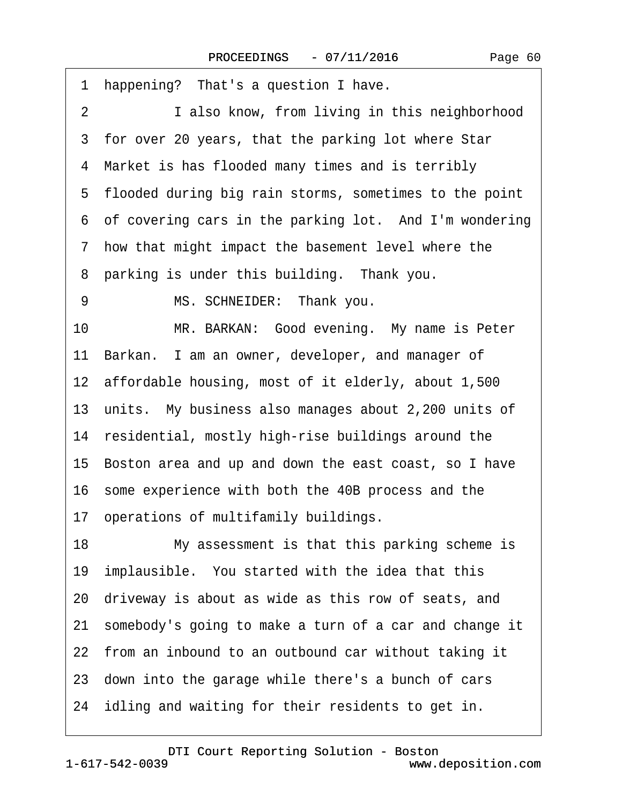| I also know, from living in this neighborhood<br>$\overline{2}$<br>3 for over 20 years, that the parking lot where Star<br>4 Market is has flooded many times and is terribly<br>5 flooded during big rain storms, sometimes to the point<br>6 of covering cars in the parking lot. And I'm wondering<br>7 how that might impact the basement level where the<br>8 parking is under this building. Thank you.<br>MS. SCHNEIDER: Thank you.<br>9<br>MR. BARKAN: Good evening. My name is Peter<br>10<br>11 Barkan. I am an owner, developer, and manager of<br>12 affordable housing, most of it elderly, about 1,500<br>13 units. My business also manages about 2,200 units of<br>14 residential, mostly high-rise buildings around the<br>15 Boston area and up and down the east coast, so I have<br>16 some experience with both the 40B process and the<br>17 operations of multifamily buildings.<br>18<br>My assessment is that this parking scheme is<br>19 implausible. You started with the idea that this<br>20 driveway is about as wide as this row of seats, and |
|--------------------------------------------------------------------------------------------------------------------------------------------------------------------------------------------------------------------------------------------------------------------------------------------------------------------------------------------------------------------------------------------------------------------------------------------------------------------------------------------------------------------------------------------------------------------------------------------------------------------------------------------------------------------------------------------------------------------------------------------------------------------------------------------------------------------------------------------------------------------------------------------------------------------------------------------------------------------------------------------------------------------------------------------------------------------------------|
|                                                                                                                                                                                                                                                                                                                                                                                                                                                                                                                                                                                                                                                                                                                                                                                                                                                                                                                                                                                                                                                                                |
|                                                                                                                                                                                                                                                                                                                                                                                                                                                                                                                                                                                                                                                                                                                                                                                                                                                                                                                                                                                                                                                                                |
|                                                                                                                                                                                                                                                                                                                                                                                                                                                                                                                                                                                                                                                                                                                                                                                                                                                                                                                                                                                                                                                                                |
|                                                                                                                                                                                                                                                                                                                                                                                                                                                                                                                                                                                                                                                                                                                                                                                                                                                                                                                                                                                                                                                                                |
|                                                                                                                                                                                                                                                                                                                                                                                                                                                                                                                                                                                                                                                                                                                                                                                                                                                                                                                                                                                                                                                                                |
|                                                                                                                                                                                                                                                                                                                                                                                                                                                                                                                                                                                                                                                                                                                                                                                                                                                                                                                                                                                                                                                                                |
|                                                                                                                                                                                                                                                                                                                                                                                                                                                                                                                                                                                                                                                                                                                                                                                                                                                                                                                                                                                                                                                                                |
|                                                                                                                                                                                                                                                                                                                                                                                                                                                                                                                                                                                                                                                                                                                                                                                                                                                                                                                                                                                                                                                                                |
|                                                                                                                                                                                                                                                                                                                                                                                                                                                                                                                                                                                                                                                                                                                                                                                                                                                                                                                                                                                                                                                                                |
|                                                                                                                                                                                                                                                                                                                                                                                                                                                                                                                                                                                                                                                                                                                                                                                                                                                                                                                                                                                                                                                                                |
|                                                                                                                                                                                                                                                                                                                                                                                                                                                                                                                                                                                                                                                                                                                                                                                                                                                                                                                                                                                                                                                                                |
|                                                                                                                                                                                                                                                                                                                                                                                                                                                                                                                                                                                                                                                                                                                                                                                                                                                                                                                                                                                                                                                                                |
|                                                                                                                                                                                                                                                                                                                                                                                                                                                                                                                                                                                                                                                                                                                                                                                                                                                                                                                                                                                                                                                                                |
|                                                                                                                                                                                                                                                                                                                                                                                                                                                                                                                                                                                                                                                                                                                                                                                                                                                                                                                                                                                                                                                                                |
|                                                                                                                                                                                                                                                                                                                                                                                                                                                                                                                                                                                                                                                                                                                                                                                                                                                                                                                                                                                                                                                                                |
|                                                                                                                                                                                                                                                                                                                                                                                                                                                                                                                                                                                                                                                                                                                                                                                                                                                                                                                                                                                                                                                                                |
|                                                                                                                                                                                                                                                                                                                                                                                                                                                                                                                                                                                                                                                                                                                                                                                                                                                                                                                                                                                                                                                                                |
|                                                                                                                                                                                                                                                                                                                                                                                                                                                                                                                                                                                                                                                                                                                                                                                                                                                                                                                                                                                                                                                                                |
|                                                                                                                                                                                                                                                                                                                                                                                                                                                                                                                                                                                                                                                                                                                                                                                                                                                                                                                                                                                                                                                                                |
| 21 somebody's going to make a turn of a car and change it                                                                                                                                                                                                                                                                                                                                                                                                                                                                                                                                                                                                                                                                                                                                                                                                                                                                                                                                                                                                                      |
| 22 from an inbound to an outbound car without taking it                                                                                                                                                                                                                                                                                                                                                                                                                                                                                                                                                                                                                                                                                                                                                                                                                                                                                                                                                                                                                        |
|                                                                                                                                                                                                                                                                                                                                                                                                                                                                                                                                                                                                                                                                                                                                                                                                                                                                                                                                                                                                                                                                                |
| 23 down into the garage while there's a bunch of cars                                                                                                                                                                                                                                                                                                                                                                                                                                                                                                                                                                                                                                                                                                                                                                                                                                                                                                                                                                                                                          |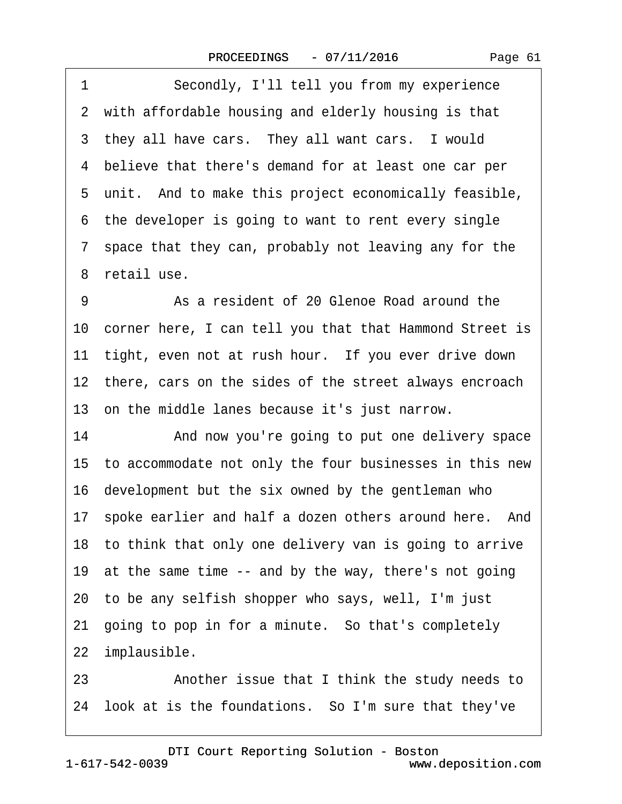1 Secondly, I'll tell you from my experience 2 with affordable housing and elderly housing is that 3 they all have cars. They all want cars. I would ·4· believe that there's demand for at least one car per 5 unit. And to make this project economically feasible, 6 the developer is going to want to rent every single ·7· space that they can, probably not leaving any for the 8 retail use.

9 • **As a resident of 20 Glenoe Road around the** 10 corner here, I can tell you that that Hammond Street is 11 tight, even not at rush hour. If you ever drive down 12 there, cars on the sides of the street always encroach 13· on the middle lanes because it's just narrow.

14 • And now you're going to put one delivery space 15· to accommodate not only the four businesses in this new 16· development but the six owned by the gentleman who 17 spoke earlier and half a dozen others around here. And 18· to think that only one delivery van is going to arrive 19 at the same time -- and by the way, there's not going 20· to be any selfish shopper who says, well, I'm just 21 going to pop in for a minute. So that's completely 22 implausible. 23 • **Another issue that I think the study needs to** 

24 look at is the foundations. So I'm sure that they've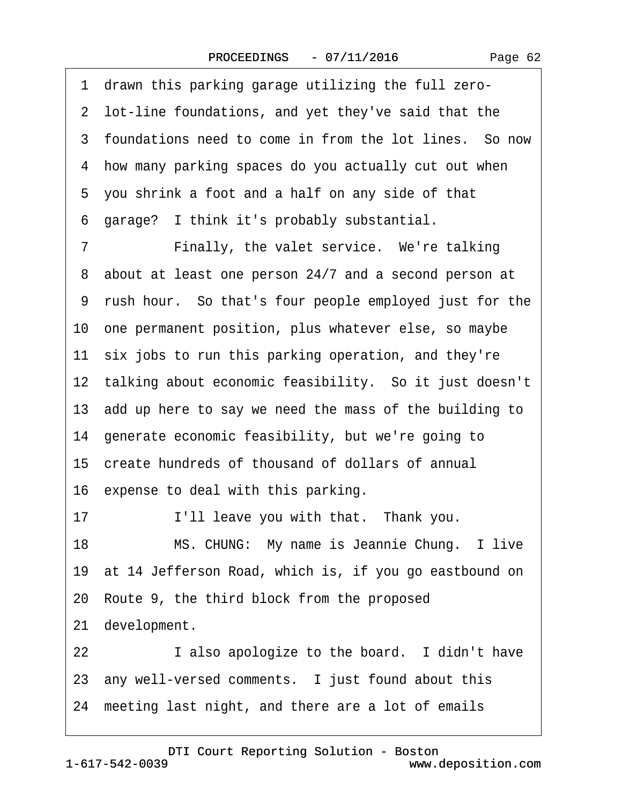·1· drawn this parking garage utilizing the full zero- 2 lot-line foundations, and yet they've said that the 3 foundations need to come in from the lot lines. So now ·4· how many parking spaces do you actually cut out when 5 you shrink a foot and a half on any side of that ·6· garage?· I think it's probably substantial. 7 • Finally, the valet service. We're talking 8 about at least one person 24/7 and a second person at ·9· rush hour.· So that's four people employed just for the 10· one permanent position, plus whatever else, so maybe 11 six jobs to run this parking operation, and they're 12 talking about economic feasibility. So it just doesn't 13 add up here to say we need the mass of the building to 14· generate economic feasibility, but we're going to 15· create hundreds of thousand of dollars of annual 16 expense to deal with this parking. 17 I'll leave you with that. Thank you. 18 MS. CHUNG: My name is Jeannie Chung. I live 19· at 14 Jefferson Road, which is, if you go eastbound on 20· Route 9, the third block from the proposed 21 development. 22 **I** also apologize to the board. I didn't have 23 any well-versed comments. I just found about this 24 meeting last night, and there are a lot of emails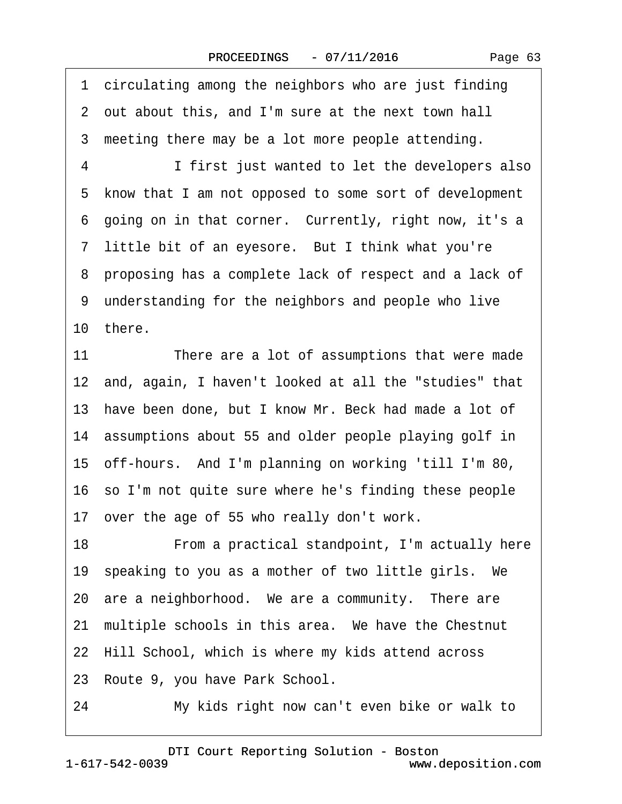1 circulating among the neighbors who are just finding ·2· out about this, and I'm sure at the next town hall 3 meeting there may be a lot more people attending. 4 I first just wanted to let the developers also ·5· know that I am not opposed to some sort of development 6 going on in that corner. Currently, right now, it's a 7 little bit of an eyesore. But I think what you're ·8· proposing has a complete lack of respect and a lack of 9 understanding for the neighbors and people who live 10· there. 11 There are a lot of assumptions that were made 12 and, again, I haven't looked at all the "studies" that 13· have been done, but I know Mr. Beck had made a lot of 14 assumptions about 55 and older people playing golf in 15· off-hours.· And I'm planning on working 'till I'm 80, 16 so I'm not quite sure where he's finding these people 17 over the age of 55 who really don't work. 18 • From a practical standpoint, I'm actually here 19 speaking to you as a mother of two little girls. We 20 are a neighborhood. We are a community. There are 21 multiple schools in this area. We have the Chestnut 22 Hill School, which is where my kids attend across 23 Route 9, you have Park School. 24 My kids right now can't even bike or walk to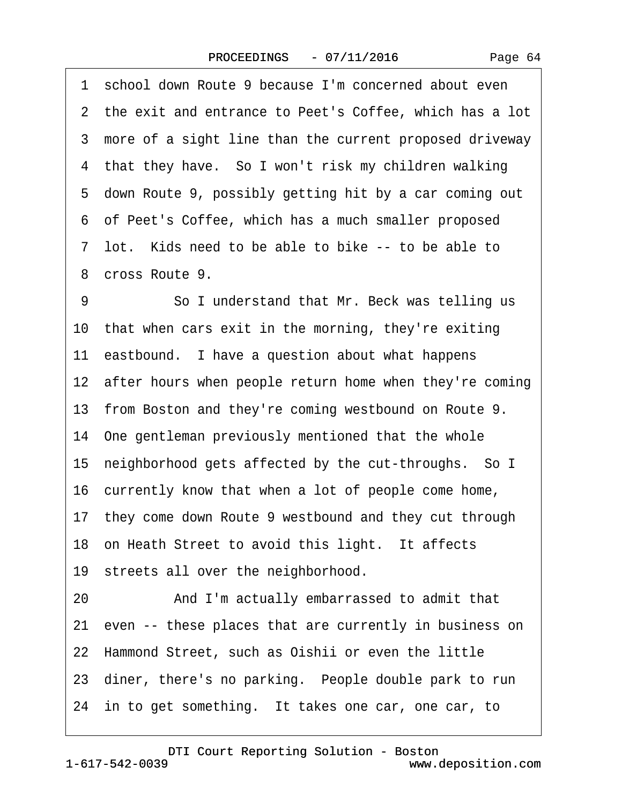1 school down Route 9 because I'm concerned about even 2 the exit and entrance to Peet's Coffee, which has a lot 3 more of a sight line than the current proposed driveway 4 that they have. So I won't risk my children walking ·5· down Route 9, possibly getting hit by a car coming out ·6· of Peet's Coffee, which has a much smaller proposed 7 lot. Kids need to be able to bike -- to be able to ·8· cross Route 9. 9 **· · · · So I understand that Mr. Beck was telling us** 10· that when cars exit in the morning, they're exiting 11 eastbound. I have a question about what happens 12 after hours when people return home when they're coming 13 from Boston and they're coming westbound on Route 9. 14· One gentleman previously mentioned that the whole 15· neighborhood gets affected by the cut-throughs.· So I 16 currently know that when a lot of people come home, 17· they come down Route 9 westbound and they cut through 18 on Heath Street to avoid this light. It affects 19 streets all over the neighborhood. 20 • And I'm actually embarrassed to admit that 21 even -- these places that are currently in business on 22· Hammond Street, such as Oishii or even the little 23 diner, there's no parking. People double park to run 24 in to get something. It takes one car, one car, to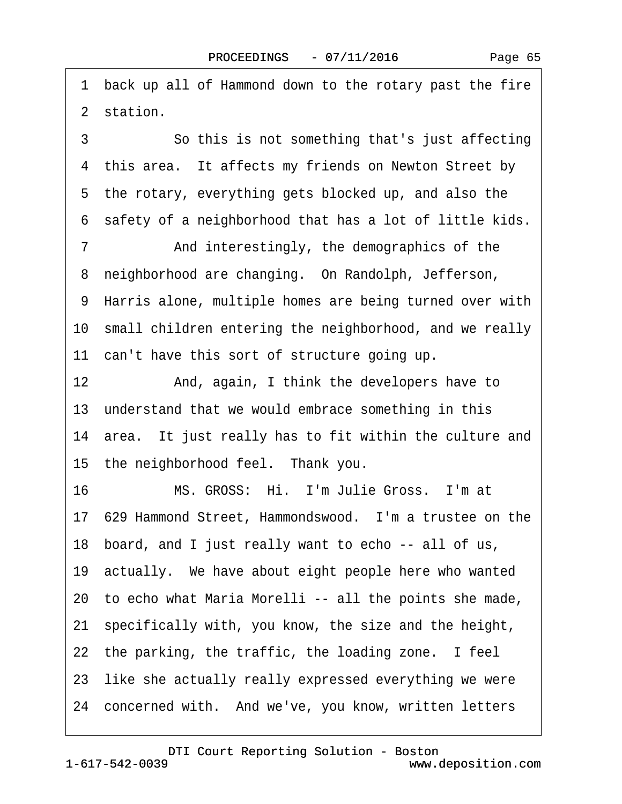·1· back up all of Hammond down to the rotary past the fire 2 station.

3 **3** • • So this is not something that's just affecting 4 this area. It affects my friends on Newton Street by 5 the rotary, everything gets blocked up, and also the ·6· safety of a neighborhood that has a lot of little kids.

7 **••** And interestingly, the demographics of the 8 neighborhood are changing. On Randolph, Jefferson, 9 Harris alone, multiple homes are being turned over with 10 small children entering the neighborhood, and we really 11 can't have this sort of structure going up.

12 And, again, I think the developers have to 13 understand that we would embrace something in this 14 area. It just really has to fit within the culture and

15 the neighborhood feel. Thank you.

16 MS. GROSS: Hi. I'm Julie Gross. I'm at

17· 629 Hammond Street, Hammondswood.· I'm a trustee on the

18· board, and I just really want to echo -- all of us,

19· actually.· We have about eight people here who wanted

20· to echo what Maria Morelli -- all the points she made,

21 specifically with, you know, the size and the height,

22 the parking, the traffic, the loading zone. I feel

23 like she actually really expressed everything we were

24 concerned with. And we've, you know, written letters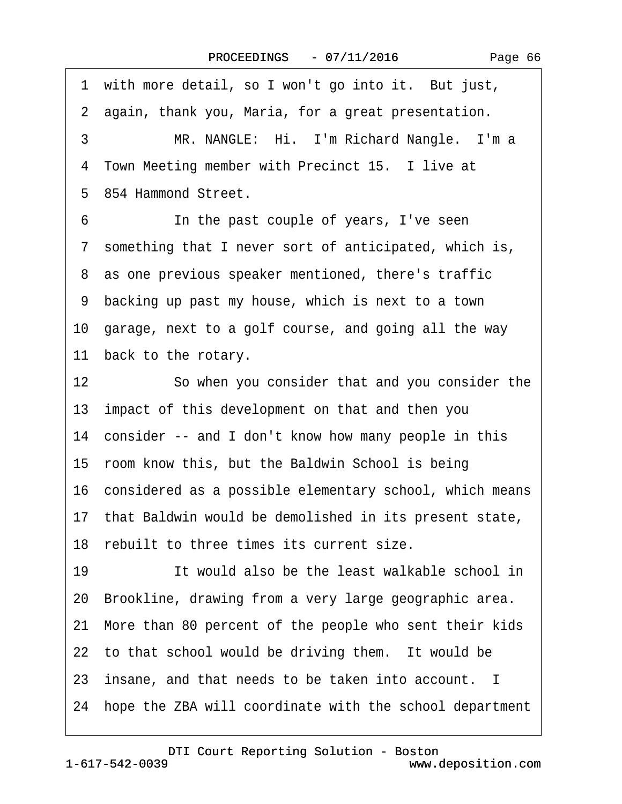1 with more detail, so I won't go into it. But just, 2 again, thank you, Maria, for a great presentation. 3 MR. NANGLE: Hi. I'm Richard Nangle. I'm a 4 Town Meeting member with Precinct 15. I live at ·5· 854 Hammond Street. 6 **In the past couple of years, I've seen** 7 something that I never sort of anticipated, which is, 8 as one previous speaker mentioned, there's traffic ·9· backing up past my house, which is next to a town 10· garage, next to a golf course, and going all the way 11 back to the rotary. 12 **· · · So when you consider that and you consider the** 13· impact of this development on that and then you 14 consider -- and I don't know how many people in this 15· room know this, but the Baldwin School is being 16· considered as a possible elementary school, which means 17· that Baldwin would be demolished in its present state, 18 rebuilt to three times its current size. 19 **· · ·** It would also be the least walkable school in 20· Brookline, drawing from a very large geographic area. 21· More than 80 percent of the people who sent their kids 22 to that school would be driving them. It would be 23· insane, and that needs to be taken into account. I 24 hope the ZBA will coordinate with the school department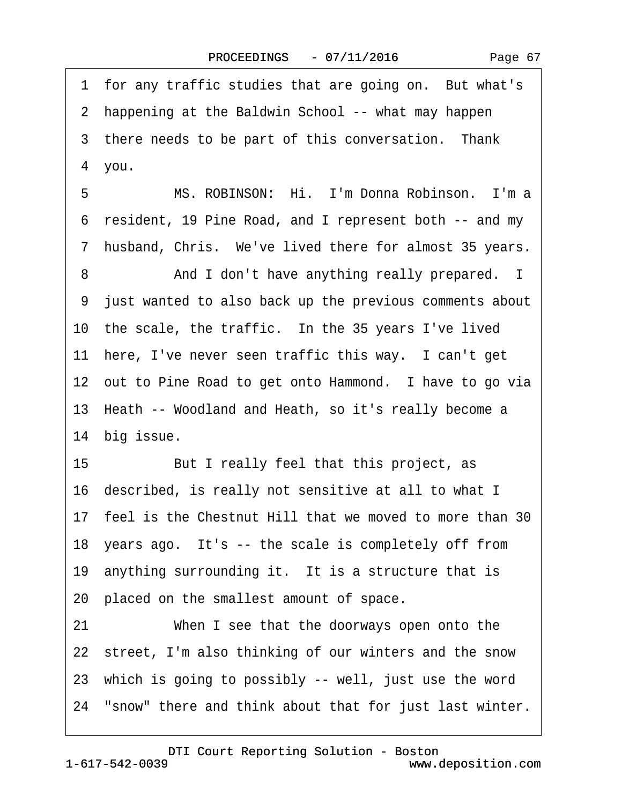1 for any traffic studies that are going on. But what's 2 happening at the Baldwin School -- what may happen 3 there needs to be part of this conversation. Thank 4 you. 5 M.S. ROBINSON: Hi. I'm Donna Robinson. I'm a ·6· resident, 19 Pine Road, and I represent both -- and my 7 husband, Chris. We've lived there for almost 35 years. 8 And I don't have anything really prepared. I ·9· just wanted to also back up the previous comments about 10 the scale, the traffic. In the 35 years I've lived 11 here, I've never seen traffic this way. I can't get 12 out to Pine Road to get onto Hammond. I have to go via 13 Heath -- Woodland and Heath, so it's really become a 14 big issue. 15 But I really feel that this project, as 16· described, is really not sensitive at all to what I 17· feel is the Chestnut Hill that we moved to more than 30 18 years ago. It's -- the scale is completely off from 19 anything surrounding it. It is a structure that is 20· placed on the smallest amount of space. 21 When I see that the doorways open onto the 22 street, I'm also thinking of our winters and the snow 23 which is going to possibly -- well, just use the word

24· "snow" there and think about that for just last winter.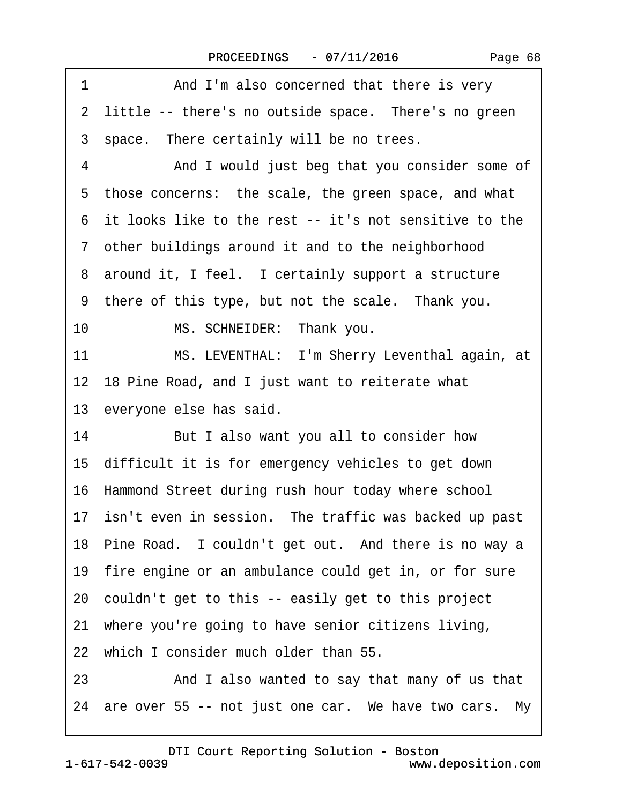| 1<br>And I'm also concerned that there is very           |
|----------------------------------------------------------|
| 2 little -- there's no outside space. There's no green   |
| 3 space. There certainly will be no trees.               |
| And I would just beg that you consider some of<br>4      |
| 5 those concerns: the scale, the green space, and what   |
| 6 it looks like to the rest -- it's not sensitive to the |
| 7 other buildings around it and to the neighborhood      |
| 8 around it, I feel. I certainly support a structure     |
| 9 there of this type, but not the scale. Thank you.      |
| 10<br>MS. SCHNEIDER: Thank you.                          |
| 11<br>MS. LEVENTHAL: I'm Sherry Leventhal again, at      |
| 12 18 Pine Road, and I just want to reiterate what       |
| 13 everyone else has said.                               |
| 14<br>But I also want you all to consider how            |
| 15 difficult it is for emergency vehicles to get down    |
| 16 Hammond Street during rush hour today where school    |
| 17 isn't even in session. The traffic was backed up past |
| 18 Pine Road. I couldn't get out. And there is no way a  |
| 19 fire engine or an ambulance could get in, or for sure |
| 20 couldn't get to this -- easily get to this project    |
| 21 where you're going to have senior citizens living,    |
| 22 which I consider much older than 55.                  |
| And I also wanted to say that many of us that<br>23      |
| 24 are over 55 -- not just one car. We have two cars. My |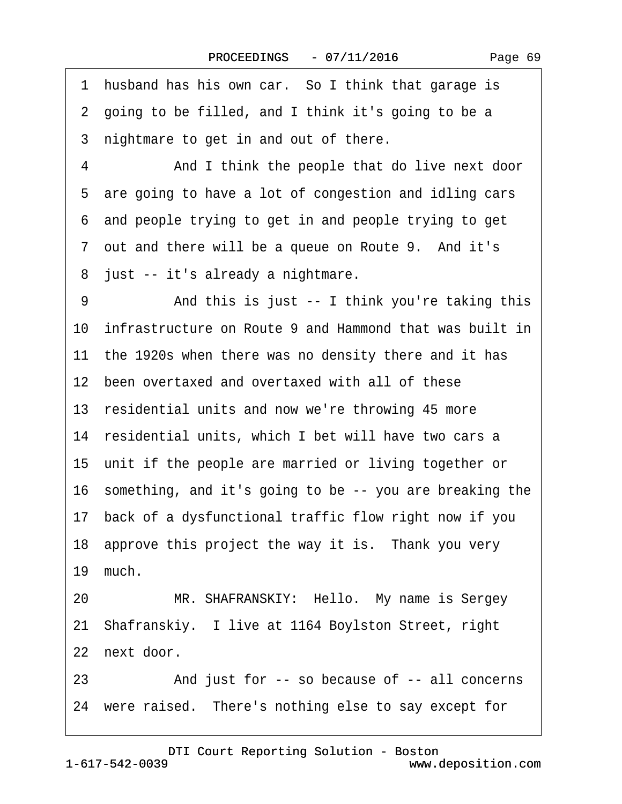1 husband has his own car. So I think that garage is ·2· going to be filled, and I think it's going to be a 3 nightmare to get in and out of there. 4 And I think the people that do live next door 5 are going to have a lot of congestion and idling cars ·6· and people trying to get in and people trying to get 7 out and there will be a queue on Route 9. And it's 8 just -- it's already a nightmare. 9 • • And this is just -- I think you're taking this 10· infrastructure on Route 9 and Hammond that was built in 11 the 1920s when there was no density there and it has 12 been overtaxed and overtaxed with all of these 13 residential units and now we're throwing 45 more 14 residential units, which I bet will have two cars a 15 unit if the people are married or living together or 16· something, and it's going to be -- you are breaking the 17· back of a dysfunctional traffic flow right now if you 18 approve this project the way it is. Thank you very 19 much. 20 MR. SHAFRANSKIY: Hello. My name is Sergey 21· Shafranskiy.· I live at 1164 Boylston Street, right 22 next door. 23 • And just for -- so because of -- all concerns 24 were raised. There's nothing else to say except for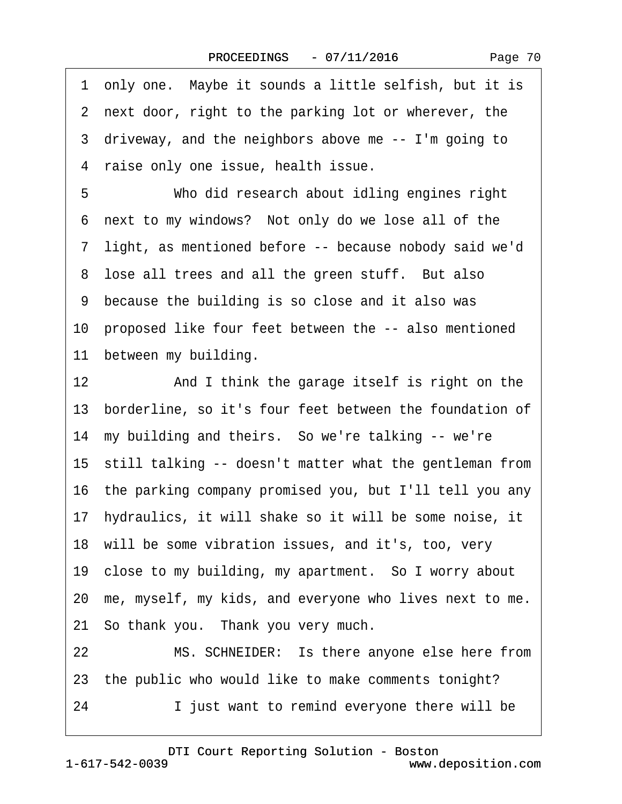|  | Page 70 |  |
|--|---------|--|
|--|---------|--|

| 1 only one. Maybe it sounds a little selfish, but it is    |
|------------------------------------------------------------|
| 2 next door, right to the parking lot or wherever, the     |
| 3 driveway, and the neighbors above me -- I'm going to     |
| 4 raise only one issue, health issue.                      |
| Who did research about idling engines right                |
| next to my windows? Not only do we lose all of the         |
| 7 light, as mentioned before -- because nobody said we'd   |
| 8 lose all trees and all the green stuff. But also         |
| 9 because the building is so close and it also was         |
| 10 proposed like four feet between the -- also mentioned   |
| 11 between my building.                                    |
| 12<br>And I think the garage itself is right on the        |
| 13 borderline, so it's four feet between the foundation of |
| 14 my building and theirs. So we're talking -- we're       |
| 15 still talking -- doesn't matter what the gentleman from |
| 16 the parking company promised you, but I'll tell you any |
| 17 hydraulics, it will shake so it will be some noise, it  |
| 18 will be some vibration issues, and it's, too, very      |
| 19 close to my building, my apartment. So I worry about    |
| 20 me, myself, my kids, and everyone who lives next to me. |
| 21 So thank you. Thank you very much.                      |
| MS. SCHNEIDER: Is there anyone else here from              |
| 23 the public who would like to make comments tonight?     |
| I just want to remind everyone there will be               |
| 22                                                         |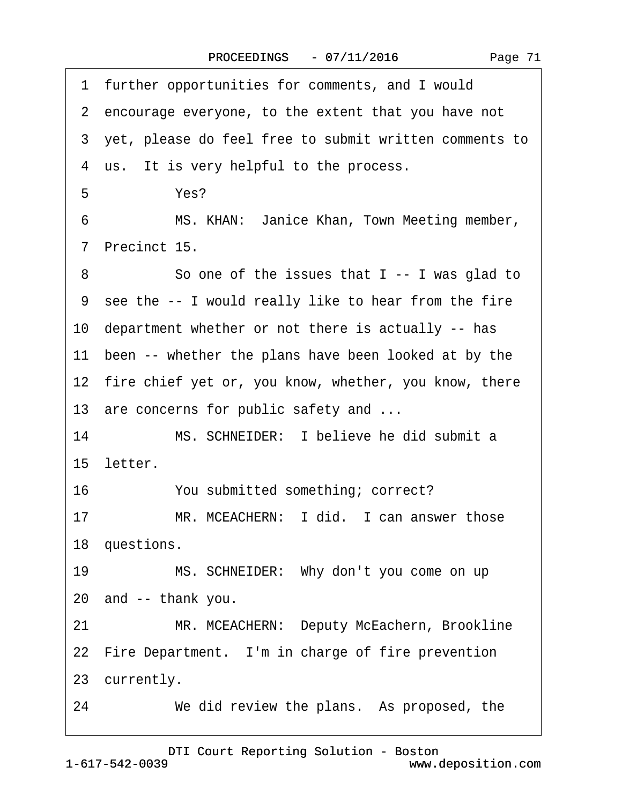·1· further opportunities for comments, and I would 2 encourage everyone, to the extent that you have not ·3· yet, please do feel free to submit written comments to 4 us. It is very helpful to the process. 5 Yes? 6 MS. KHAN: Janice Khan, Town Meeting member, ·7· Precinct 15. 8 So one of the issues that I -- I was glad to ·9· see the -- I would really like to hear from the fire 10 department whether or not there is actually -- has 11 been -- whether the plans have been looked at by the 12 fire chief yet or, you know, whether, you know, there 13 are concerns for public safety and ... 14 MS. SCHNEIDER: I believe he did submit a 15 letter. 16 You submitted something; correct? 17 MR. MCEACHERN: I did. I can answer those 18 questions. 19 MS. SCHNEIDER: Why don't you come on up 20· and -- thank you. 21 MR. MCEACHERN: Deputy McEachern, Brookline 22 Fire Department. I'm in charge of fire prevention 23 currently. 24 We did review the plans. As proposed, the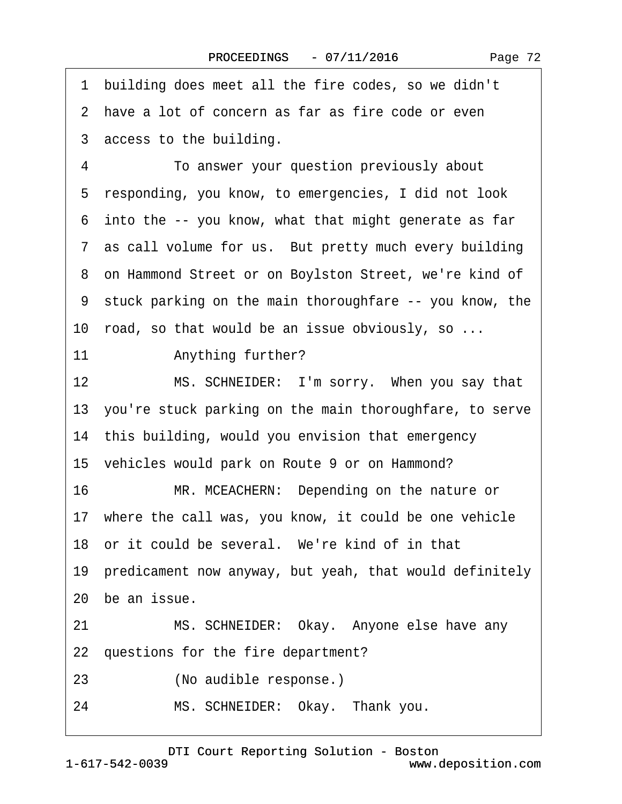·1· building does meet all the fire codes, so we didn't 2 have a lot of concern as far as fire code or even 3 access to the building. 4 **· · · · · To answer your question previously about** 5 responding, you know, to emergencies, I did not look ·6· into the -- you know, what that might generate as far 7 as call volume for us. But pretty much every building ·8· on Hammond Street or on Boylston Street, we're kind of ·9· stuck parking on the main thoroughfare -- you know, the 10 road, so that would be an issue obviously, so ... 11 • Anything further? 12 MS. SCHNEIDER: I'm sorry. When you say that 13· you're stuck parking on the main thoroughfare, to serve 14 this building, would you envision that emergency 15 vehicles would park on Route 9 or on Hammond? 16 MR. MCEACHERN: Depending on the nature or 17 where the call was, you know, it could be one vehicle 18 or it could be several. We're kind of in that 19· predicament now anyway, but yeah, that would definitely 20 be an issue. 21 MS. SCHNEIDER: Okay. Anyone else have any 22 questions for the fire department? 23 (No audible response.) 24 MS. SCHNEIDER: Okay. Thank you.

[DTI Court Reporting Solution - Boston](http://www.deposition.com) www.deposition.com

1-617-542-0039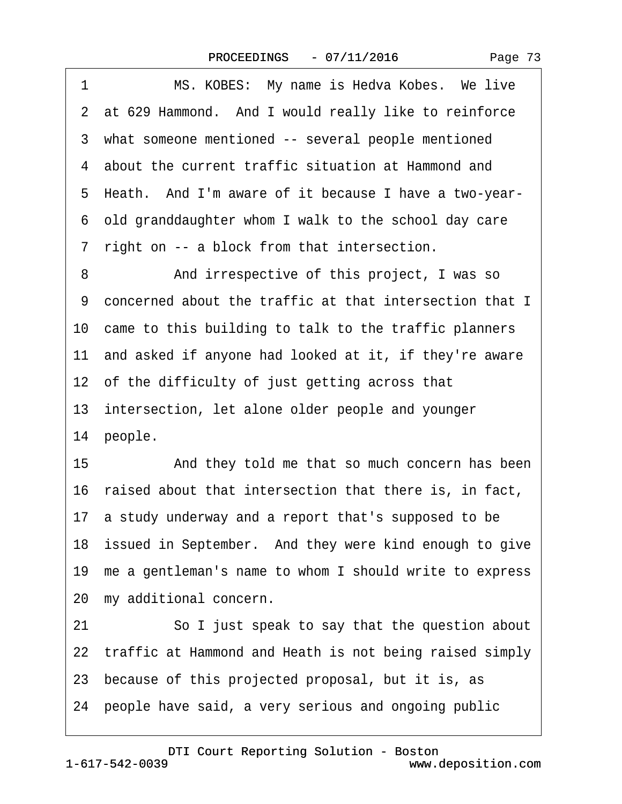|  | Page 73 |  |
|--|---------|--|
|--|---------|--|

<span id="page-72-0"></span>

| 1  | MS. KOBES: My name is Hedva Kobes. We live                 |
|----|------------------------------------------------------------|
|    | 2 at 629 Hammond. And I would really like to reinforce     |
|    | 3 what someone mentioned -- several people mentioned       |
|    | 4 about the current traffic situation at Hammond and       |
|    | 5 Heath. And I'm aware of it because I have a two-year-    |
|    | 6 old granddaughter whom I walk to the school day care     |
|    | 7 right on -- a block from that intersection.              |
| 8  | And irrespective of this project, I was so                 |
|    | 9 concerned about the traffic at that intersection that I  |
|    | 10 came to this building to talk to the traffic planners   |
|    | 11 and asked if anyone had looked at it, if they're aware  |
|    | 12 of the difficulty of just getting across that           |
|    | 13 intersection, let alone older people and younger        |
|    | 14 people.                                                 |
| 15 | And they told me that so much concern has been             |
|    | 16 raised about that intersection that there is, in fact,  |
|    | 17 a study underway and a report that's supposed to be     |
|    | 18 issued in September. And they were kind enough to give  |
|    | 19 me a gentleman's name to whom I should write to express |
|    | 20 my additional concern.                                  |
| 21 | So I just speak to say that the question about             |
|    | 22 traffic at Hammond and Heath is not being raised simply |
|    | 23 because of this projected proposal, but it is, as       |
|    | 24 people have said, a very serious and ongoing public     |
|    |                                                            |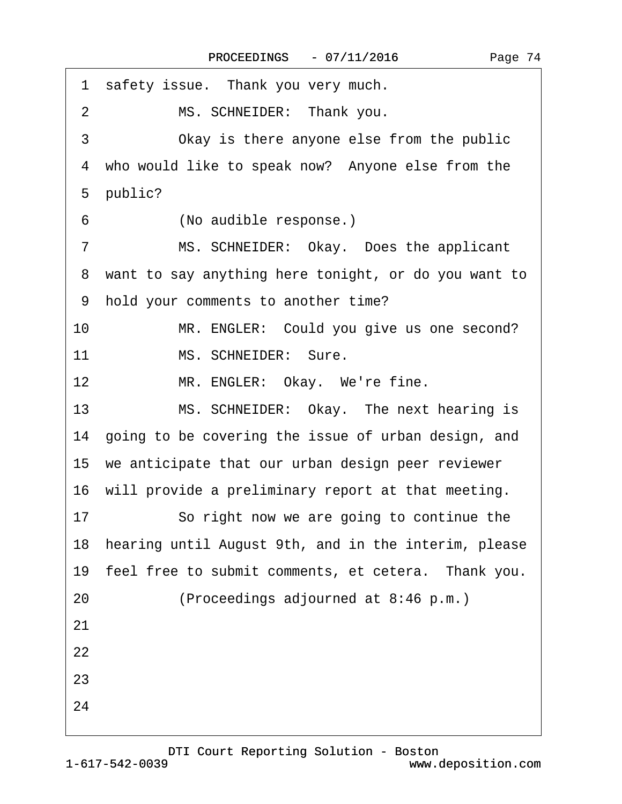<span id="page-73-0"></span>

| 1 safety issue. Thank you very much.                    |
|---------------------------------------------------------|
| MS. SCHNEIDER: Thank you.<br>$\overline{2}$             |
| 3<br>Okay is there anyone else from the public          |
| 4 who would like to speak now? Anyone else from the     |
| 5 public?                                               |
| (No audible response.)<br>6                             |
| MS. SCHNEIDER: Okay. Does the applicant<br>7            |
| 8 want to say anything here tonight, or do you want to  |
| 9 hold your comments to another time?                   |
| 10<br>MR. ENGLER: Could you give us one second?         |
| MS. SCHNEIDER: Sure.<br>11                              |
| MR. ENGLER: Okay. We're fine.<br>12                     |
| 13<br>MS. SCHNEIDER: Okay. The next hearing is          |
| 14 going to be covering the issue of urban design, and  |
| 15 we anticipate that our urban design peer reviewer    |
| 16 will provide a preliminary report at that meeting.   |
| So right now we are going to continue the<br>17         |
| 18 hearing until August 9th, and in the interim, please |
| 19 feel free to submit comments, et cetera. Thank you.  |
| (Proceedings adjourned at 8:46 p.m.)<br>20              |
| 21                                                      |
| 22                                                      |
| 23                                                      |
| 24                                                      |
|                                                         |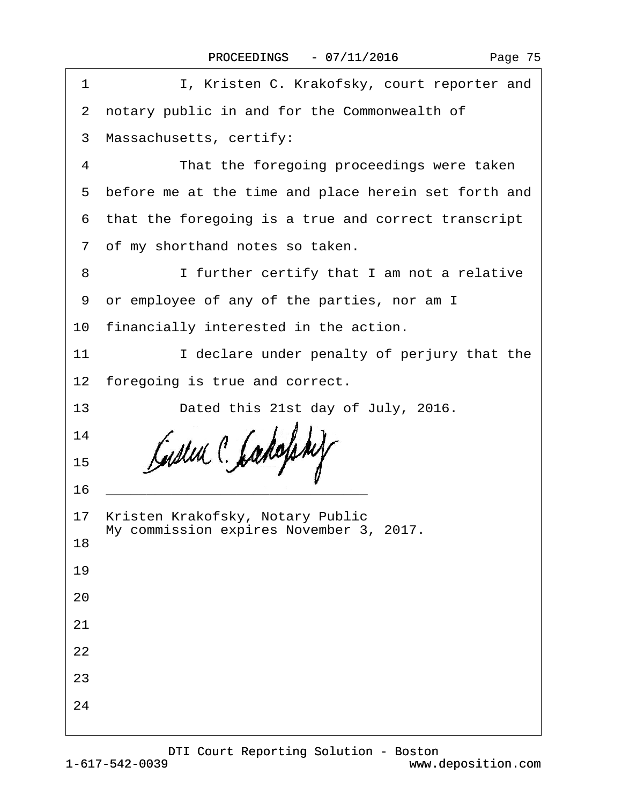| Page 75 |  |
|---------|--|
|---------|--|

| 1  | I, Kristen C. Krakofsky, court reporter and                                    |
|----|--------------------------------------------------------------------------------|
|    | 2 notary public in and for the Commonwealth of                                 |
|    | 3 Massachusetts, certify:                                                      |
| 4  | That the foregoing proceedings were taken                                      |
|    | 5 before me at the time and place herein set forth and                         |
|    | 6 that the foregoing is a true and correct transcript                          |
|    | 7 of my shorthand notes so taken.                                              |
| 8  | I further certify that I am not a relative                                     |
|    | 9 or employee of any of the parties, nor am I                                  |
|    | 10 financially interested in the action.                                       |
| 11 | I declare under penalty of perjury that the                                    |
|    | 12 foregoing is true and correct.                                              |
| 13 | Dated this 21st day of July, 2016.                                             |
| 14 |                                                                                |
| 15 |                                                                                |
| 16 |                                                                                |
|    | 17 Kristen Krakofsky, Notary Public<br>My commission expires November 3, 2017. |
| 18 |                                                                                |
| 19 |                                                                                |
| 20 |                                                                                |
| 21 |                                                                                |
| 22 |                                                                                |
| 23 |                                                                                |
| 24 |                                                                                |
|    |                                                                                |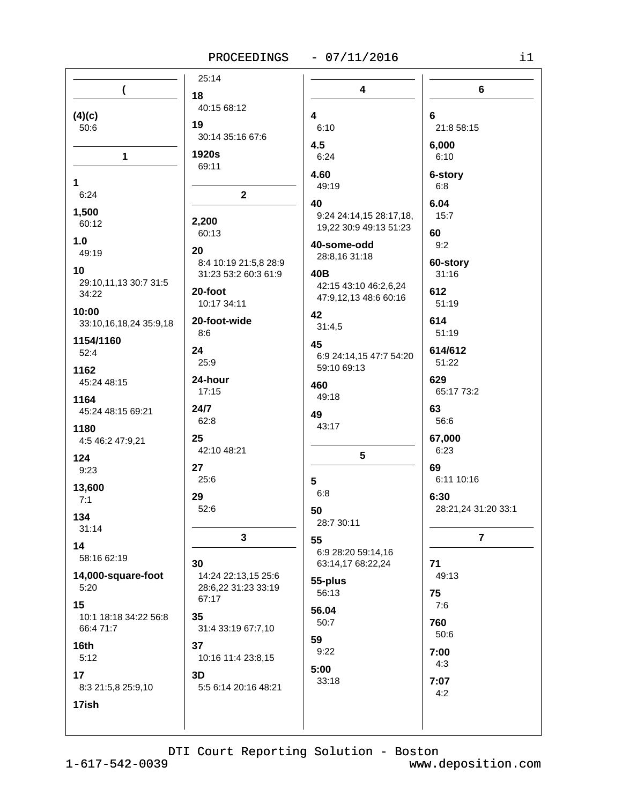# PROCEEDINGS - 07/11/2016

| n e |  |
|-----|--|
|     |  |
|     |  |

| (                                  | 18                                         | $\overline{\mathbf{4}}$ | 6                   |
|------------------------------------|--------------------------------------------|-------------------------|---------------------|
|                                    | 40:15 68:12                                |                         |                     |
| (4)(c)                             | 19                                         | 4                       | 6                   |
| 50:6                               | 30:14 35:16 67:6                           | 6:10                    | 21:8 58:15          |
|                                    | 1920s                                      | 4.5                     | 6,000               |
| $\mathbf{1}$                       | 69:11                                      | 6:24                    | 6:10                |
| 1                                  |                                            | 4.60                    | 6-story             |
| 6:24                               | $\mathbf{2}$                               | 49:19                   | 6:8                 |
|                                    |                                            | 40                      | 6.04                |
| 1,500<br>60:12                     | 2,200                                      | 9:24 24:14,15 28:17,18, | 15:7                |
|                                    | 60:13                                      | 19,22 30:9 49:13 51:23  | 60                  |
| 1.0                                | 20                                         | 40-some-odd             | 9:2                 |
| 49:19                              | 8:4 10:19 21:5,8 28:9                      | 28:8,16 31:18           | 60-story            |
| 10                                 | 31:23 53:2 60:3 61:9                       | 40B                     | 31:16               |
| 29:10,11,13 30:7 31:5<br>34:22     | 20-foot                                    | 42:15 43:10 46:2,6,24   | 612                 |
|                                    | 10:17 34:11                                | 47:9,12,13 48:6 60:16   | 51:19               |
| 10:00                              | 20-foot-wide                               | 42                      | 614                 |
| 33:10,16,18,24 35:9,18             | 8:6                                        | 31:4,5                  | 51:19               |
| 1154/1160                          |                                            | 45                      |                     |
| 52:4                               | 24<br>25:9                                 | 6:9 24:14,15 47:7 54:20 | 614/612<br>51:22    |
| 1162                               |                                            | 59:10 69:13             |                     |
| 45:24 48:15                        | 24-hour<br>17:15                           | 460                     | 629<br>65:17 73:2   |
| 1164                               |                                            | 49:18                   |                     |
| 45:24 48:15 69:21                  | 24/7                                       | 49                      | 63                  |
| 1180                               | 62:8                                       | 43:17                   | 56:6                |
| 4:5 46:2 47:9,21                   | 25                                         |                         | 67,000              |
| 124                                | 42:10 48:21                                | 5                       | 6:23                |
| 9:23                               | 27                                         |                         | 69                  |
| 13,600                             | 25:6                                       | 5                       | 6:11 10:16          |
| 7:1                                | 29                                         | 6:8                     | 6:30                |
| 134                                | 52:6                                       | 50                      | 28:21,24 31:20 33:1 |
| 31:14                              |                                            | 28:7 30:11              |                     |
| 14                                 | 3                                          | 55                      | $\overline{7}$      |
| 58:16 62:19                        |                                            | 6:9 28:20 59:14,16      |                     |
|                                    | 30                                         | 63:14,17 68:22,24       | 71                  |
| 14,000-square-foot<br>5:20         | 14:24 22:13,15 25:6<br>28:6,22 31:23 33:19 | 55-plus                 | 49:13               |
|                                    | 67:17                                      | 56:13                   | 75                  |
| 15                                 |                                            | 56.04                   | 7:6                 |
| 10:1 18:18 34:22 56:8<br>66:4 71:7 | 35<br>31:4 33:19 67:7,10                   | 50:7                    | 760                 |
|                                    |                                            | 59                      | 50:6                |
| 16th<br>5:12                       | 37                                         | 9:22                    | 7:00                |
|                                    | 10:16 11:4 23:8,15                         | 5:00                    | 4:3                 |
| 17                                 | 3D                                         | 33:18                   | 7:07                |
|                                    |                                            |                         |                     |
| 8:3 21:5,8 25:9,10<br>17ish        | 5:5 6:14 20:16 48:21                       |                         | 4:2                 |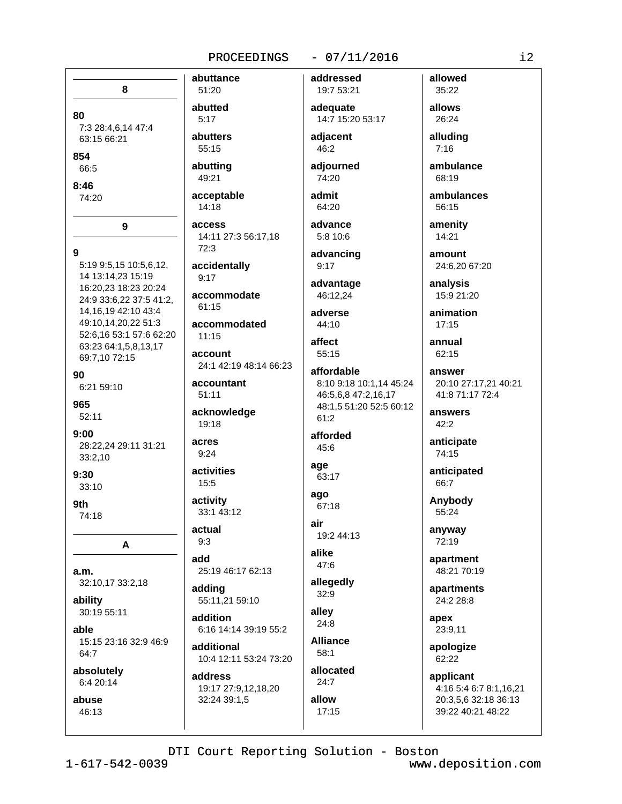# $-07/11/2016$

8 51:20 80  $5:17$ 7:3 28:4,6,14 47:4 63:15 66:21 55:15 854 66:5 49:21  $8:46$ 74:20 14:18 access q  $72:3$ 5:19 9:5,15 10:5,6,12, 14 13:14.23 15:19  $9:17$ 16:20,23 18:23 20:24 24:9 33:6,22 37:5 41:2,  $61.15$ 14, 16, 19 42: 10 43: 4 49:10,14,20,22 51:3 52:6,16 53:1 57:6 62:20  $11:15$ 63:23 64:1,5,8,13,17 69:7,10 72:15 90 6:21 59:10  $51:11$ 965  $52.11$ 19:18  $9:00$ acres 28:22.24 29:11 31:21  $9:24$ 33:2,10  $9:30$  $15:5$ 33:10 activity 9th 74:18 actual  $9:3$ A add 25:19 46:17 62:13  $a.m.$ 32:10,17 33:2,18 adding ability 55:11.21 59:10 30:19 55:11 addition able 6:16 14:14 39:19 55:2 15:15 23:16 32:9 46:9 additional  $64:7$ 10:4 12:11 53:24 73:20 absolutely address 6:4 20:14 19:17 27:9,12,18,20 abuse 32:24 39:1,5  $46.13$ 

 $\mathbf{Q}$ 

abuttance addressed abutted abutters adiacent abutting adjourned acceptable 14:11 27:3 56:17.18 accidentally accommodate accommodated account 24:1 42:19 48:14 66:23 accountant acknowledge activities 33:1 43:12

ago 67:18 air 19:2 44:13 alike 47:6 allegedly  $32:9$ allev 24:8 **Alliance**  $58:1$ allocated  $24.7$ allow

 $17:15$ 

19:7 53:21 adequate 14:7 15:20 53:17

admit

64:20 advance 5:8 10:6

46:2

74:20

advancing  $9:17$ 

advantage 46:12.24

adverse 44:10

affect 55:15

affordable 8:10 9:18 10:1.14 45:24 46:5,6,8 47:2,16,17 48:1,5 51:20 52:5 60:12 61:2

afforded 45:6

age 63:17

35:22 allows 26:24

allowed

alluding  $7:16$ 

ambulance 68:19

ambulances 56:15

amenity 14:21

> amount 24:6,20 67:20

analysis 15:9 21:20

animation  $17:15$ 

annual 62:15

answer 20:10 27:17,21 40:21 41:8 71:17 72:4

answers  $42:2$ 

anticipate 74:15

anticipated 66:7

Anybody 55:24

anyway 72:19

apartment 48:21 70:19

apartments 24:2 28:8

apex 23:9,11

apologize 62:22

applicant 4:16 5:4 6:7 8:1,16,21 20:3.5.6 32:18 36:13 39:22 40:21 48:22

DTI Court Reporting Solution - Boston

www.deposition.com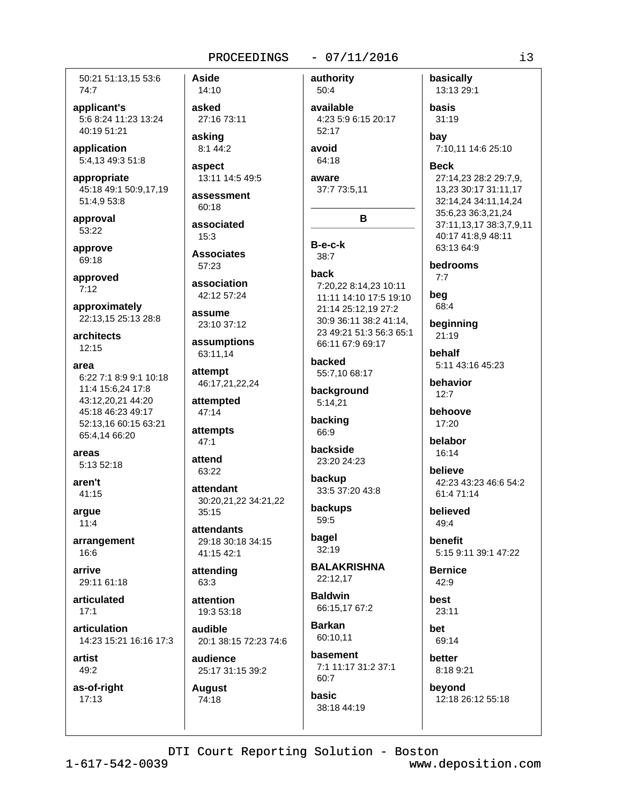50:21 51:13.15 53:6 74:7

applicant's 5:6 8:24 11:23 13:24 40:19 51:21

application 5:4,13 49:3 51:8

appropriate 45:18 49:1 50:9,17,19 51:4,9 53:8

approval 53:22

approve 69:18

approved  $7:12$ 

approximately 22:13,15 25:13 28:8

architects  $12:15$ 

area

6:22 7:1 8:9 9:1 10:18 11:4 15:6.24 17:8 43:12,20,21 44:20 45:18 46:23 49:17 52:13.16 60:15 63:21 65:4,14 66:20

areas 5:13 52:18

aren't  $41:15$ 

arque  $11:4$ 

arrangement 16:6

arrive 29:11 61:18

articulated  $17.1$ 

articulation 14:23 15:21 16:16 17:3

artist 49:2

as-of-right  $17:13$ 

**Aside** 14:10 asked 27:16 73:11

asking 8:1 44:2

aspect 13:11 14:5 49:5

assessment 60:18

associated  $15:3$ 

**Associates** 57:23

association 42:12 57:24

assume 23:10 37:12

assumptions 63:11.14

attempt 46:17,21,22,24

attempted 47:14

attempts  $47:1$ 

attend 63:22

attendant 30:20,21,22 34:21,22  $35:15$ 

attendants 29:18 30:18 34:15 41:15 42:1

attending 63:3

attention 19:3 53:18

audible 20:1 38:15 72:23 74:6

audience 25:17 31:15 39:2

**August** 74:18

50:4 available 4:23 5:9 6:15 20:17  $52.17$ avoid

authority

 $-07/11/2016$ 

64:18 aware

37:7 73:5,11

B

 $B-e-c-k$  $38:7$ 

### back

7:20,22 8:14,23 10:11 11:11 14:10 17:5 19:10 21:14 25:12.19 27:2 30:9 36:11 38:2 41:14, 23 49:21 51:3 56:3 65:1 66:11 67:9 69:17

backed 55:7,10 68:17

background  $5:14,21$ 

backing 66:9

backside 23:20 24:23

backup 33:5 37:20 43:8

backups 59:5

bagel  $32:19$ 

**BALAKRISHNA** 22:12,17

**Baldwin** 66:15,17 67:2

**Barkan** 60:10,11 basement

7:1 11:17 31:2 37:1 60:7 basic

38:18 44:19

basically 13:13 29:1

basis  $31:19$ 

bay

7:10,11 14:6 25:10

**Beck** 

27:14,23 28:2 29:7,9, 13,23 30:17 31:11,17 32:14,24 34:11,14,24 35:6,23 36:3,21,24 37:11,13,17 38:3,7,9,11 40:17 41:8,9 48:11 63:13 64:9

bedrooms  $7.7$ 

bea 68:4

beginning  $21:19$ 

behalf 5:11 43:16 45:23

behavior  $12.7$ 

behoove 17:20

belabor 16:14

believe 42:23 43:23 46:6 54:2 61:4 71:14

believed  $49:4$ 

benefit 5:15 9:11 39:1 47:22

**Bernice** 42:9

best  $23:11$ het

69:14

better 8:18 9:21

beyond 12:18 26:12 55:18

DTI Court Reporting Solution - Boston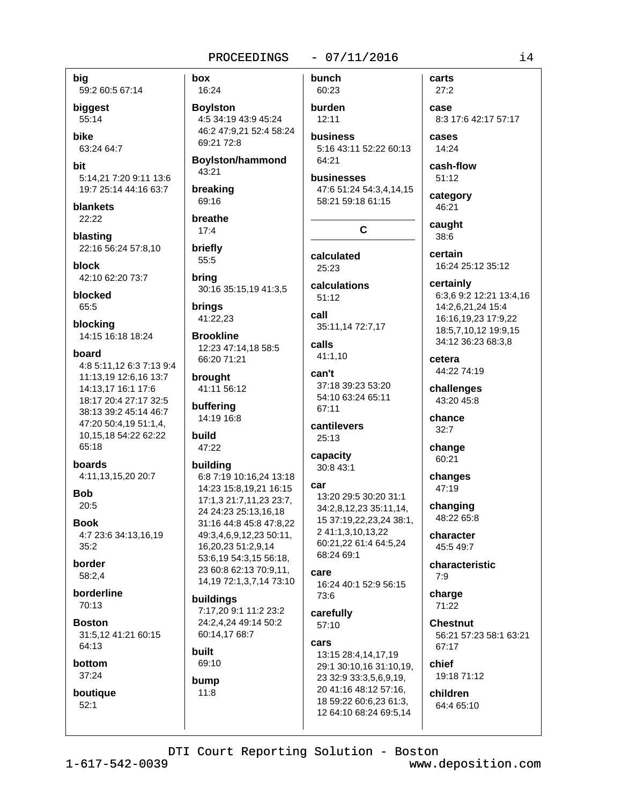big 59:2 60:5 67:14

biggest 55:14

**bike** 63:24 64:7

hit 5:14.21 7:20 9:11 13:6 19:7 25:14 44:16 63:7

blankets 22:22

blasting 22:16 56:24 57:8,10

block 42:10 62:20 73:7

blocked 65:5

blocking 14:15 16:18 18:24

#### board

4:8 5:11,12 6:3 7:13 9:4 11:13,19 12:6,16 13:7 14:13.17 16:1 17:6 18:17 20:4 27:17 32:5 38:13 39:2 45:14 46:7 47:20 50:4,19 51:1,4, 10,15,18 54:22 62:22 65:18

boards 4:11,13,15,20 20:7

**Bob**  $20:5$ 

**Book** 4:7 23:6 34:13,16,19  $35:2$ 

**border** 58:2.4

borderline 70:13

**Boston** 31:5.12 41:21 60:15 64:13

bottom 37:24

boutique  $52:1$ 

box 16:24

**Boylston** 4:5 34:19 43:9 45:24 46:2 47:9.21 52:4 58:24 69:21 72:8

**Boylston/hammond** 43:21

breaking

69:16 breathe  $17:4$ 

briefly 55:5

bring 30:16 35:15,19 41:3,5

brings 41:22,23

**Brookline** 12:23 47:14.18 58:5 66:20 71:21

brought 41:11 56:12

buffering 14:19 16:8

build 47:22

# building

6:8 7:19 10:16,24 13:18 14:23 15:8,19,21 16:15 17:1,3 21:7,11,23 23:7, 24 24:23 25:13,16,18 31:16 44:8 45:8 47:8,22 49:3,4,6,9,12,23 50:11, 16,20,23 51:2,9,14 53:6,19 54:3,15 56:18, 23 60:8 62:13 70:9,11, 14, 19 72: 1, 3, 7, 14 73: 10

# buildings

7:17.20 9:1 11:2 23:2 24:2.4.24 49:14 50:2 60:14,17 68:7

# built

69:10 bump  $11:8$ 

 $-07/11/2016$ bunch

```
60:23
burden
 12:11
```
**business** 5:16 43:11 52:22 60:13 64:21

businesses 47:6 51:24 54:3,4,14,15 58:21 59:18 61:15

# $\mathbf{C}$

calculated 25:23

calculations  $51:12$ 

call 35:11,14 72:7,17

calls 41:1,10

can't 37:18 39:23 53:20 54:10 63:24 65:11 67:11

cantilevers 25:13

capacity  $30.843.1$ 

# car

13:20 29:5 30:20 31:1 34:2,8,12,23 35:11,14, 15 37:19,22,23,24 38:1, 2 41:1,3,10,13,22 60:21,22 61:4 64:5,24 68:24 69:1

#### care 16:24 40:1 52:9 56:15

73:6 carefully

 $57:10$ 

#### cars

13:15 28:4,14,17,19 29:1 30:10,16 31:10,19, 23 32:9 33:3,5,6,9,19, 20 41:16 48:12 57:16. 18 59:22 60:6,23 61:3, 12 64:10 68:24 69:5,14

 $27:2$ case

carts

8:3 17:6 42:17 57:17 cases

14:24

cash-flow  $51:12$ 

category 46:21

caught 38:6

certain 16:24 25:12 35:12

certainly 6:3,6 9:2 12:21 13:4,16 14:2,6,21,24 15:4 16:16,19,23 17:9,22 18:5,7,10,12 19:9,15 34:12 36:23 68:3.8

cetera 44:22 74:19

challenges  $43.2045.8$ 

chance  $32:7$ 

change 60:21

changes 47:19

changing 48:22 65:8

character 45:5 49:7

characteristic  $7:9$ 

charge 71:22

**Chestnut** 56:21 57:23 58:1 63:21 67:17

chief 19:18 71:12

children 64:4 65:10

# DTI Court Reporting Solution - Boston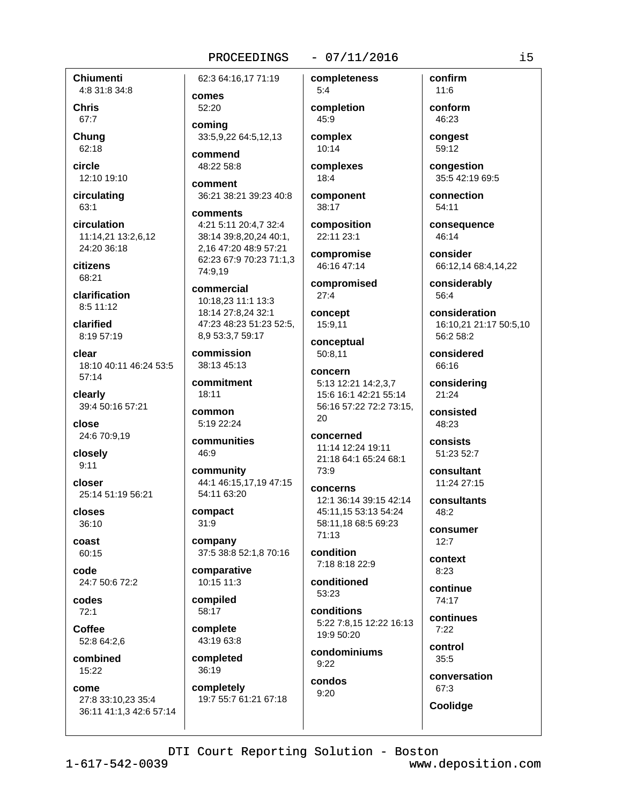#### $-07/11/2016$

**Chiumenti** 4:8 31:8 34:8

**Chris** 67:7

Chung 62:18

circle 12:10 19:10

circulating 63:1

circulation 11:14.21 13:2.6.12 24:20 36:18

citizens 68:21

clarification 8:5 11:12

clarified 8:19 57:19

clear 18:10 40:11 46:24 53:5  $57:14$ 

clearly 39:4 50:16 57:21

close 24:6 70:9,19

closely  $9:11$ 

closer 25:14 51:19 56:21

closes  $36:10$ 

coast 60:15

code 24:7 50:6 72:2

codes  $72:1$ 

Coffee 52:8 64:2,6

combined 15:22

come 27:8 33:10,23 35:4 36:11 41:1,3 42:6 57:14 62:3 64:16,17 71:19

comes 52:20 comina

33:5,9,22 64:5,12,13 commend

48:22 58:8

comment 36:21 38:21 39:23 40:8

comments 4:21 5:11 20:4.7 32:4 38:14 39:8,20,24 40:1, 2,16 47:20 48:9 57:21 62:23 67:9 70:23 71:1,3 74:9.19

commercial 10:18,23 11:1 13:3 18:14 27:8,24 32:1 47:23 48:23 51:23 52:5, 8,9 53:3,7 59:17

commission 38:13 45:13

commitment  $18:11$ 

common 5:19 22:24

communities 46:9

community 44:1 46:15.17.19 47:15 54:11 63:20

compact  $31:9$ 

company 37:5 38:8 52:1,8 70:16

comparative 10:15 11:3

compiled 58:17

complete 43:19 63:8

completed 36:19

completely 19:7 55:7 61:21 67:18

 $5:4$ completion 45:9

completeness

complex 10:14

complexes  $18:4$ 

component 38:17

composition 22:11 23:1

compromise 46:16 47:14

compromised  $27:4$ 

concept 15:9,11

conceptual 50:8.11

concern 5:13 12:21 14:2,3,7 15:6 16:1 42:21 55:14 56:16 57:22 72:2 73:15,  $20$ 

concerned 11:14 12:24 19:11 21:18 64:1 65:24 68:1 73:9

concerns 12:1 36:14 39:15 42:14 45:11,15 53:13 54:24 58:11,18 68:5 69:23 71:13

condition 7:18 8:18 22:9

conditioned 53:23

conditions 5:22 7:8,15 12:22 16:13 19:9 50:20

condominiums  $9:22$ condos

 $9:20$ 

 $11.6$ conform

confirm

46:23 congest 59:12

congestion 35:5 42:19 69:5

connection 54:11

consequence 46:14

consider 66:12,14 68:4,14,22

considerably 56:4

consideration 16:10,21 21:17 50:5,10 56:2 58:2

considered 66:16

considering 21:24

consisted 48:23

consists 51:23 52:7

consultant 11:24 27:15

consultants 48:2

consumer  $12:7$ 

context  $8:23$ 

continue 74:17

> continues  $7:22$

control  $35:5$ 

conversation

67:3 Coolidge

DTI Court Reporting Solution - Boston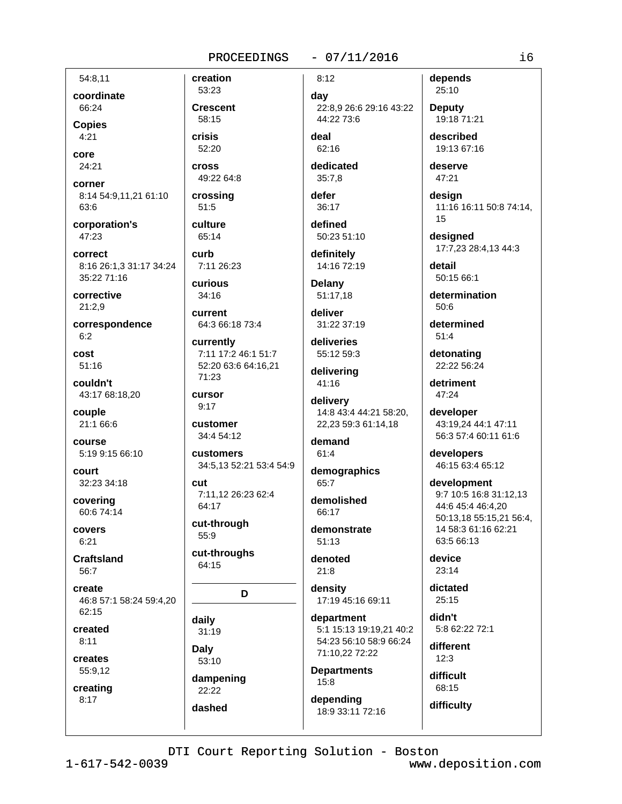# 54:8.11 coordinate

66:24 **Copies**  $4:21$ 

core 24:21

corner 8:14 54:9,11,21 61:10 63:6

corporation's 47:23

correct 8:16 26:1,3 31:17 34:24 35:22 71:16

corrective  $21:2.9$ 

correspondence  $6:2$ 

cost  $51:16$ 

couldn't 43:17 68:18,20

couple 21:1 66:6

course 5:19 9:15 66:10

court 32:23 34:18

covering 60:6 74:14

covers  $6:21$ 

**Craftsland** 56:7

create 46:8 57:1 58:24 59:4.20  $62:15$ 

created  $8:11$ 

creates 55:9.12

creating  $8:17$ 

53:23 **Crescent** 58:15

creation

crisis 52:20

**cross** 49:22 64:8 crossing

51:5 culture 65:14

curb 7:11 26:23

curious  $34:16$ 

current 64:3 66:18 73:4

currently 7:11 17:2 46:1 51:7 52:20 63:6 64:16,21 71:23

**CUITSOT**  $9:17$ 

customer 34:4 54:12

customers 34:5,13 52:21 53:4 54:9

cut 7:11,12 26:23 62:4 64:17

cut-through 55:9

cut-throughs 64:15

D

daily 31:19

**Daly** 53:10 dampening

22:22 dashed  $-07/11/2016$ 

 $8:12$ day 22:8,9 26:6 29:16 43:22 44:22 73:6

deal 62:16

dedicated  $35:7.8$ 

defer 36:17

defined 50:23 51:10

definitely 14:16 72:19

**Delany** 51:17.18

deliver 31:22 37:19

deliveries 55:12 59:3

delivering 41:16

delivery 14:8 43:4 44:21 58:20, 22,23 59:3 61:14,18

demand  $61:4$ 

demographics 65:7

demolished 66:17

demonstrate  $51:13$ 

denoted  $21:8$ 

density 17:19 45:16 69:11

department 5:1 15:13 19:19,21 40:2 54:23 56:10 58:9 66:24 71:10,22 72:22

**Departments**  $15:8$ 

depending 18:9 33:11 72:16 depends 25:10

**Deputy** 19:18 71:21 described

19:13 67:16

deserve 47:21

design 11:16 16:11 50:8 74:14, 15

designed 17:7.23 28:4.13 44:3

detail 50:15 66:1

determination  $50.6$ 

determined  $51:4$ 

detonating 22:22 56:24

detriment  $47:24$ 

developer 43:19,24 44:1 47:11 56:3 57:4 60:11 61:6

developers 46:15 63:4 65:12

development 9:7 10:5 16:8 31:12,13 44:6 45:4 46:4,20 50:13.18 55:15.21 56:4. 14 58:3 61:16 62:21 63:5 66:13

device  $23:14$ 

dictated  $25:15$ 

didn't 5:8 62:22 72:1

different  $12:3$ 

difficult 68:15

difficulty

i6

DTI Court Reporting Solution - Boston

 $1 - 617 - 542 - 0039$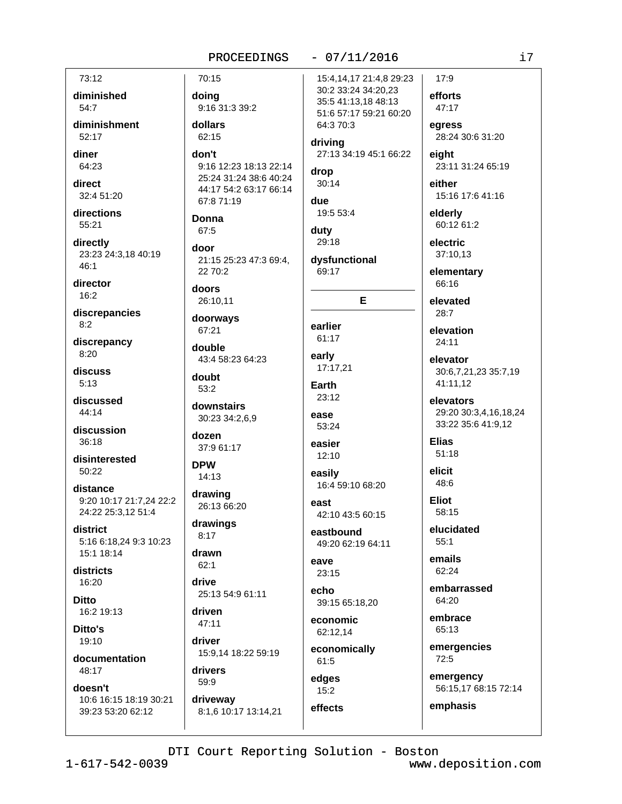#### 73:12 70:15 15:4,14,17 21:4,8 29:23 30:2 33:24 34:20,23 diminished efforts doing 35:5 41:13,18 48:13 54:7 9:16 31:3 39:2 51:6 57:17 59:21 60:20 diminishment dollars 64:3 70:3  $52.17$  $62.15$ driving don't 27:13 34:19 45:1 66:22 diner 64:23 9:16 12:23 18:13 22:14 drop 25:24 31:24 38:6 40:24 direct  $30:14$ 44:17 54:2 63:17 66:14 32:4 51:20 67:8 71:19 due directions 19:5 53:4 **Donna** 55:21 67:5 duty 29:18 directly door 23:23 24:3,18 40:19 21:15 25:23 47:3 69:4, dysfunctional  $2270:2$ 69:17 director doors  $16:2$ 26:10.11 E discrepancies doorways earlier 67:21 61:17 discrepancy double early 43:4 58:23 64:23 17:17.21 discuss doubt  $5:13$ Earth  $53:2$ 23:12 discussed downstairs  $44.14$ ease 30:23 34:2,6,9 53:24 discussion dozen 36:18 easier 37:9 61:17  $12:10$ disinterested **DPW**  $50:22$ easily 14:13 16:4 59:10 68:20 distance drawing 9:20 10:17 21:7,24 22:2 east 26:13 66:20 24:22 25:3,12 51:4 42:10 43:5 60:15 drawings district eastbound  $8:17$ 5:16 6:18,24 9:3 10:23 49:20 62:19 64:11 15:1 18:14 drawn eave  $62:1$ districts  $23:15$ 16:20 drive echo 25:13 54:9 61:11 **Ditto** 39:15 65:18,20 16:2 19:13 driven economic  $47:11$ Ditto's 62:12,14 19:10 driver economically 15:9,14 18:22 59:19 documentation 61:5 48:17 drivers edges 59:9 doesn't  $15:2$ 10:6 16:15 18:19 30:21 driveway effects 39:23 53:20 62:12 8:1,6 10:17 13:14,21

PROCEEDINGS

electric 37:10.13 elementary 66:16 elevated  $28:7$ elevation  $24:11$ elevator 41:11.12 elevators **Elias**  $51:18$ elicit 48:6 **Eliot** 58:15 elucidated  $55:1$ emails 62:24 64:20 embrace 65:13 72:5

 $-07/11/2016$ 

47:17 egress 28:24 30:6 31:20 eight 23:11 31:24 65:19

either 15:16 17:6 41:16

elderly 60:12 61:2

 $17:9$ 

30:6,7,21,23 35:7,19

29:20 30:3,4,16,18,24 33:22 35:6 41:9,12

embarrassed

emergencies

emergency 56:15,17 68:15 72:14

emphasis

DTI Court Reporting Solution - Boston

 $46:1$ 

 $8:2$ 

 $8:20$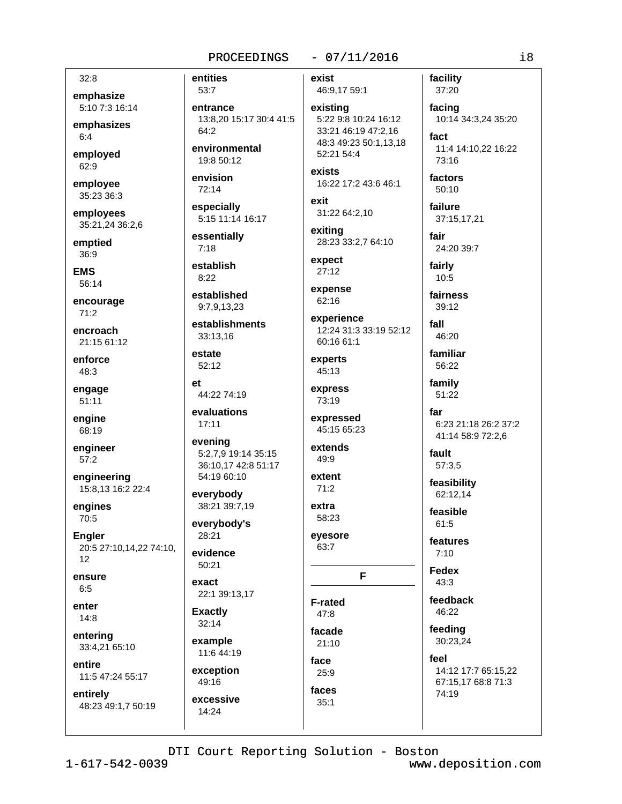#### $32:8$

emphasize 5:10 7:3 16:14

emphasizes  $6:4$ 

employed  $62:9$ 

employee 35:23 36:3

employees 35:21.24 36:2.6

emptied  $36:9$ 

**EMS** 56:14

encourage  $71:2$ 

encroach 21:15 61:12

enforce 48:3

engage  $51:11$ 

engine 68:19

engineer  $57:2$ 

engineering 15:8,13 16:2 22:4

engines 70:5

**Engler** 20:5 27:10,14,22 74:10,  $12$ 

ensure  $6:5$ 

enter  $14:8$ 

entering 33:4,21 65:10

entire 11:5 47:24 55:17

entirely 48:23 49:1,7 50:19 entities 53:7 entrance 13:8.20 15:17 30:4 41:5 64:2 environmental

19:8 50:12

envision 72:14

especially 5:15 11:14 16:17

essentially  $7:18$ 

establish  $8:22$ 

established 9:7.9.13.23

establishments 33:13.16

estate 52:12

 $e<sub>t</sub>$ 44:22 74:19

evaluations  $17:11$ 

evening 5:2,7,9 19:14 35:15 36:10,17 42:8 51:17 54:19 60:10

everybody 38:21 39:7,19

everybody's 28:21

evidence  $50:21$ 

exact 22:1 39:13,17

**Exactly**  $32:14$ 

example 11:6 44:19

exception 49:16 excessive

 $14:24$ 

 $-07/11/2016$ 

exist

46:9,17 59:1

existing 5:22 9:8 10:24 16:12 33:21 46:19 47:2.16 48:3 49:23 50:1,13,18 52:21 54:4

exists 16:22 17:2 43:6 46:1

exit 31:22 64:2,10

exiting 28:23 33:2,7 64:10

expect  $27:12$ 

expense  $62:16$ 

experience 12:24 31:3 33:19 52:12 60:16 61:1

experts 45:13

express  $73.19$ 

expressed 45:15 65:23

extends 49:9

extent  $71:2$ 

extra 58:23

eyesore 63:7

# F

**F-rated**  $47:8$ facade

 $21:10$ face  $25:9$ 

faces

 $35:1$ 

factors  $50:10$ failure

facility

37:20

facing

73:16

fact

10:14 34:3,24 35:20

11:4 14:10,22 16:22

37:15,17,21

fair 24:20 39:7

fairly 10:5

fairness  $39.12$ 

fall 46:20 familiar

56:22 family

51:22

far 6:23 21:18 26:2 37:2 41:14 58:9 72:2,6

fault 57:3,5

feasibility 62:12,14

feasible  $61.5$ 

features  $7:10$ 

**Fedex**  $43:3$ 

feedback 46:22

feeding

30:23,24 feel

14:12 17:7 65:15.22 67:15,17 68:8 71:3 74:19

DTI Court Reporting Solution - Boston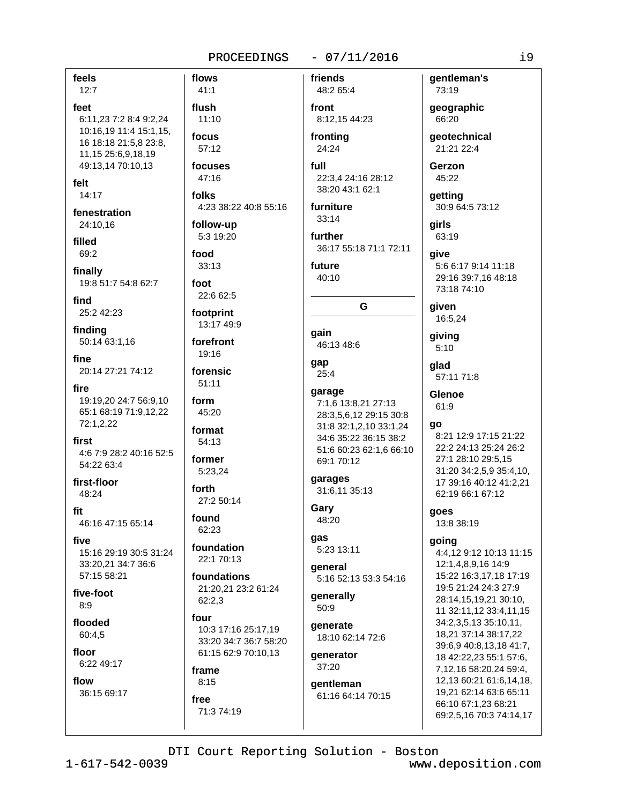flows

## $-07/11/2016$

feels

 $12:7$ feet 6:11.23 7:2 8:4 9:2.24 10:16.19 11:4 15:1.15. 16 18:18 21:5,8 23:8, 11,15 25:6,9,18,19 49:13,14 70:10,13 felt

14:17

fenestration 24:10,16

filled 69:2

finally 19:8 51:7 54:8 62:7

find 25:2 42:23

finding 50:14 63:1,16

fine 20:14 27:21 74:12

fire 19:19.20 24:7 56:9.10 65:1 68:19 71:9,12,22 72:1,2,22

first 4:6 7:9 28:2 40:16 52:5 54:22 63:4

first-floor 48:24

fit 46:16 47:15 65:14

five 15:16 29:19 30:5 31:24 33:20,21 34:7 36:6 57:15 58:21

five-foot  $8.9$ 

flooded 60:4.5

floor 6:22 49:17

flow 36:15 69:17

 $41:1$ flush  $11:10$ focus 57:12 focuses 47:16 folks 4:23 38:22 40:8 55:16 follow-up 5:3 19:20 food  $33:13$ foot 22:6 62:5 footprint 13:17 49:9 forefront 19:16 forensic 51:11 form 45:20 format 54:13 former 5:23.24 forth 27:2 50:14 found 62:23 foundation 22:1 70:13 foundations 21:20,21 23:2 61:24 62:2.3 four

10:3 17:16 25:17.19 33:20 34:7 36:7 58:20 61:15 62:9 70:10,13

# frame  $8:15$

free 71:3 74:19

48:2 65:4 front 8:12,15 44:23

fronting 24:24

friends

full 22:3.4 24:16 28:12 38:20 43:1 62:1

furniture  $33:14$ 

further 36:17 55:18 71:1 72:11

G

future 40:10

gain 46:13 48:6

```
gap
 25:4
```
garage 7:1,6 13:8,21 27:13 28:3,5,6,12 29:15 30:8 31:8 32:1.2.10 33:1.24 34:6 35:22 36:15 38:2 51:6 60:23 62:1,6 66:10 69:1 70:12 garages

31:6,11 35:13

Gary 48:20

gas 5:23 13:11

general 5:16 52:13 53:3 54:16

generally 50:9

generate 18:10 62:14 72:6

generator  $37:20$ 

gentleman 61:16 64:14 70:15 gentleman's 73:19

geographic 66:20

deotechnical 21:21 22:4

Gerzon 45:22

qetting 30:9 64:5 73:12

airls 63:19

qive 5:6 6:17 9:14 11:18 29:16 39:7,16 48:18 73:18 74:10

given 16:5,24

giving  $5:10$ 

glad 57:11 71:8

Glenoe 61:9

go

8:21 12:9 17:15 21:22 22:2 24:13 25:24 26:2 27:1 28:10 29:5,15 31:20 34:2,5,9 35:4,10, 17 39:16 40:12 41:2.21 62:19 66:1 67:12

goes 13:8 38:19

## going

4:4,12 9:12 10:13 11:15 12:1,4,8,9,16 14:9 15:22 16:3,17,18 17:19 19:5 21:24 24:3 27:9 28:14,15,19,21 30:10, 11 32:11,12 33:4,11,15 34:2,3,5,13 35:10,11, 18,21 37:14 38:17,22 39:6.9 40:8.13.18 41:7. 18 42:22,23 55:1 57:6, 7,12,16 58:20,24 59:4, 12,13 60:21 61:6,14,18, 19,21 62:14 63:6 65:11 66:10 67:1,23 68:21 69:2,5,16 70:3 74:14,17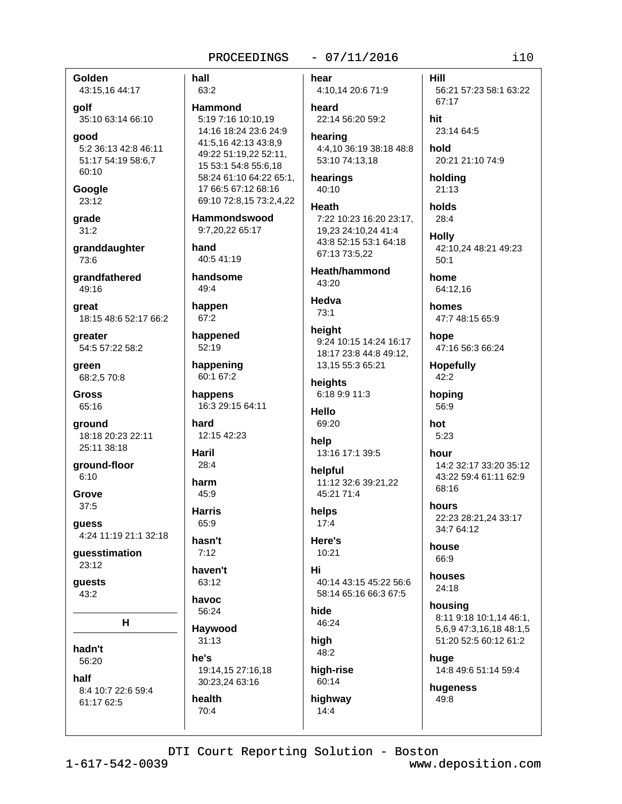#### $-07/11/2016$

Golden hall 43:15,16 44:17 63:2 golf 35:10 63:14 66:10 qood 5:2 36:13 42:8 46:11 51:17 54:19 58:6,7 60:10 Google 23:12 grade  $31:2$ granddaughter 73:6 grandfathered 49:16 great 18:15 48:6 52:17 66:2 greater 54:5 57:22 58:2 green 68:2,5 70:8 **Gross** 65:16 ground 18:18 20:23 22:11 25:11 38:18 ground-floor  $6:10$ Grove  $37:5$ guess 4:24 11:19 21:1 32:18 guesstimation 23:12

**Hammond** 5:19 7:16 10:10.19 14:16 18:24 23:6 24:9 41:5,16 42:13 43:8,9 49:22 51:19,22 52:11, 15 53:1 54:8 55:6,18 58:24 61:10 64:22 65:1. 17 66:5 67:12 68:16 69:10 72:8,15 73:2,4,22 **Hammondswood** 9:7,20,22 65:17 hand 40:5 41:19 handsome  $49:4$ happen 67:2 happened 52:19 happening 60:1 67:2 happens 16:3 29:15 64:11 hard 12:15 42:23 **Haril**  $28:4$ harm  $45:9$ **Harris** 65:9 hasn't  $7:12$ haven't 63:12 havoc 56:24 Haywood  $31:13$ he's 19:14,15 27:16,18 30:23,24 63:16 health  $70:4$ 

hear 4:10,14 20:6 71:9

heard 22:14 56:20 59:2 hearing

4:4,10 36:19 38:18 48:8 53:10 74:13.18

hearings  $40:10$ 

Heath 7:22 10:23 16:20 23:17, 19,23 24:10,24 41:4 43:8 52:15 53:1 64:18 67:13 73:5,22

Heath/hammond  $43.20$ 

Hedva 73:1

height 9:24 10:15 14:24 16:17 18:17 23:8 44:8 49:12, 13,15 55:3 65:21

heights 6:18 9:9 11:3

**Hello** 69:20

help 13:16 17:1 39:5

helpful 11:12 32:6 39:21.22 45:21 71:4

helps  $17:4$ 

Here's  $10:21$ 

Hi 40:14 43:15 45:22 56:6 58:14 65:16 66:3 67:5

hide 46:24

high 48:2 high-rise

 $14:4$ 

60:14

highway

holds 28:4 **Holly** 42:10.24 48:21 49:23  $50:1$ 

56:21 57:23 58:1 63:22

home 64:12.16

**Hill** 

hit

hold

holding

 $21:13$ 

67:17

23:14 64:5

20:21 21:10 74:9

homes 47:7 48:15 65:9

hope 47:16 56:3 66:24

**Hopefully**  $42:2$ 

hoping 56:9

hot  $5:23$ 

> hour 14:2 32:17 33:20 35:12 43:22 59:4 61:11 62:9 68:16

hours 22:23 28:21.24 33:17 34:7 64:12

house 66:9

houses 24:18

housina 8:11 9:18 10:1,14 46:1, 5,6,9 47:3,16,18 48:1,5 51:20 52:5 60:12 61:2

huge 14:8 49:6 51:14 59:4

hugeness 49:8

DTI Court Reporting Solution - Boston

8:4 10:7 22:6 59:4

61:17 62:5

н

quests

43:2

hadn't

half

56:20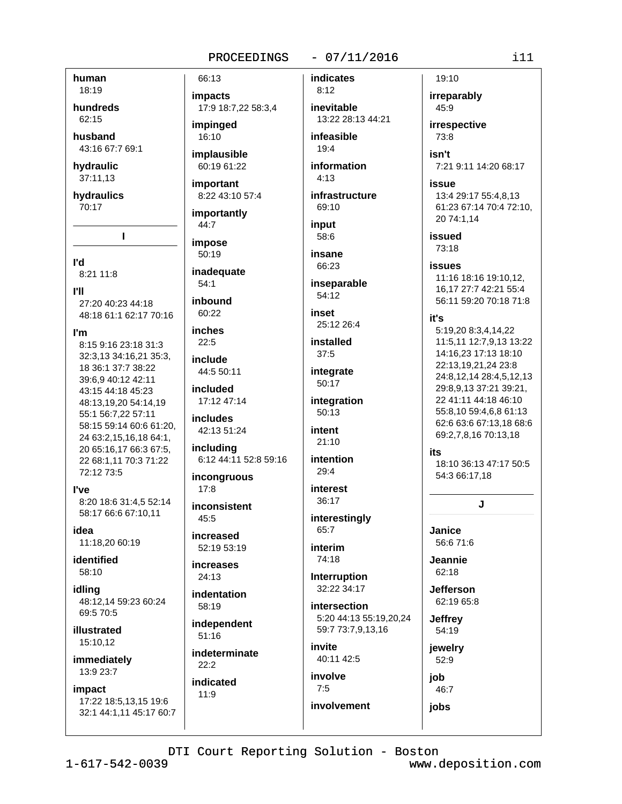# $-07/11/2016$

human 18:19

hundreds 62:15

husband 43:16 67:7 69:1

hydraulic

37:11,13

hydraulics 70:17

I.

l'd

8:21 11:8

**I'll** 

27:20 40:23 44:18 48:18 61:1 62:17 70:16

l'm

8:15 9:16 23:18 31:3 32:3,13 34:16,21 35:3, 18 36:1 37:7 38:22 39:6,9 40:12 42:11 43:15 44:18 45:23 48:13,19,20 54:14,19 55:1 56:7,22 57:11 58:15 59:14 60:6 61:20, 24 63:2,15,16,18 64:1, 20 65:16,17 66:3 67:5, 22 68:1,11 70:3 71:22 72:12 73:5

#### **l've**

8:20 18:6 31:4.5 52:14 58:17 66:6 67:10,11

idea 11:18,20 60:19

identified 58:10

idlina 48:12.14 59:23 60:24

69:5 70:5 illustrated

15:10,12 immediately

13:9 23:7

impact

17:22 18:5,13,15 19:6 32:1 44:1,11 45:17 60:7 **impacts** 17:9 18:7,22 58:3,4 impinged  $16:10$ 

66:13

implausible 60:19 61:22

important 8:22 43:10 57:4

importantly 44:7

impose  $50:19$ 

inadequate  $54:1$ 

inhound 60:22

**inches**  $22:5$ 

include 44:5 50:11

included 17:12 47:14

**includes** 42:13 51:24

including 6:12 44:11 52:8 59:16

inconaruous  $17:8$ 

inconsistent  $45:5$ 

increased 52:19 53:19

**increases**  $24:13$ 

indentation  $58:19$ independent

 $51:16$ indeterminate  $22:2$ 

indicated  $11:9$ 

inevitable 13:22 28:13 44:21 infeasible

**indicates** 

 $8:12$ 

 $19:4$ information

 $4:13$ 

infrastructure 69:10

input 58:6

insane 66:23

inseparable

 $54:12$ 

inset 25:12 26:4

installed  $37:5$ 

integrate 50:17

integration  $50:13$ 

intent  $21:10$ 

intention  $29:4$ 

interest 36:17

interestingly 65:7

interim 74:18

Interruption 32:22 34:17

intersection 5:20 44:13 55:19,20,24 59:7 73:7,9,13,16

invite 40:11 42:5 involve  $7:5$ 

involvement

irreparably 45:9 irrespective 73:8

19:10

isn't 7:21 9:11 14:20 68:17

**İSSUA** 

13:4 29:17 55:4,8,13 61:23 67:14 70:4 72:10, 20 74:1,14

issued 73:18

**issues** 

11:16 18:16 19:10,12, 16,17 27:7 42:21 55:4 56:11 59:20 70:18 71:8

it's

5:19,20 8:3,4,14,22 11:5,11 12:7,9,13 13:22 14:16.23 17:13 18:10 22:13,19,21,24 23:8 24:8,12,14 28:4,5,12,13 29:8,9,13 37:21 39:21, 22 41:11 44:18 46:10 55:8,10 59:4,6,8 61:13 62:6 63:6 67:13,18 68:6 69:2,7,8,16 70:13,18

its

18:10 36:13 47:17 50:5 54:3 66:17,18

J.

Janice 56:6 71:6

Jeannie 62:18

**Jefferson** 62:19 65:8

**Jeffrey** 54:19

jewelry 52:9

iob

46:7 jobs

DTI Court Reporting Solution - Boston

 $1 - 617 - 542 - 0039$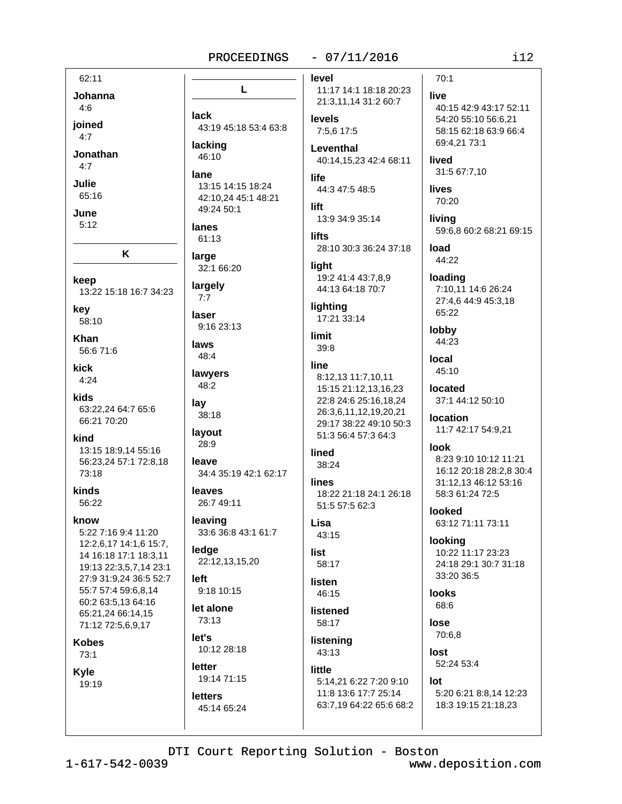L

43:19 45:18 53:4 63:8

13:15 14:15 18:24

42:10.24 45:1 48:21

lack

lacking

46:10

49:24 50:1

lane

lanes

61:13

#### $-07/11/2016$

62:11 Johanna

 $4:6$ 

joined  $4:7$ 

Jonathan

 $4:7$ 

Julie 65:16

June

 $5:12$ 

- keep
- 13:22 15:18 16:7 34:23

K

- key 58:10
- Khan 56:6 71:6
- kick  $4:24$
- kids 63:22.24 64:7 65:6 66:21 70:20
- kind 13:15 18:9,14 55:16 56:23,24 57:1 72:8,18 73:18

kinds 56:22

know 5:22 7:16 9:4 11:20 12:2,6,17 14:1,6 15:7, 14 16:18 17:1 18:3,11 19:13 22:3,5,7,14 23:1 27:9 31:9,24 36:5 52:7 55:7 57:4 59:6,8,14 60:2 63:5,13 64:16 65:21,24 66:14,15 71:12 72:5,6,9,17

**Kobes** 

 $73:1$ 

#### **Kvle** 19:19

large 32:1 66:20 largely  $7:7$ laser 9:16 23:13 laws 48:4 lawyers 48:2 lay 38:18 layout 28:9 leave 34:4 35:19 42:1 62:17

> leaves 26:7 49:11

leaving 33:6 36:8 43:1 61:7

ledge 22:12,13,15,20

- left 9:18 10:15
- let alone 73:13

let's 10:12 28:18

letter 19:14 71:15

# **letters** 45:14 65:24

level

11:17 14:1 18:18 20:23 21:3,11,14 31:2 60:7

#### **levels** 7:5,6 17:5

Leventhal 40:14,15,23 42:4 68:11

life 44:3 47:5 48:5

```
lift
 13:9 34:9 35:14
```
**lifts** 28:10 30:3 36:24 37:18

#### light 19:2 41:4 43:7,8,9 44:13 64:18 70:7

lighting 17:21 33:14

#### limit 39:8

line 8:12,13 11:7,10,11 15:15 21:12.13.16.23

22:8 24:6 25:16,18,24 26:3,6,11,12,19,20,21 29:17 38:22 49:10 50:3 51:3 56:4 57:3 64:3

#### lined 38:24

lines 18:22 21:18 24:1 26:18 51:5 57:5 62:3

Lisa 43:15

# list

58:17

**listen** 46:15

listened 58:17

# listening 43:13 little

5:14,21 6:22 7:20 9:10 11:8 13:6 17:7 25:14 63:7,19 64:22 65:6 68:2 40:15 42:9 43:17 52:11 54:20 55:10 56:6,21 58:15 62:18 63:9 66:4 69:4,21 73:1

lived 31:5 67:7,10

lives 70:20

 $70:1$ 

live

living

59:6.8 60:2 68:21 69:15

load 44:22

loading 7:10,11 14:6 26:24 27:4,6 44:9 45:3,18 65:22

lobby 44:23

local  $45:10$ 

located 37:1 44:12 50:10

**location** 11:7 42:17 54:9,21

**look** 

## 8:23 9:10 10:12 11:21 16:12 20:18 28:2,8 30:4 31:12.13 46:12 53:16 58:3 61:24 72:5

**looked** 63:12 71:11 73:11

looking 10:22 11:17 23:23 24:18 29:1 30:7 31:18 33:20 36:5

**looks** 68:6

> lose 70:6.8

lost 52:24 53:4

lot

5:20 6:21 8:8,14 12:23 18:3 19:15 21:18,23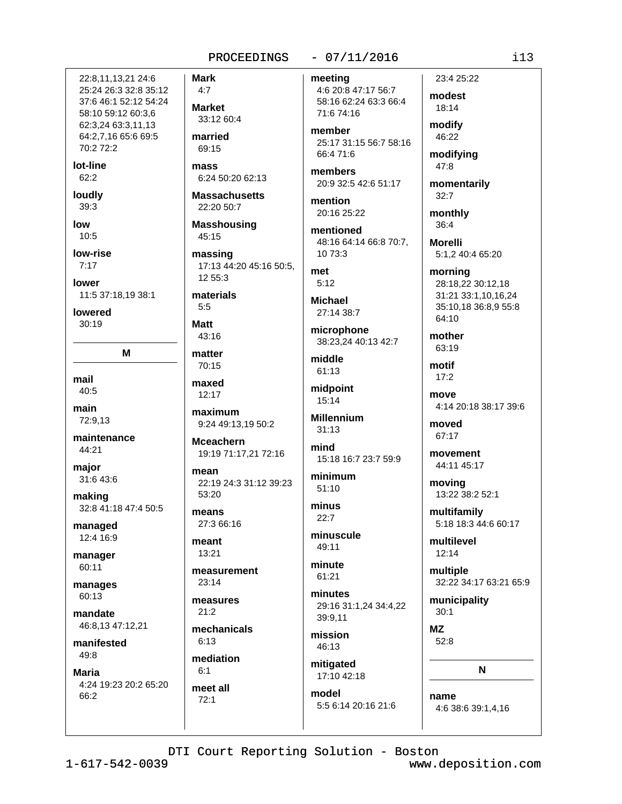# 22:8.11.13.21 24:6 25:24 26:3 32:8 35:12 37:6 46:1 52:12 54:24 58:10 59:12 60:3.6 62:3,24 63:3,11,13 64:2,7,16 65:6 69:5  $70:272:2$

lot-line  $62:2$ 

loudly  $39:3$ 

low  $10:5$ 

low-rise  $7:17$ 

lower 11:5 37:18,19 38:1

lowered  $30:19$ 

M

mail 40:5

main 72:9,13

maintenance 44:21

major 31:6 43:6

making 32:8 41:18 47:4 50:5

managed 12:4 16:9

manager 60:11

manages 60:13

mandate 46:8,13 47:12,21

manifested 49:8

**Maria** 

4:24 19:23 20:2 65:20 66:2

 $4:7$ **Market** 33:12 60:4

**Mark** 

married 69:15

mass 6:24 50:20 62:13

**Massachusetts** 22:20 50:7

**Masshousing** 45:15 massing

17:13 44:20 45:16 50:5, 12 55:3

materials  $5.5$ 

**Matt** 43:16

matter 70:15

maxed  $12:17$ 

maximum 9:24 49:13,19 50:2

**Mceachern** 19:19 71:17,21 72:16

mean 22:19 24:3 31:12 39:23 53:20

means 27:3 66:16

meant 13:21

measurement  $23:14$ 

measures  $21:2$ 

mechanicals  $6:13$ 

mediation  $6:1$ 

meet all  $72:1$ 

# $-07/11/2016$

meeting 4:6 20:8 47:17 56:7 58:16 62:24 63:3 66:4 71:6 74:16

member 25:17 31:15 56:7 58:16 66:4 71:6

members 20:9 32:5 42:6 51:17

mention 20:16 25:22

mentioned 48:16 64:14 66:8 70:7. 10 73:3

met  $5:12$ 

**Michael** 27:14 38:7

microphone 38:23,24 40:13 42:7

middle  $61:13$ 

midpoint  $15.14$ 

**Millennium**  $31:13$ 

mind 15:18 16:7 23:7 59:9

minimum  $51:10$ 

minus  $22.7$ 

minuscule 49:11

minute 61:21

minutes 29:16 31:1.24 34:4.22 39:9.11

mission  $46:13$ 

mitigated 17:10 42:18 model

5:5 6:14 20:16 21:6

23:4 25:22 modest

18:14 modify 46:22

modifying

47:8

momentarily  $32:7$ 

monthly 36:4

**Morelli** 5:1,2 40:4 65:20

morning 28:18,22 30:12,18 31:21 33:1,10,16,24 35:10,18 36:8,9 55:8 64:10

mother 63:19

motif  $17:2$ 

move 4:14 20:18 38:17 39:6

moved 67:17

movement 44:11 45:17

moving 13:22 38:2 52:1

multifamily 5:18 18:3 44:6 60:17

multilevel  $12:14$ 

multiple 32:22 34:17 63:21 65:9

municipality  $30:1$ 

> **MZ**  $52:8$

> > N

name 4:6 38:6 39:1,4,16

DTI Court Reporting Solution - Boston

www.deposition.com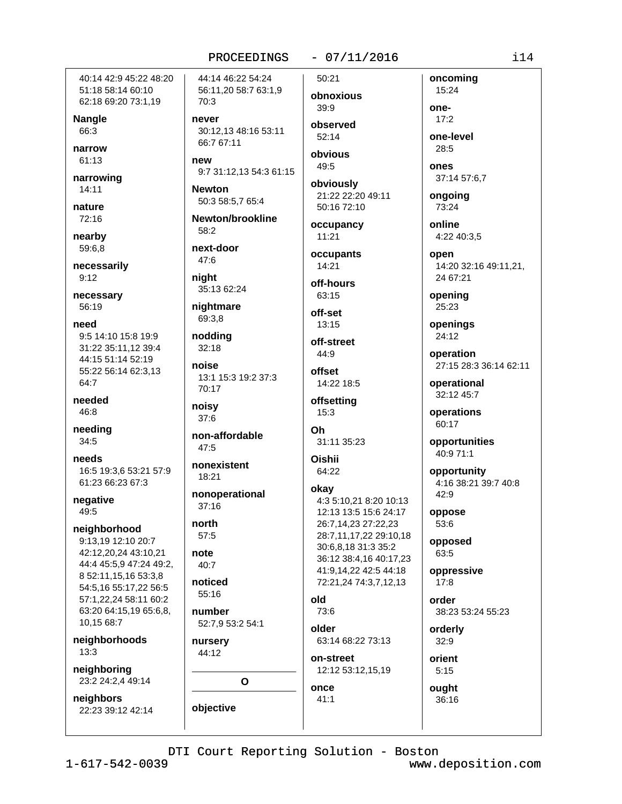40:14 42:9 45:22 48:20 51:18 58:14 60:10 62:18 69:20 73:1,19

**Nangle** 66:3

narrow 61:13

narrowing  $14:11$ 

nature 72:16

nearby 59:6.8

necessarily  $9:12$ 

necessary 56:19

need

9:5 14:10 15:8 19:9 31:22 35:11.12 39:4 44:15 51:14 52:19 55:22 56:14 62:3,13 64:7

needed 46:8

needing 34:5

needs 16:5 19:3,6 53:21 57:9 61:23 66:23 67:3

negative 49:5

neighborhood 9:13,19 12:10 20:7 42:12,20,24 43:10.21 44:4 45:5,9 47:24 49:2, 8 52:11,15,16 53:3,8 54:5,16 55:17,22 56:5 57:1,22,24 58:11 60:2 63:20 64:15,19 65:6,8, 10.15 68:7

neighborhoods  $13:3$ 

neighboring 23:2 24:2,4 49:14

neighbors 22:23 39:12 42:14 44:14 46:22 54:24 56:11,20 58:7 63:1,9 70:3

never 30:12.13 48:16 53:11 66:7 67:11

new 9:7 31:12.13 54:3 61:15

**Newton** 50:3 58:5,7 65:4

Newton/brookline 58:2

next-door 47:6

night 35:13 62:24

nightmare 69:3,8

nodding  $32:18$ 

noise 13:1 15:3 19:2 37:3 70:17

noisy 37:6

non-affordable  $47:5$ 

nonexistent 18:21

nonoperational  $37:16$ 

north 57:5

note

 $40:7$ 

noticed 55:16

number 52:7,9 53:2 54:1

nursery 44:12

 $\Omega$ 

objective

 $-07/11/2016$ 

50:21 obnoxious 39:9

observed  $52.14$ 

obvious 49:5

obviously 21:22 22:20 49:11 50:16 72:10

occupancy  $11:21$ 

occupants 14:21

off-hours 63:15

off-set 13:15

off-street 44:9

offset 14:22 18:5

offsetting  $15:3$ 

Oh

31:11 35:23

Oishii 64:22

okay 4:3 5:10,21 8:20 10:13 12:13 13:5 15:6 24:17 26:7,14,23 27:22,23 28:7,11,17,22 29:10,18 30:6,8,18 31:3 35:2

36:12 38:4,16 40:17,23 41:9,14,22 42:5 44:18 72:21,24 74:3,7,12,13

73:6

older 63:14 68:22 73:13

on-street 12:12 53:12,15,19

ought

one- $17:2$ 

15:24

oncoming

one-level 28:5

ones 37:14 57:6.7

ongoing 73:24

online 4:22 40:3.5

open 14:20 32:16 49:11,21, 24 67:21

opening 25:23

openings 24:12

operation 27:15 28:3 36:14 62:11

operational 32:12 45:7

operations 60:17

opportunities 40:9 71:1

opportunity 4:16 38:21 39:7 40:8  $42:9$ 

oppose 53:6

opposed 63:5

oppressive  $17:8$ 

order 38:23 53:24 55:23

orderly  $32:9$ 

orient  $5:15$ 

36:16

once

 $41:1$ 

old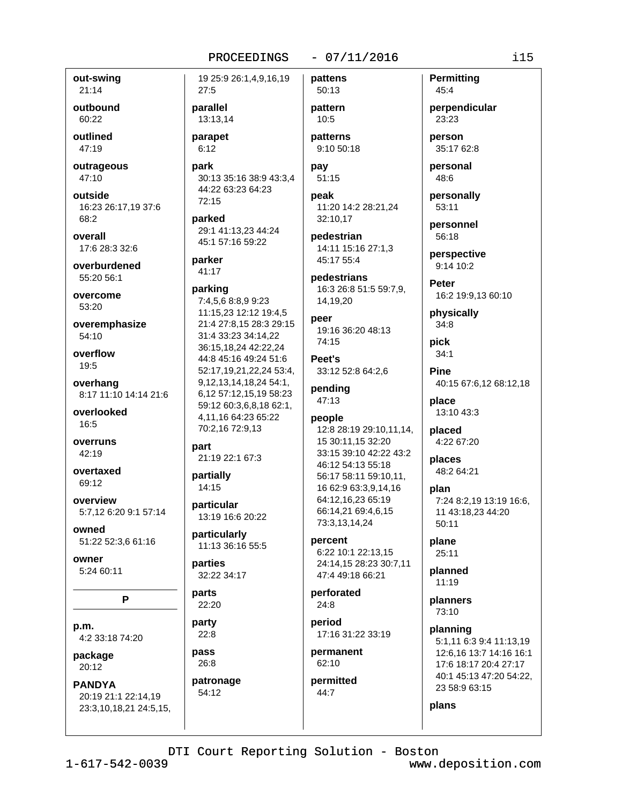out-swing  $21:14$ 

outbound 60:22

outlined 47:19

outrageous 47:10

outside 16:23 26:17,19 37:6 68:2

overall  $17.628.332.6$ 

overburdened 55:20 56:1

overcome 53:20

overemphasize 54:10

overflow 19:5

overhang 8:17 11:10 14:14 21:6

overlooked 16:5

overruns 42:19

overtaxed 69:12

overview 5:7.12 6:20 9:1 57:14

owned 51:22 52:3,6 61:16

owner 5:24 60:11

P

p.m. 4:2 33:18 74:20

package 20:12

**PANDYA** 20:19 21:1 22:14,19 23:3,10,18,21 24:5,15,

19 25:9 26:1,4,9,16,19  $27:5$ 

parallel 13:13.14

parapet  $6:12$ 

park 30:13 35:16 38:9 43:3,4 44:22 63:23 64:23 72:15

parked 29:1 41:13,23 44:24 45:1 57:16 59:22

parker 41:17

parking

7:4,5,6 8:8,9 9:23 11:15,23 12:12 19:4,5 21:4 27:8,15 28:3 29:15 31:4 33:23 34:14.22 36:15,18,24 42:22,24 44:8 45:16 49:24 51:6 52:17.19.21.22.24 53:4. 9, 12, 13, 14, 18, 24, 54: 1, 6,12 57:12,15,19 58:23 59:12 60:3,6,8,18 62:1, 4,11,16 64:23 65:22 70:2,16 72:9,13

part 21:19 22:1 67:3

partially  $14.15$ 

particular 13:19 16:6 20:22

particularly 11:13 36:16 55:5

parties 32:22 34:17

#### parts 22:20

party  $22:8$ 

pass 26:8

patronage 54:12

pattens

 $-07/11/2016$ 

pattern  $10:5$ 

50:13

patterns 9:10 50:18

pay  $51:15$ 

peak 11:20 14:2 28:21,24 32:10,17

pedestrian 14:11 15:16 27:1,3 45:17 55:4

pedestrians 16:3 26:8 51:5 59:7,9, 14.19.20

peer 19:16 36:20 48:13 74:15

Peet's 33:12 52:8 64:2,6

pending  $47:13$ 

# people

12:8 28:19 29:10,11,14, 15 30:11,15 32:20 33:15 39:10 42:22 43:2 46:12 54:13 55:18 56:17 58:11 59:10.11. 16 62:9 63:3.9.14.16 64:12.16,23 65:19 66:14,21 69:4,6,15 73:3,13,14,24

percent 6:22 10:1 22:13,15 24:14,15 28:23 30:7,11 47:4 49:18 66:21

perforated 24:8

period 17:16 31:22 33:19

permanent 62:10

permitted 44:7

**Permitting** 45:4

perpendicular 23:23

person 35:17 62:8

personal 48:6

personally 53:11

personnel 56:18

perspective 9:14 10:2

Peter 16:2 19:9,13 60:10

physically  $34:8$ 

pick  $34:1$ 

**Pine** 40:15 67:6,12 68:12,18 place

13:10 43:3

placed 4:22 67:20

places 48:2 64:21

plan 7:24 8:2,19 13:19 16:6, 11 43:18,23 44:20  $50:11$ 

plane 25:11

planned  $11:19$ 

planners 73:10

planning 5:1,11 6:3 9:4 11:13,19 12:6,16 13:7 14:16 16:1 17:6 18:17 20:4 27:17 40:1 45:13 47:20 54:22. 23 58:9 63:15

plans

DTI Court Reporting Solution - Boston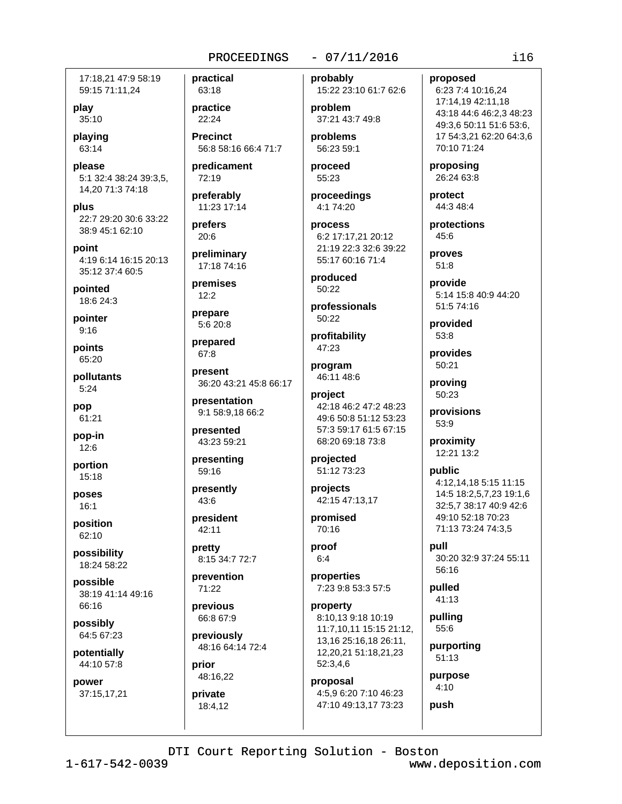17:18.21 47:9 58:19 59:15 71:11,24

play 35:10

playing 63:14

please 5:1 32:4 38:24 39:3,5, 14,20 71:3 74:18

plus 22:7 29:20 30:6 33:22 38:9 45:1 62:10

point 4:19 6:14 16:15 20:13 35:12 37:4 60:5

pointed 18:6 24:3

pointer  $9:16$ 

points 65:20

pollutants  $5:24$ 

pop 61:21

pop-in 12:6

portion 15:18

poses  $16:1$ 

position 62:10

possibility 18:24 58:22

possible 38:19 41:14 49:16 66:16

possibly 64:5 67:23

potentially 44:10 57:8

power

37:15,17,21

practical 63:18

practice 22:24

**Precinct** 56:8 58:16 66:4 71:7

predicament 72:19

preferably 11:23 17:14

prefers  $20:6$ 

preliminary 17:18 74:16

premises  $12:2$ 

prepare 5:6 20:8

prepared  $67:8$ 

present 36:20 43:21 45:8 66:17

presentation 9:1 58:9,18 66:2

presented 43:23 59:21

presenting

presently 43:6

 $59:16$ 

president 42:11

pretty 8:15 34:7 72:7

prevention 71:22

previous 66:8 67:9

previously 48:16 64:14 72:4

prior 48:16,22

private 18:4,12

## $-07/11/2016$

probably 15:22 23:10 61:7 62:6

problem 37:21 43:7 49:8

problems 56:23 59:1

proceed 55:23

proceedings 4:1 74:20

process 6:2 17:17.21 20:12 21:19 22:3 32:6 39:22 55:17 60:16 71:4

produced 50:22

professionals 50:22

profitability 47:23

program 46:11 48:6

project 42:18 46:2 47:2 48:23 49:6 50:8 51:12 53:23 57:3 59:17 61:5 67:15 68:20 69:18 73:8

projected 51:12 73:23

projects 42:15 47:13,17

promised 70:16

proof  $6:4$ 

properties 7:23 9:8 53:3 57:5

property 8:10.13 9:18 10:19 11:7,10,11 15:15 21:12, 13.16 25:16.18 26:11. 12,20,21 51:18,21,23 52:3,4,6

proposal 4:5,9 6:20 7:10 46:23 47:10 49:13,17 73:23

#### proposed

6:23 7:4 10:16,24 17:14,19 42:11,18 43:18 44:6 46:2,3 48:23 49:3.6 50:11 51:6 53:6. 17 54:3,21 62:20 64:3,6 70:10 71:24

proposing 26:24 63:8

protect 44:3 48:4

protections 45:6

proves  $51:8$ 

provide 5:14 15:8 40:9 44:20 51:5 74:16

provided  $53:8$ 

provides 50:21

proving 50:23

provisions 53:9

proximity 12:21 13:2

public 4:12.14.18 5:15 11:15 14:5 18:2,5,7,23 19:1,6 32:5,7 38:17 40:9 42:6 49:10 52:18 70:23 71:13 73:24 74:3,5

null 30:20 32:9 37:24 55:11 56:16

pulled 41:13

pulling 55:6

purporting  $51:13$ 

purpose  $4:10$ push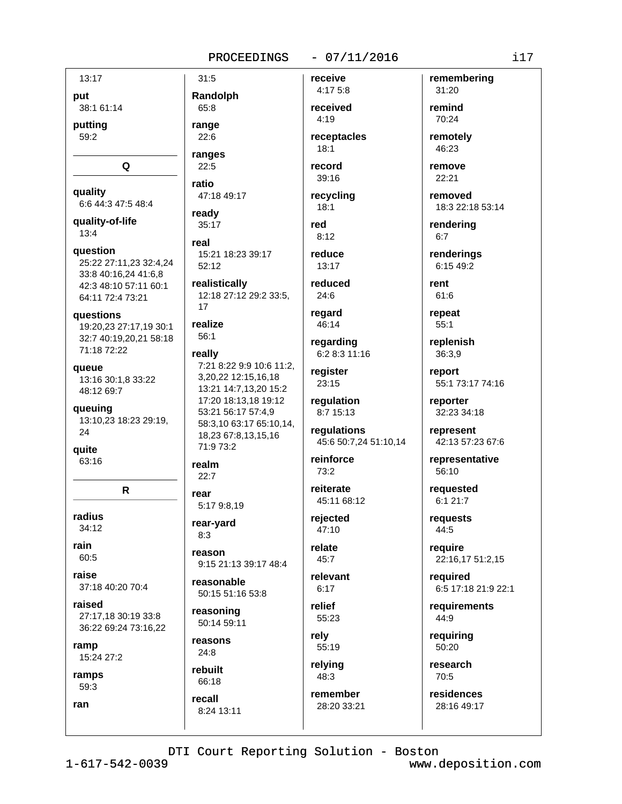#### $-07/11/2016$

13:17 put 38:1 61:14 putting 59:2 Q quality 6:6 44:3 47:5 48:4 quality-of-life  $13:4$ question 25:22 27:11,23 32:4,24 33:8 40:16,24 41:6,8 42:3 48:10 57:11 60:1 64:11 72:4 73:21 **auestions** 19:20,23 27:17,19 30:1 32:7 40:19.20.21 58:18 71:18 72:22 queue 13:16 30:1,8 33:22 48:12 69:7 queuing 13:10,23 18:23 29:19, 24 quite 63:16 R radius  $34:12$ rain 60:5 raise 37:18 40:20 70:4 raised 27:17,18 30:19 33:8 36:22 69:24 73:16.22 ramp 15:24 27:2 ramps 59:3 ran

PROCEEDINGS  $31:5$ receive Randolph 65:8 range  $22:6$ ranges  $22:5$ ratio 47:18 49:17 ready  $35:17$ real 15:21 18:23 39:17  $52:12$ realistically 12:18 27:12 29:2 33:5.  $17$ realize 56:1 really 7:21 8:22 9:9 10:6 11:2, 3,20,22 12:15,16,18 13:21 14:7.13.20 15:2 17:20 18:13,18 19:12 53:21 56:17 57:4,9 58:3,10 63:17 65:10,14, 18,23 67:8,13,15,16 71:9 73:2 realm  $22:7$ rear 5:17 9:8,19

rear-yard  $8:3$ 

reason 9:15 21:13 39:17 48:4

reasonable 50:15 51:16 53:8

reasoning 50:14 59:11

reasons  $24:8$ 

rebuilt 66:18 recall 8:24 13:11 received  $4:19$ receptacles  $18:1$ record

4:17 5:8

 $39:16$ recycling

 $18:1$ red  $8:12$ 

reduce  $13:17$ 

reduced  $24:6$ 

regard 46:14

regarding 6:2 8:3 11:16

register 23:15

regulation 8:7 15:13

regulations 45:6 50:7,24 51:10,14

reinforce  $73:2$ 

reiterate 45:11 68:12

rejected  $47:10$ 

relate 45:7

relevant  $6:17$ 

relief 55:23

rely 55:19

48:3 remember

relying

28:20 33:21

31:20 remind 70:24

remembering

remotely 46:23 remove

 $22:21$ 

removed 18:3 22:18 53:14

rendering  $6:7$ 

renderings 6:15 49:2

rent  $61:6$ 

repeat  $55:1$ 

replenish 36:3.9

report 55:1 73:17 74:16

reporter 32:23 34:18

represent 42:13 57:23 67:6

representative  $56:10$ 

requested 6:1 21:7

requests 44:5

require 22:16,17 51:2,15

reauired 6:5 17:18 21:9 22:1

requirements 44:9

requiring 50:20

research 70:5

residences 28:16 49:17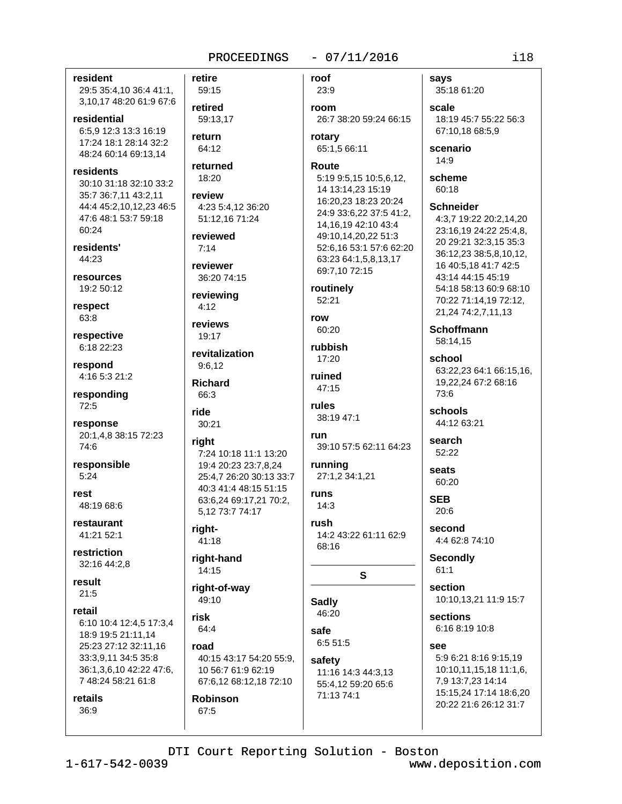#### $-07/11/2016$

resident 29:5 35:4,10 36:4 41:1, 3,10,17 48:20 61:9 67:6

residential 6:5.9 12:3 13:3 16:19 17:24 18:1 28:14 32:2 48:24 60:14 69:13,14

residents 30:10 31:18 32:10 33:2 35:7 36:7,11 43:2,11 44:4 45:2.10.12.23 46:5 47:6 48:1 53:7 59:18 60:24

residents' 44:23

resources 19:2 50:12

respect 63:8

respective 6:18 22:23

respond 4:16 5:3 21:2

responding 72:5

response 20:1,4,8 38:15 72:23 74:6

responsible  $5:24$ 

rest 48:19 68:6

restaurant 41:21 52:1

restriction 32:16 44:2.8

result  $21:5$ 

#### retail

6:10 10:4 12:4,5 17:3,4 18:9 19:5 21:11,14 25:23 27:12 32:11.16 33:3,9,11 34:5 35:8 36:1,3,6,10 42:22 47:6, 7 48:24 58:21 61:8

retails 36:9

retire 59:15 retired 59:13.17 return 64:12 returned  $18:20$ review 4:23 5:4,12 36:20 51:12,16 71:24 reviewed  $7:14$ reviewer 36:20 74:15 reviewing  $4:12$ reviews  $19.17$ revitalization 9:6.12 **Richard** 66:3 ride 30:21 right 7:24 10:18 11:1 13:20 19:4 20:23 23:7,8,24 25:4,7 26:20 30:13 33:7 40:3 41:4 48:15 51:15 63:6,24 69:17,21 70:2, 5,12 73:7 74:17 right-41:18 right-hand 14:15 right-of-way 49:10

risk 64:4

road 40:15 43:17 54:20 55:9, 10 56:7 61:9 62:19 67:6,12 68:12,18 72:10

**Robinson** 67:5

roof 23:9 room 26:7 38:20 59:24 66:15 rotary 65:1,5 66:11 **Route** 5:19 9:5,15 10:5,6,12, 14 13:14,23 15:19 16:20,23 18:23 20:24 24:9 33:6,22 37:5 41:2, 14, 16, 19 42: 10 43: 4 49:10,14,20,22 51:3 52:6,16 53:1 57:6 62:20 63:23 64:1,5,8,13,17 69:7,10 72:15

routinely  $52:21$ 

row 60:20

rubbish 17:20

ruined  $47:15$ 

rules 38:19 47:1

run 39:10 57:5 62:11 64:23

running 27:1,2 34:1,21 **runs** 

 $14:3$ rush 14:2 43:22 61:11 62:9

68:16

 $\mathbf{s}$ 

**Sadly** 46:20 safe

6:5 51:5 safety

11:16 14:3 44:3,13 55:4.12 59:20 65:6 71:13 74:1

says 35:18 61:20

scale 18:19 45:7 55:22 56:3 67:10.18 68:5.9

scenario  $14:9$ 

scheme  $60:18$ 

#### **Schneider**

4:3,7 19:22 20:2,14,20 23:16.19 24:22 25:4.8. 20 29:21 32:3,15 35:3 36:12,23 38:5,8,10,12, 16 40:5.18 41:7 42:5 43:14 44:15 45:19 54:18 58:13 60:9 68:10 70:22 71:14,19 72:12, 21,24 74:2,7,11,13

**Schoffmann** 58:14,15

school 63:22.23 64:1 66:15.16. 19.22.24 67:2 68:16  $73.6$ 

schools 44:12 63:21

search 52:22

seats 60:20

> **SEB** 20:6

second 4:4 62:8 74:10

**Secondly**  $61:1$ 

section 10:10,13,21 11:9 15:7

**sections** 6:16 8:19 10:8

See 5:9 6:21 8:16 9:15,19 10:10,11,15,18 11:1,6, 7,9 13:7,23 14:14 15:15,24 17:14 18:6,20 20:22 21:6 26:12 31:7

DTI Court Reporting Solution - Boston

 $1 - 617 - 542 - 0039$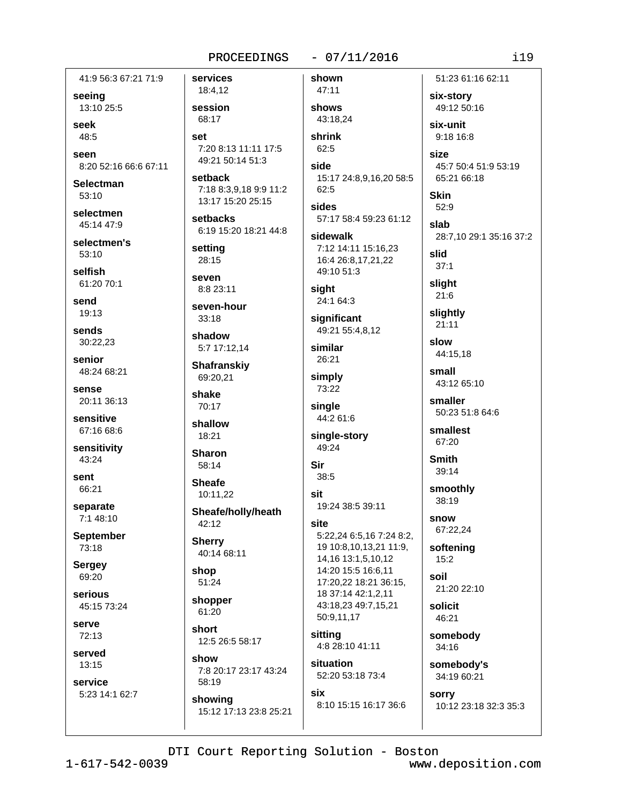seeing

41:9 56:3 67:21 71:9

13:10 25:5

seek 48:5

seen 8:20 52:16 66:6 67:11

**Selectman**  $53:10$ 

selectmen 45:14 47:9

selectmen's  $53:10$ 

selfish 61:20 70:1

send 19:13

sends 30:22.23

senior 48:24 68:21

sense 20:11 36:13

sensitive 67:16 68:6

sensitivity 43:24

sent 66:21

separate 7:1 48:10

**September** 73:18

**Sergey** 69:20

serious 45:15 73:24

serve  $72:13$ 

served 13:15

service 5:23 14:1 62:7 services 18:4,12 session 68:17 set 7:20 8:13 11:11 17:5 49:21 50:14 51:3 setback 7:18 8:3,9,18 9:9 11:2 13:17 15:20 25:15 setbacks 6:19 15:20 18:21 44:8 setting 28:15 **Seven** 8:8 23:11 seven-hour  $33:18$ shadow 5:7 17:12,14 **Shafranskiy** 69:20,21 shake 70:17 shallow 18:21 **Sharon** 58:14 **Sheafe** 10:11,22

Sheafe/holly/heath 42:12

**Sherry** 40:14 68:11

shop 51:24

shopper 61:20

short 12:5 26:5 58:17

show 7:8 20:17 23:17 43:24

58:19 showing 15:12 17:13 23:8 25:21

43:18.24 shrink 62:5 side 15:17 24:8,9,16,20 58:5 62:5 sides 57:17 58:4 59:23 61:12 sidewalk 7:12 14:11 15:16.23 16:4 26:8,17,21,22 49:10 51:3 sight 24:1 64:3 significant 49:21 55:4,8,12 similar 26:21 simply 73:22 single

 $-07/11/2016$ 

shown

47:11

shows

44:2 61:6 single-story

49:24 Sir

38:5 sit

19:24 38:5 39:11 site

5:22,24 6:5,16 7:24 8:2, 19 10:8,10,13,21 11:9, 14, 16 13: 1, 5, 10, 12 14:20 15:5 16:6,11 17:20,22 18:21 36:15, 18 37:14 42:1,2,11 43:18,23 49:7,15,21 50:9,11,17

sitting 4:8 28:10 41:11

situation 52:20 53:18 73:4

six 8:10 15:15 16:17 36:6

51:23 61:16 62:11 six-story 49:12 50:16

six-unit

 $9:18$  16:8 size

45:7 50:4 51:9 53:19 65:21 66:18

**Skin** 52:9

slab 28:7.10 29:1 35:16 37:2

slid  $37:1$ 

slight  $21:6$ 

slightly  $21:11$ 

slow 44:15.18

small 43:12 65:10

smaller 50:23 51:8 64:6

smallest 67:20

**Smith**  $39:14$ 

smoothly 38:19

> snow 67:22,24

softening  $15:2$ 

soil 21:20 22:10

solicit 46:21

somebody 34:16

somebody's 34:19 60:21

**SOFFV** 10:12 23:18 32:3 35:3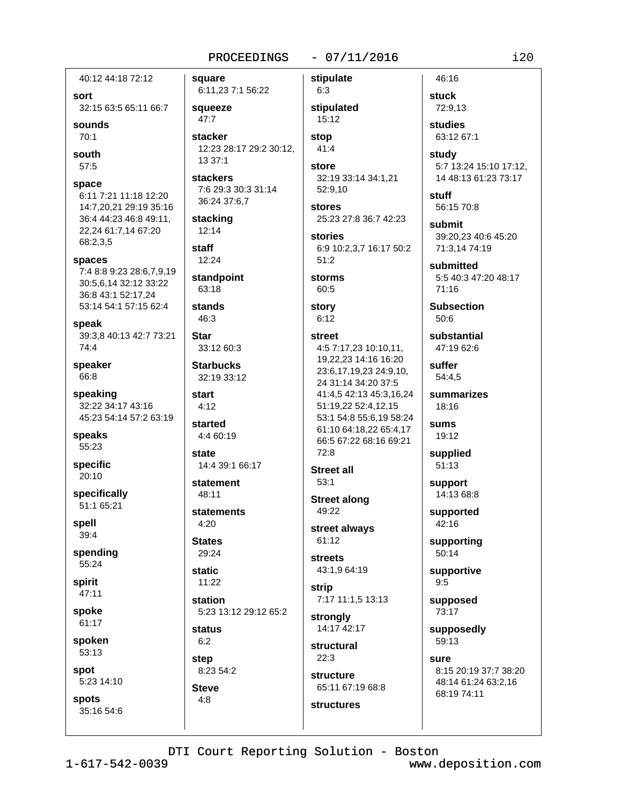square

40:12 44:18 72:12 sort

32:15 63:5 65:11 66:7

sounds  $70.1$ 

south  $57:5$ 

space

6:11 7:21 11:18 12:20 14:7,20,21 29:19 35:16 36:4 44:23 46:8 49:11, 22,24 61:7,14 67:20 68:2.3.5

spaces

7:4 8:8 9:23 28:6.7.9.19 30:5,6,14 32:12 33:22 36:8 43:1 52:17,24 53:14 54:1 57:15 62:4

speak 39:3.8 40:13 42:7 73:21  $74:4$ 

speaker 66:8

speaking 32:22 34:17 43:16 45:23 54:14 57:2 63:19

speaks 55:23

specific 20:10

specifically 51:1 65:21

spell  $39:4$ 

spending 55:24

spirit  $47:11$ 

spoke 61:17

spoken

53:13

spot 5:23 14:10

**spots** 35:16 54:6

6:11,23 7:1 56:22 squeeze  $47:7$ stacker 12:23 28:17 29:2 30:12, 13 37:1 **stackers** 7:6 29:3 30:3 31:14 36:24 37:6,7 stacking 12:14 staff 12:24 standpoint 63:18 stands 46:3 **Star** 33:12 60:3 **Starbucks** 32:19 33:12 start  $4:12$ started 4:4 60:19 state 14:4 39:1 66:17 statement 48:11 statements  $4.20$ **States** 29:24

**static**  $11:22$ 

station 5:23 13:12 29:12 65:2 **status** 

 $6:2$ step

8:23 54:2 **Steve** 

 $4:8$ 

stipulate  $6:3$ stipulated 15:12

 $-07/11/2016$ 

stop  $41:4$ 

store 32:19 33:14 34:1,21 52:9,10

**stores** 25:23 27:8 36:7 42:23

**stories** 6:9 10:2,3,7 16:17 50:2  $51:2$ 

storms 60:5

story  $6:12$ 

#### **street** 4:5 7:17,23 10:10,11, 19,22,23 14:16 16:20 23:6,17,19,23 24:9,10, 24 31:14 34:20 37:5

41:4.5 42:13 45:3.16.24 51:19,22 52:4,12,15 53:1 54:8 55:6,19 58:24 61:10 64:18.22 65:4.17 66:5 67:22 68:16 69:21 72:8

**Street all**  $53:1$ 

**Street along** 49:22

street always 61:12

**streets** 43:1,9 64:19

strip 7:17 11:1.5 13:13

strongly 14:17 42:17

structural  $22.3$ 

**structures** 

structure 65:11 67:19 68:8 **stuck** 72:9,13 studies 63:12 67:1 study

46:16

5:7 13:24 15:10 17:12. 14 48:13 61:23 73:17

**stuff** 56:15 70:8

submit 39:20.23 40:6 45:20 71:3.14 74:19

submitted 5:5 40:3 47:20 48:17  $71:16$ 

**Subsection**  $50:6$ 

substantial 47:19 62:6

suffer 54:4.5

summarizes 18:16

sums 19:12

supplied  $51:13$ 

support 14:13 68:8

supported 42:16

supporting  $50:14$ 

supportive  $9:5$ 

supposed 73:17

supposedly 59:13

sure 8:15 20:19 37:7 38:20 48:14 61:24 63:2,16 68:19 74:11

DTI Court Reporting Solution - Boston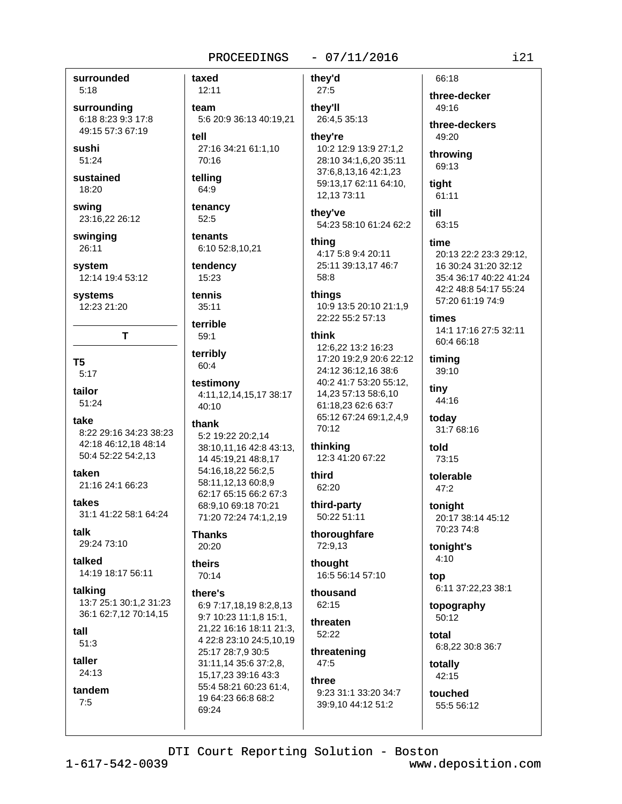surrounded  $5:18$ 

surrounding 6:18 8:23 9:3 17:8 49:15 57:3 67:19

sushi 51:24

sustained 18:20

swing 23:16,22 26:12

swinging 26:11

system 12:14 19:4 53:12

systems 12:23 21:20

T

T<sub>5</sub>  $5:17$ 

tailor

51:24

take 8:22 29:16 34:23 38:23 42:18 46:12,18 48:14 50:4 52:22 54:2.13

taken 21:16 24:1 66:23

takes 31:1 41:22 58:1 64:24

talk 29:24 73:10

talked 14:19 18:17 56:11

talking 13:7 25:1 30:1,2 31:23 36:1 62:7,12 70:14,15

tall

 $51:3$ 

taller 24:13

tandem  $7:5$ 

 $12:11$ team 5:6 20:9 36:13 40:19.21 tell 27:16 34:21 61:1,10 70:16 telling 64:9

tenancy 52:5

taxed

tenants 6:10 52:8,10,21

tendency 15:23

tennis  $35:11$ 

terrible

 $59:1$ terribly

60:4

testimony 4:11,12,14,15,17 38:17 40:10

#### thank

5:2 19:22 20:2,14 38:10,11,16 42:8 43:13, 14 45:19,21 48:8,17 54:16,18,22 56:2,5 58:11.12.13 60:8.9 62:17 65:15 66:2 67:3 68:9,10 69:18 70:21 71:20 72:24 74:1,2,19

**Thanks** 20:20

theirs

70:14

there's

6:9 7:17.18.19 8:2.8.13 9:7 10:23 11:1,8 15:1, 21,22 16:16 18:11 21:3, 4 22:8 23:10 24:5,10,19 25:17 28:7,9 30:5 31:11,14 35:6 37:2,8, 15, 17, 23 39: 16 43: 3 55:4 58:21 60:23 61:4. 19 64:23 66:8 68:2 69:24

they're 10:2 12:9 13:9 27:1,2 28:10 34:1,6,20 35:11 37:6,8,13,16 42:1,23 59:13,17 62:11 64:10, 12,13 73:11 they've 54:23 58:10 61:24 62:2 thina 4:17 5:8 9:4 20:11 25:11 39:13.17 46:7 58:8 things 10:9 13:5 20:10 21:1,9 22:22 55:2 57:13 think 12:6,22 13:2 16:23 17:20 19:2.9 20:6 22:12 24:12 36:12.16 38:6 40:2 41:7 53:20 55:12, 14,23 57:13 58:6,10 61:18.23 62:6 63:7 65:12 67:24 69:1,2,4,9 70:12 thinking

 $-07/11/2016$ 

they'd

 $27:5$ 

they'll

26:4,5 35:13

12:3 41:20 67:22

third 62:20

third-party 50:22 51:11

thoroughfare 72:9,13

thought 16:5 56:14 57:10

thousand 62:15

threaten 52:22

threatening 47:5

three 9:23 31:1 33:20 34:7 39:9,10 44:12 51:2

three-decker 49:16

66:18

three-deckers  $49.20$ 

throwing 69:13

tight 61:11

till 63:15

time

20:13 22:2 23:3 29:12. 16 30:24 31:20 32:12 35:4 36:17 40:22 41:24 42:2 48:8 54:17 55:24 57:20 61:19 74:9

times

14:1 17:16 27:5 32:11 60:4 66:18

timing 39:10

tinv 44:16

today 31:7 68:16

told 73:15

tolerable  $47:2$ 

tonight 20:17 38:14 45:12 70:23 74:8

tonight's  $4:10$ 

top 6:11 37:22,23 38:1

topography  $50.12$ 

total 6:8.22 30:8 36:7

totally  $42:15$ 

touched 55:5 56:12

DTI Court Reporting Solution - Boston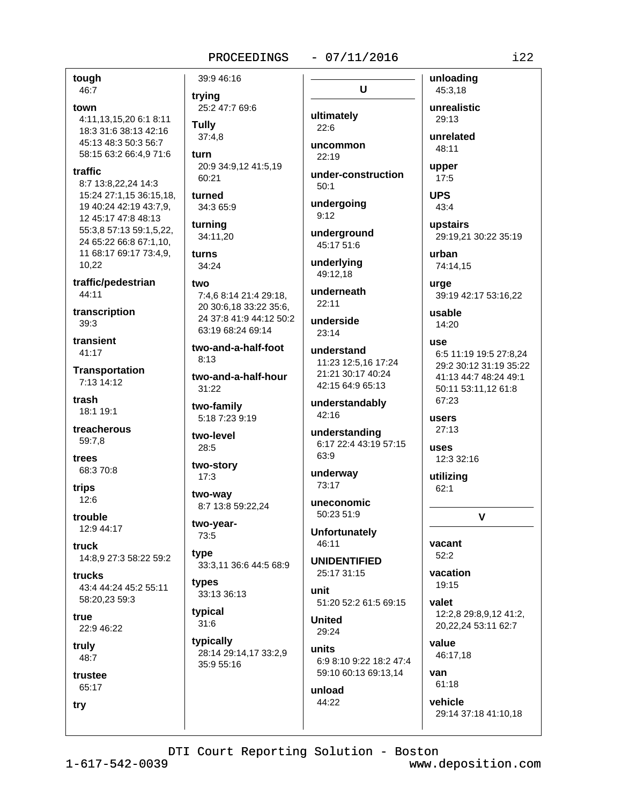#### $-07/11/2016$

 $\mathbf{U}$ 

tough 46:7

town 4:11.13.15.20 6:1 8:11 18:3 31:6 38:13 42:16 45:13 48:3 50:3 56:7 58:15 63:2 66:4,9 71:6

#### traffic

8:7 13:8,22,24 14:3 15:24 27:1,15 36:15,18, 19 40:24 42:19 43:7.9. 12 45:17 47:8 48:13 55:3,8 57:13 59:1,5,22, 24 65:22 66:8 67:1,10, 11 68:17 69:17 73:4,9, 10.22

traffic/pedestrian 44:11

transcription  $39:3$ 

transient 41:17

**Transportation** 7:13 14:12

trash 18:1 19:1

treacherous 59:7.8

trees 68:3 70:8

trips  $12:6$ 

trouble 12:9 44:17

truck 14:8.9 27:3 58:22 59:2

trucks 43:4 44:24 45:2 55:11 58:20,23 59:3

true 22:9 46:22

truly  $48.7$ 

trustee 65:17

try

25:2 47:7 69:6 **Tully**  $37:4.8$ 

39:9 46:16

trying

turn 20:9 34:9,12 41:5,19 60:21

turned 34:3 65:9

turnina 34:11,20

turns  $34:24$ 

two 7:4.6 8:14 21:4 29:18. 20 30:6,18 33:22 35:6,

24 37:8 41:9 44:12 50:2 63:19 68:24 69:14

two-and-a-half-foot  $8:13$ 

two-and-a-half-hour  $31:22$ 

two-family 5:18 7:23 9:19

two-level 28:5

two-story

 $17:3$ two-way

8:7 13:8 59:22,24 two-year-

73:5

type 33:3,11 36:6 44:5 68:9

types 33:13 36:13

typical  $31:6$ 

typically 28:14 29:14,17 33:2,9 35:9 55:16

ultimately  $22:6$ uncommon

 $22.19$ under-construction

 $50:1$ 

undergoing  $9:12$ 

underground 45:17 51:6

underlying 49:12.18

underneath  $22:11$ 

underside  $23:14$ 

understand 11:23 12:5.16 17:24 21:21 30:17 40:24 42:15 64:9 65:13

understandably 42:16

understanding 6:17 22:4 43:19 57:15 63:9

underway 73:17

50:23 51:9 **Unfortunately** 

uneconomic

46:11 **UNIDENTIFIED** 

25:17 31:15 unit

51:20 52:2 61:5 69:15

**United** 29:24

units 6:9 8:10 9:22 18:2 47:4 59:10 60:13 69:13.14

unload 44:22

unrealistic 29:13

unloading

45:3,18

unrelated 48:11

upper  $17:5$ 

**UPS** 43:4

upstairs 29:19.21 30:22 35:19

urban 74:14.15

urge

39:19 42:17 53:16,22

usable 14:20

**use** 6:5 11:19 19:5 27:8.24 29:2 30:12 31:19 35:22 41:13 44:7 48:24 49:1 50:11 53:11.12 61:8

 $67.23$ users

 $27:13$ **USAS** 12:3 32:16

utilizing  $62:1$ 

 $\mathbf{V}$ 

vacant  $52:2$ 

vacation 19:15

valet 12:2.8 29:8.9.12 41:2. 20,22,24 53:11 62:7

value 46:17.18

van  $61:18$ 

vehicle 29:14 37:18 41:10,18

DTI Court Reporting Solution - Boston

 $1 - 617 - 542 - 0039$ 

www.deposition.com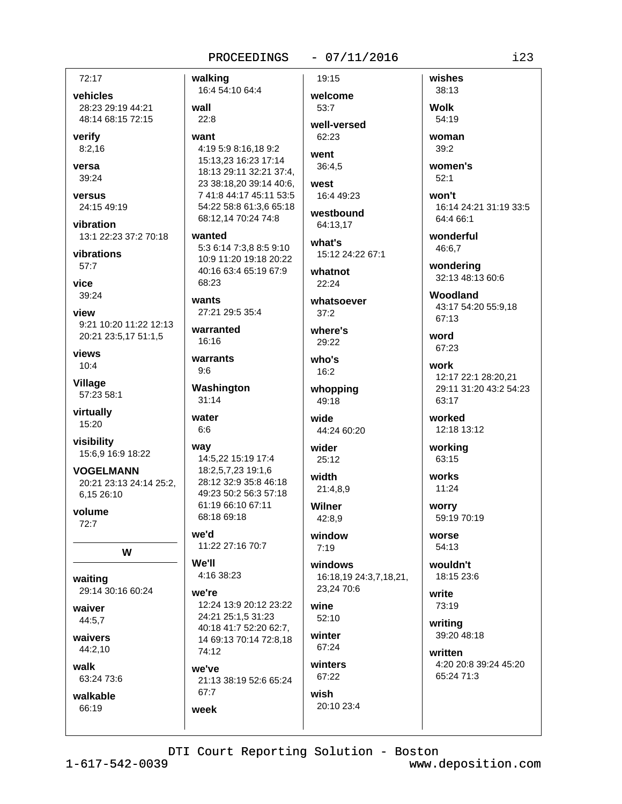walking

16:4 54:10 64:4

#### $-07/11/2016$

72:17

vehicles 28:23 29:19 44:21 48:14 68:15 72:15

verify  $8:2,16$ 

versa 39:24

versus 24:15 49:19

vibration 13:1 22:23 37:2 70:18

vibrations  $57:7$ 

vice 39:24

view 9:21 10:20 11:22 12:13 20:21 23:5,17 51:1,5

views  $10:4$ 

**Village** 57:23 58:1

virtually 15:20

visibility 15:6,9 16:9 18:22

**VOGELMANN** 20:21 23:13 24:14 25:2, 6.15 26:10

volume  $72.7$ 

W

waiting 29:14 30:16 60:24

waiver 44:5,7

waivers 44:2.10

walk

63:24 73:6 walkable

66:19

wall  $22:8$ want 4:19 5:9 8:16,18 9:2 15:13,23 16:23 17:14 18:13 29:11 32:21 37:4. 23 38:18,20 39:14 40:6, 7 41:8 44:17 45:11 53:5 54:22 58:8 61:3.6 65:18 68:12,14 70:24 74:8 wanted

5:3 6:14 7:3,8 8:5 9:10 10:9 11:20 19:18 20:22 40:16 63:4 65:19 67:9  $68.23$ 

wants 27:21 29:5 35:4

warranted 16:16

warrants  $9:6$ 

Washington  $31:14$ 

water  $6:6$ 

```
way
 14:5,22 15:19 17:4
 18:2,5,7,23 19:1,6
 28:12 32:9 35:8 46:18
 49:23 50:2 56:3 57:18
 61:19 66:10 67:11
```
b'ew 11:22 27:16 70:7

We'll 4:16 38:23

68:18 69:18

WA're 12:24 13:9 20:12 23:22 24:21 25:1.5 31:23 40:18 41:7 52:20 62:7,

14 69:13 70:14 72:8,18 74:12 we've 21:13 38:19 52:6 65:24 67:7

week

welcome 53:7 well-versed

19:15

 $62.23$ went 36:4.5

west 16:4 49:23

westbound 64:13.17

what's 15:12 24:22 67:1

whatnot 22:24

whatsoever  $37:2$ 

where's 29:22

who's  $16:2$ 

whopping 49:18

wide 44:24 60:20

wider 25:12

width 21:4,8,9

**Wilner** 42:8.9

window  $7:19$ 

windows 16:18.19 24:3.7.18.21. 23.24 70:6

wine 52:10

winter 67:24

winters 67:22

wish 20:10 23:4

38:13 **Wolk** 54:19

wishes

woman 39:2

women's  $52:1$ 

won't 16:14 24:21 31:19 33:5 64:4 66:1

wonderful 46:6.7

> wondering 32:13 48:13 60:6

Woodland 43:17 54:20 55:9.18 67:13

word 67:23

work 12:17 22:1 28:20,21 29:11 31:20 43:2 54:23  $63.17$ 

worked 12:18 13:12

working 63:15

works  $11:24$ 

worry 59:19 70:19

worse 54:13

wouldn't 18:15 23:6

write 73:19

writing 39:20 48:18

written 4:20 20:8 39:24 45:20 65:24 71:3